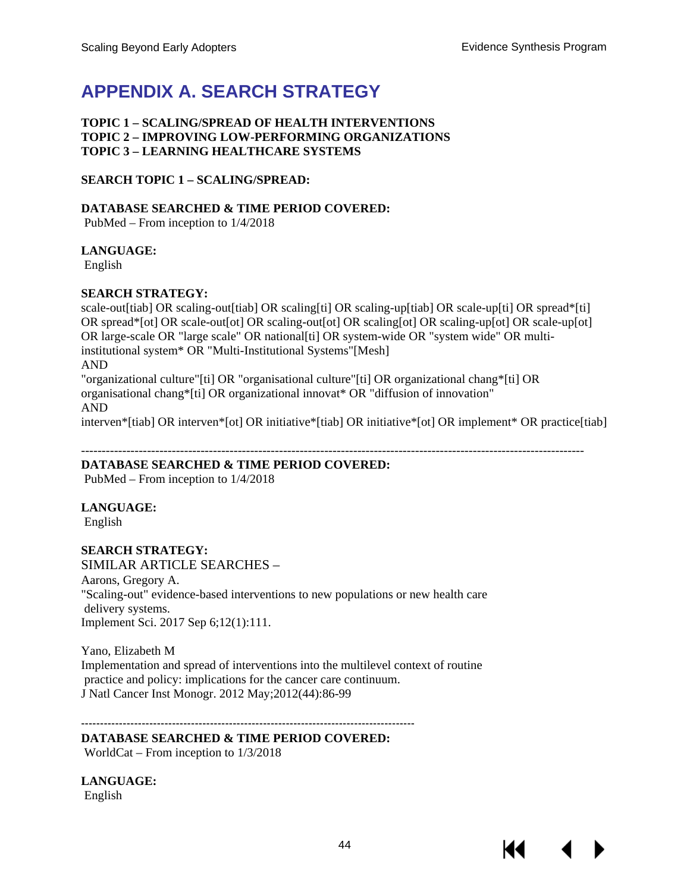# **APPENDIX A. SEARCH STRATEGY**

### **TOPIC 1 – SCALING/SPREAD OF HEALTH INTERVENTIONS TOPIC 2 – IMPROVING LOW-PERFORMING ORGANIZATIONS TOPIC 3 – LEARNING HEALTHCARE SYSTEMS**

## **SEARCH TOPIC 1 – SCALING/SPREAD:**

## **DATABASE SEARCHED & TIME PERIOD COVERED:**

PubMed – From inception to 1/4/2018

## **LANGUAGE:**

English

## **SEARCH STRATEGY:**

scale-out[tiab] OR scaling-out[tiab] OR scaling[ti] OR scaling-up[tiab] OR scale-up[ti] OR spread\*[ti] OR spread\*[ot] OR scale-out[ot] OR scaling-out[ot] OR scaling[ot] OR scaling-up[ot] OR scale-up[ot] OR large-scale OR "large scale" OR national[ti] OR system-wide OR "system wide" OR multiinstitutional system\* OR "Multi-Institutional Systems"[Mesh] AND "organizational culture"[ti] OR "organisational culture"[ti] OR organizational chang\*[ti] OR organisational chang\*[ti] OR organizational innovat\* OR "diffusion of innovation" AND interven\*[tiab] OR interven\*[ot] OR initiative\*[tiab] OR initiative\*[ot] OR implement\* OR practice[tiab]

--------------------------------------------------------------------------------------------------------------------------

## **DATABASE SEARCHED & TIME PERIOD COVERED:**

PubMed – From inception to 1/4/2018

# **LANGUAGE:**

English

# **SEARCH STRATEGY:**

# SIMILAR ARTICLE SEARCHES –

Aarons, Gregory A. "Scaling-out" evidence-based interventions to new populations or new health care delivery systems. Implement Sci. 2017 Sep 6;12(1):111.

Yano, Elizabeth M Implementation and spread of interventions into the multilevel context of routine practice and policy: implications for the cancer care continuum. J Natl Cancer Inst Monogr. 2012 May;2012(44):86-99

## **DATABASE SEARCHED & TIME PERIOD COVERED:**

----------------------------------------------------------------------------------------

WorldCat – From inception to 1/3/2018

**LANGUAGE:** English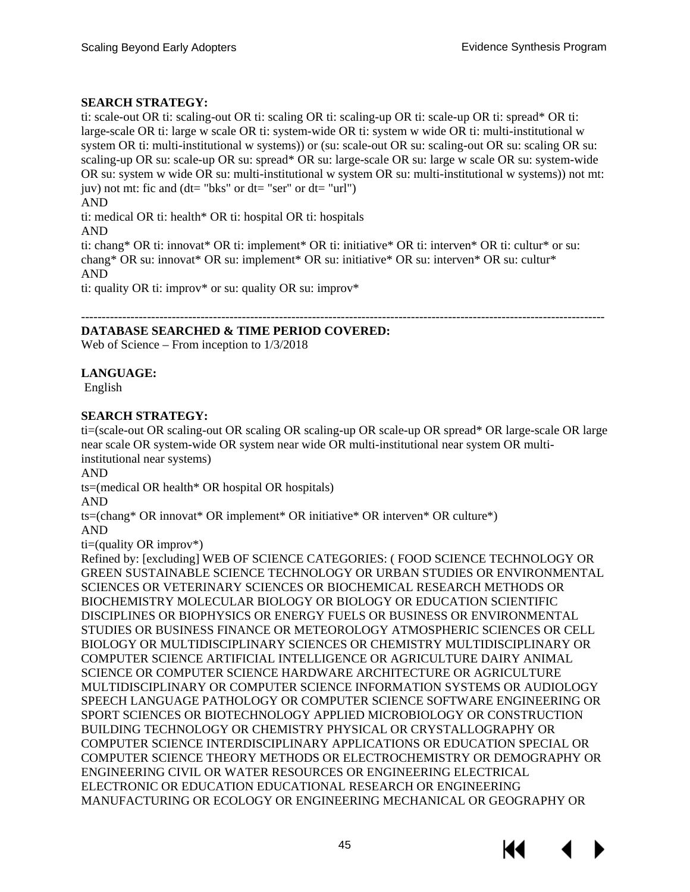## **SEARCH STRATEGY:**

ti: scale-out OR ti: scaling-out OR ti: scaling OR ti: scaling-up OR ti: scale-up OR ti: spread\* OR ti: large-scale OR ti: large w scale OR ti: system-wide OR ti: system w wide OR ti: multi-institutional w system OR ti: multi-institutional w systems)) or (su: scale-out OR su: scaling-out OR su: scaling OR su: scaling-up OR su: scale-up OR su: spread\* OR su: large-scale OR su: large w scale OR su: system-wide OR su: system w wide OR su: multi-institutional w system OR su: multi-institutional w systems)) not mt: juv) not mt: fic and  $(dt = "bks"$  or  $dt = "ser"$  or  $dt = "url"$ ) AND ti: medical OR ti: health\* OR ti: hospital OR ti: hospitals AND ti: chang\* OR ti: innovat\* OR ti: implement\* OR ti: initiative\* OR ti: interven\* OR ti: cultur\* or su:

chang\* OR su: innovat\* OR su: implement\* OR su: initiative\* OR su: interven\* OR su: cultur\* AND

ti: quality OR ti: improv\* or su: quality OR su: improv\*

#### ------------------------------------------------------------------------------------------------------------------------------- **DATABASE SEARCHED & TIME PERIOD COVERED:**

Web of Science – From inception to 1/3/2018

## **LANGUAGE:**

English

## **SEARCH STRATEGY:**

ti=(scale-out OR scaling-out OR scaling OR scaling-up OR scale-up OR spread\* OR large-scale OR large near scale OR system-wide OR system near wide OR multi-institutional near system OR multiinstitutional near systems)

AND

ts=(medical OR health\* OR hospital OR hospitals)

AND

ts=(chang\* OR innovat\* OR implement\* OR initiative\* OR interven\* OR culture\*)

AND

 $ti = (quality \t{OR} \t{improv*})$ 

Refined by: [excluding] WEB OF SCIENCE CATEGORIES: ( FOOD SCIENCE TECHNOLOGY OR GREEN SUSTAINABLE SCIENCE TECHNOLOGY OR URBAN STUDIES OR ENVIRONMENTAL SCIENCES OR VETERINARY SCIENCES OR BIOCHEMICAL RESEARCH METHODS OR BIOCHEMISTRY MOLECULAR BIOLOGY OR BIOLOGY OR EDUCATION SCIENTIFIC DISCIPLINES OR BIOPHYSICS OR ENERGY FUELS OR BUSINESS OR ENVIRONMENTAL STUDIES OR BUSINESS FINANCE OR METEOROLOGY ATMOSPHERIC SCIENCES OR CELL BIOLOGY OR MULTIDISCIPLINARY SCIENCES OR CHEMISTRY MULTIDISCIPLINARY OR COMPUTER SCIENCE ARTIFICIAL INTELLIGENCE OR AGRICULTURE DAIRY ANIMAL SCIENCE OR COMPUTER SCIENCE HARDWARE ARCHITECTURE OR AGRICULTURE MULTIDISCIPLINARY OR COMPUTER SCIENCE INFORMATION SYSTEMS OR AUDIOLOGY SPEECH LANGUAGE PATHOLOGY OR COMPUTER SCIENCE SOFTWARE ENGINEERING OR SPORT SCIENCES OR BIOTECHNOLOGY APPLIED MICROBIOLOGY OR CONSTRUCTION BUILDING TECHNOLOGY OR CHEMISTRY PHYSICAL OR CRYSTALLOGRAPHY OR COMPUTER SCIENCE INTERDISCIPLINARY APPLICATIONS OR EDUCATION SPECIAL OR COMPUTER SCIENCE THEORY METHODS OR ELECTROCHEMISTRY OR DEMOGRAPHY OR ENGINEERING CIVIL OR WATER RESOURCES OR ENGINEERING ELECTRICAL ELECTRONIC OR EDUCATION EDUCATIONAL RESEARCH OR ENGINEERING MANUFACTURING OR ECOLOGY OR ENGINEERING MECHANICAL OR GEOGRAPHY OR

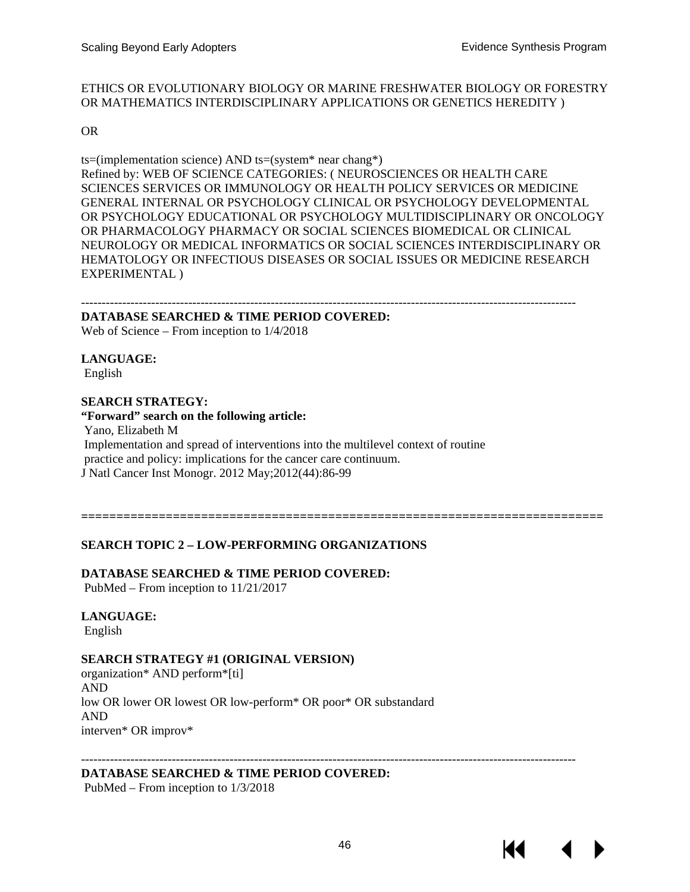#### ETHICS OR EVOLUTIONARY BIOLOGY OR MARINE FRESHWATER BIOLOGY OR FORESTRY OR MATHEMATICS INTERDISCIPLINARY APPLICATIONS OR GENETICS HEREDITY )

#### OR

ts=(implementation science) AND ts=(system\* near chang\*) Refined by: WEB OF SCIENCE CATEGORIES: ( NEUROSCIENCES OR HEALTH CARE SCIENCES SERVICES OR IMMUNOLOGY OR HEALTH POLICY SERVICES OR MEDICINE GENERAL INTERNAL OR PSYCHOLOGY CLINICAL OR PSYCHOLOGY DEVELOPMENTAL OR PSYCHOLOGY EDUCATIONAL OR PSYCHOLOGY MULTIDISCIPLINARY OR ONCOLOGY OR PHARMACOLOGY PHARMACY OR SOCIAL SCIENCES BIOMEDICAL OR CLINICAL NEUROLOGY OR MEDICAL INFORMATICS OR SOCIAL SCIENCES INTERDISCIPLINARY OR HEMATOLOGY OR INFECTIOUS DISEASES OR SOCIAL ISSUES OR MEDICINE RESEARCH EXPERIMENTAL )

------------------------------------------------------------------------------------------------------------------------

#### **DATABASE SEARCHED & TIME PERIOD COVERED:**

Web of Science – From inception to 1/4/2018

**LANGUAGE:**

English

#### **SEARCH STRATEGY:**

#### **"Forward" search on the following article:**

Yano, Elizabeth M Implementation and spread of interventions into the multilevel context of routine practice and policy: implications for the cancer care continuum. J Natl Cancer Inst Monogr. 2012 May;2012(44):86-99

**==========================================================================**

## **SEARCH TOPIC 2 – LOW-PERFORMING ORGANIZATIONS**

#### **DATABASE SEARCHED & TIME PERIOD COVERED:**

PubMed – From inception to 11/21/2017

**LANGUAGE:** English

#### **SEARCH STRATEGY #1 (ORIGINAL VERSION)**

organization\* AND perform\*[ti] AND low OR lower OR lowest OR low-perform\* OR poor\* OR substandard AND interven\* OR improv\*

------------------------------------------------------------------------------------------------------------------------ **DATABASE SEARCHED & TIME PERIOD COVERED:**

PubMed – From inception to 1/3/2018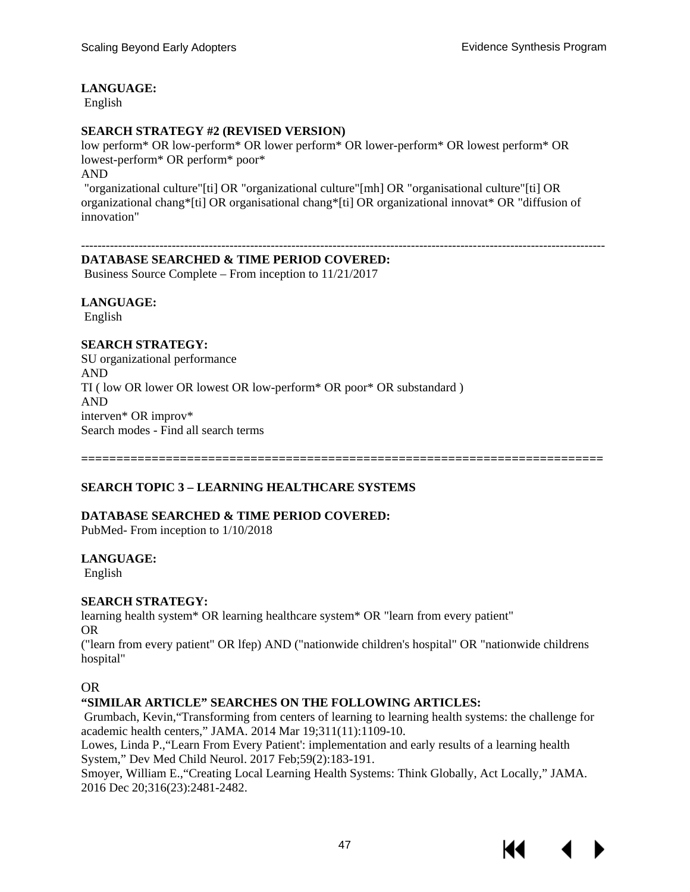## **LANGUAGE:**

English

### **SEARCH STRATEGY #2 (REVISED VERSION)**

low perform\* OR low-perform\* OR lower perform\* OR lower-perform\* OR lowest perform\* OR lowest-perform\* OR perform\* poor\* AND

"organizational culture"[ti] OR "organizational culture"[mh] OR "organisational culture"[ti] OR organizational chang\*[ti] OR organisational chang\*[ti] OR organizational innovat\* OR "diffusion of innovation"

-------------------------------------------------------------------------------------------------------------------------------

## **DATABASE SEARCHED & TIME PERIOD COVERED:**

Business Source Complete – From inception to 11/21/2017

**LANGUAGE:** English

### **SEARCH STRATEGY:**

SU organizational performance AND TI ( low OR lower OR lowest OR low-perform\* OR poor\* OR substandard ) AND interven\* OR improv\* Search modes - Find all search terms

**==========================================================================**

## **SEARCH TOPIC 3 – LEARNING HEALTHCARE SYSTEMS**

#### **DATABASE SEARCHED & TIME PERIOD COVERED:**

PubMed- From inception to 1/10/2018

#### **LANGUAGE:**

English

#### **SEARCH STRATEGY:**

learning health system\* OR learning healthcare system\* OR "learn from every patient" OR

("learn from every patient" OR lfep) AND ("nationwide children's hospital" OR "nationwide childrens hospital"

#### OR

#### **"SIMILAR ARTICLE" SEARCHES ON THE FOLLOWING ARTICLES:**

Grumbach, Kevin,"Transforming from centers of learning to learning health systems: the challenge for academic health centers," JAMA. 2014 Mar 19;311(11):1109-10.

Lowes, Linda P.,"Learn From Every Patient': implementation and early results of a learning health System," Dev Med Child Neurol. 2017 Feb;59(2):183-191.

Smoyer, William E.,"Creating Local Learning Health Systems: Think Globally, Act Locally," JAMA. 2016 Dec 20;316(23):2481-2482.

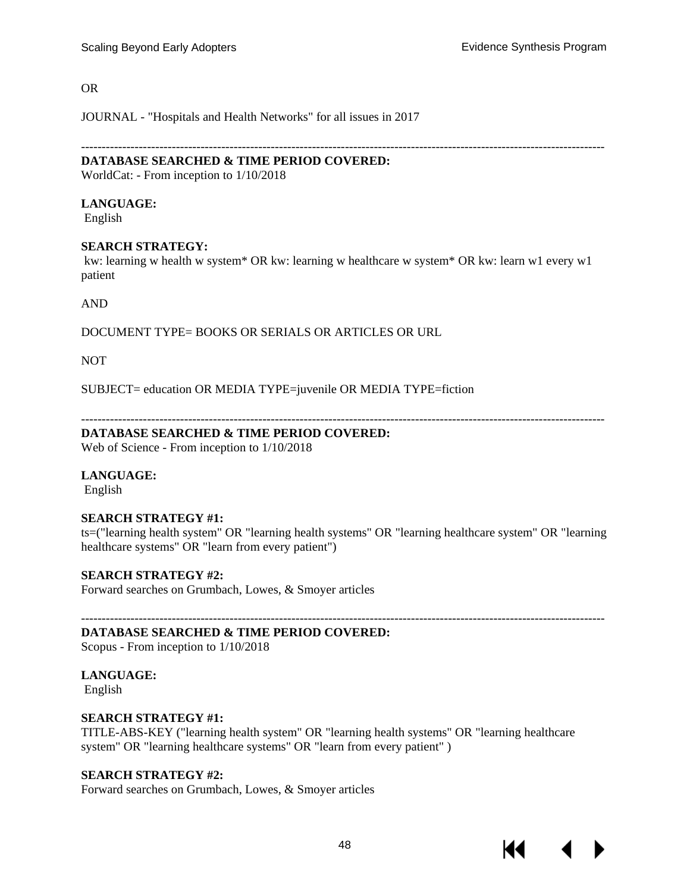-------------------------------------------------------------------------------------------------------------------------------

#### OR

JOURNAL - "Hospitals and Health Networks" for all issues in 2017

### **DATABASE SEARCHED & TIME PERIOD COVERED:**

WorldCat: - From inception to 1/10/2018

#### **LANGUAGE:**

English

#### **SEARCH STRATEGY:**

kw: learning w health w system\* OR kw: learning w healthcare w system\* OR kw: learn w1 every w1 patient

AND

DOCUMENT TYPE= BOOKS OR SERIALS OR ARTICLES OR URL

NOT

SUBJECT= education OR MEDIA TYPE=juvenile OR MEDIA TYPE=fiction

-------------------------------------------------------------------------------------------------------------------------------

#### **DATABASE SEARCHED & TIME PERIOD COVERED:**

Web of Science - From inception to 1/10/2018

#### **LANGUAGE:**

English

#### **SEARCH STRATEGY #1:**

ts=("learning health system" OR "learning health systems" OR "learning healthcare system" OR "learning healthcare systems" OR "learn from every patient")

#### **SEARCH STRATEGY #2:**

Forward searches on Grumbach, Lowes, & Smoyer articles

-------------------------------------------------------------------------------------------------------------------------------

## **DATABASE SEARCHED & TIME PERIOD COVERED:**

Scopus - From inception to 1/10/2018

## **LANGUAGE:**

English

#### **SEARCH STRATEGY #1:**

TITLE-ABS-KEY ("learning health system" OR "learning health systems" OR "learning healthcare system" OR "learning healthcare systems" OR "learn from every patient" )

#### **SEARCH STRATEGY #2:**

Forward searches on Grumbach, Lowes, & Smoyer articles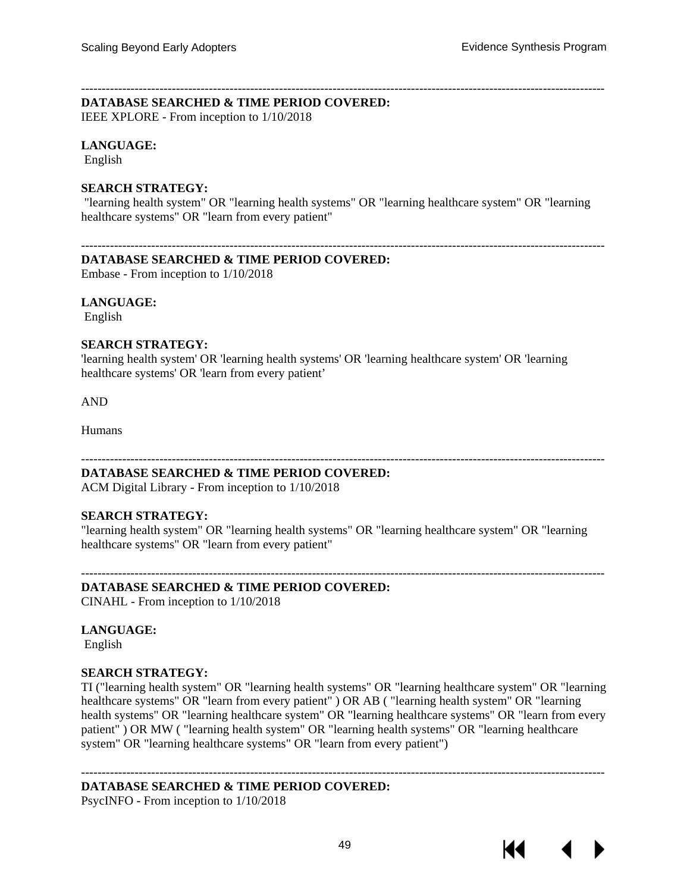#### ------------------------------------------------------------------------------------------------------------------------------- **DATABASE SEARCHED & TIME PERIOD COVERED:**

IEEE XPLORE - From inception to 1/10/2018

#### **LANGUAGE:**

English

#### **SEARCH STRATEGY:**

"learning health system" OR "learning health systems" OR "learning healthcare system" OR "learning healthcare systems" OR "learn from every patient"

-------------------------------------------------------------------------------------------------------------------------------

#### **DATABASE SEARCHED & TIME PERIOD COVERED:**

Embase - From inception to 1/10/2018

#### **LANGUAGE:**

English

#### **SEARCH STRATEGY:**

'learning health system' OR 'learning health systems' OR 'learning healthcare system' OR 'learning healthcare systems' OR 'learn from every patient'

AND

Humans

#### **DATABASE SEARCHED & TIME PERIOD COVERED:**

ACM Digital Library - From inception to 1/10/2018

#### **SEARCH STRATEGY:**

"learning health system" OR "learning health systems" OR "learning healthcare system" OR "learning healthcare systems" OR "learn from every patient"

-------------------------------------------------------------------------------------------------------------------------------

-------------------------------------------------------------------------------------------------------------------------------

### **DATABASE SEARCHED & TIME PERIOD COVERED:**

CINAHL - From inception to 1/10/2018

#### **LANGUAGE:**

English

#### **SEARCH STRATEGY:**

TI ("learning health system" OR "learning health systems" OR "learning healthcare system" OR "learning healthcare systems" OR "learn from every patient" ) OR AB ( "learning health system" OR "learning health systems" OR "learning healthcare system" OR "learning healthcare systems" OR "learn from every patient" ) OR MW ( "learning health system" OR "learning health systems" OR "learning healthcare system" OR "learning healthcare systems" OR "learn from every patient")

#### **DATABASE SEARCHED & TIME PERIOD COVERED:**

-------------------------------------------------------------------------------------------------------------------------------

PsycINFO - From inception to 1/10/2018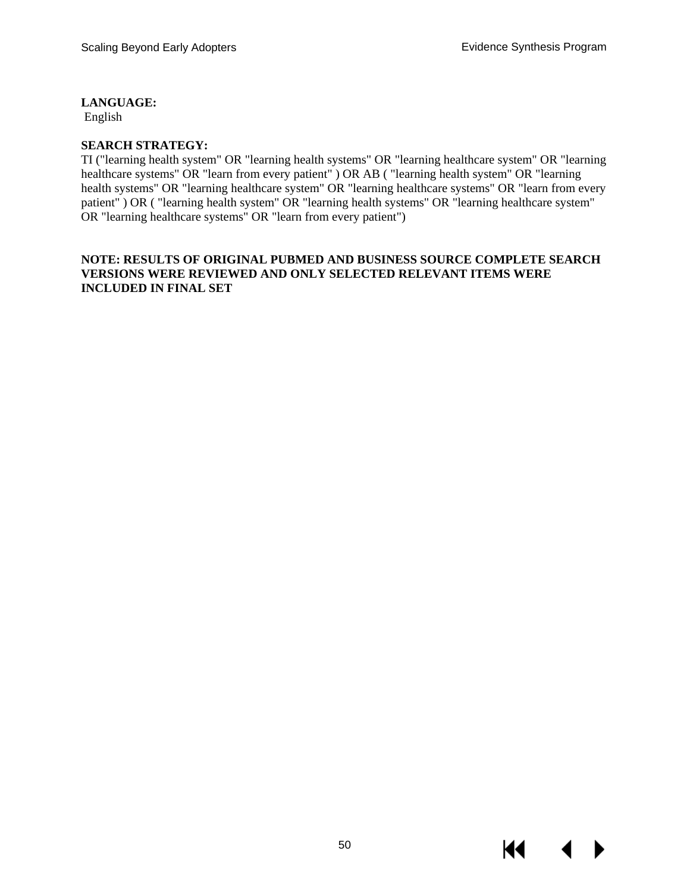**LANGUAGE:**

English

## **SEARCH STRATEGY:**

TI ("learning health system" OR "learning health systems" OR "learning healthcare system" OR "learning healthcare systems" OR "learn from every patient" ) OR AB ( "learning health system" OR "learning health systems" OR "learning healthcare system" OR "learning healthcare systems" OR "learn from every patient" ) OR ( "learning health system" OR "learning health systems" OR "learning healthcare system" OR "learning healthcare systems" OR "learn from every patient")

#### **NOTE: RESULTS OF ORIGINAL PUBMED AND BUSINESS SOURCE COMPLETE SEARCH VERSIONS WERE REVIEWED AND ONLY SELECTED RELEVANT ITEMS WERE INCLUDED IN FINAL SET**

KI.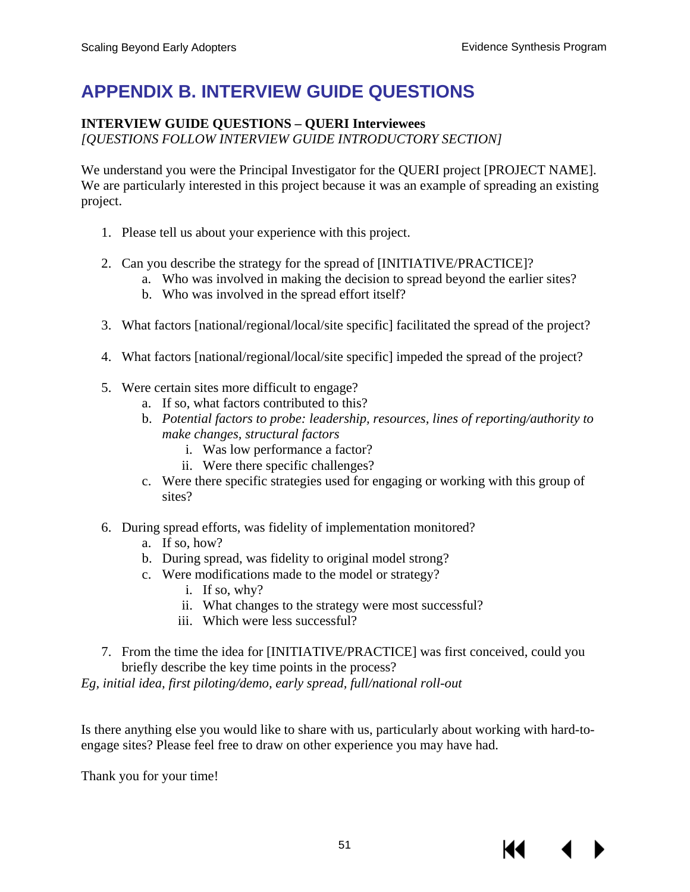# **APPENDIX B. INTERVIEW GUIDE QUESTIONS**

# **INTERVIEW GUIDE QUESTIONS – QUERI Interviewees**

*[QUESTIONS FOLLOW INTERVIEW GUIDE INTRODUCTORY SECTION]*

We understand you were the Principal Investigator for the QUERI project [PROJECT NAME]. We are particularly interested in this project because it was an example of spreading an existing project.

- 1. Please tell us about your experience with this project.
- 2. Can you describe the strategy for the spread of [INITIATIVE/PRACTICE]?
	- a. Who was involved in making the decision to spread beyond the earlier sites?
	- b. Who was involved in the spread effort itself?
- 3. What factors [national/regional/local/site specific] facilitated the spread of the project?
- 4. What factors [national/regional/local/site specific] impeded the spread of the project?
- 5. Were certain sites more difficult to engage?
	- a. If so, what factors contributed to this?
	- b. *Potential factors to probe: leadership, resources, lines of reporting/authority to make changes, structural factors*
		- i. Was low performance a factor?
		- ii. Were there specific challenges?
	- c. Were there specific strategies used for engaging or working with this group of sites?
- 6. During spread efforts, was fidelity of implementation monitored?
	- a. If so, how?
	- b. During spread, was fidelity to original model strong?
	- c. Were modifications made to the model or strategy?
		- i. If so, why?
		- ii. What changes to the strategy were most successful?
		- iii. Which were less successful?
- 7. From the time the idea for [INITIATIVE/PRACTICE] was first conceived, could you briefly describe the key time points in the process?

*Eg, initial idea, first piloting/demo, early spread, full/national roll-out*

Is there anything else you would like to share with us, particularly about working with hard-toengage sites? Please feel free to draw on other experience you may have had.

Thank you for your time!

К€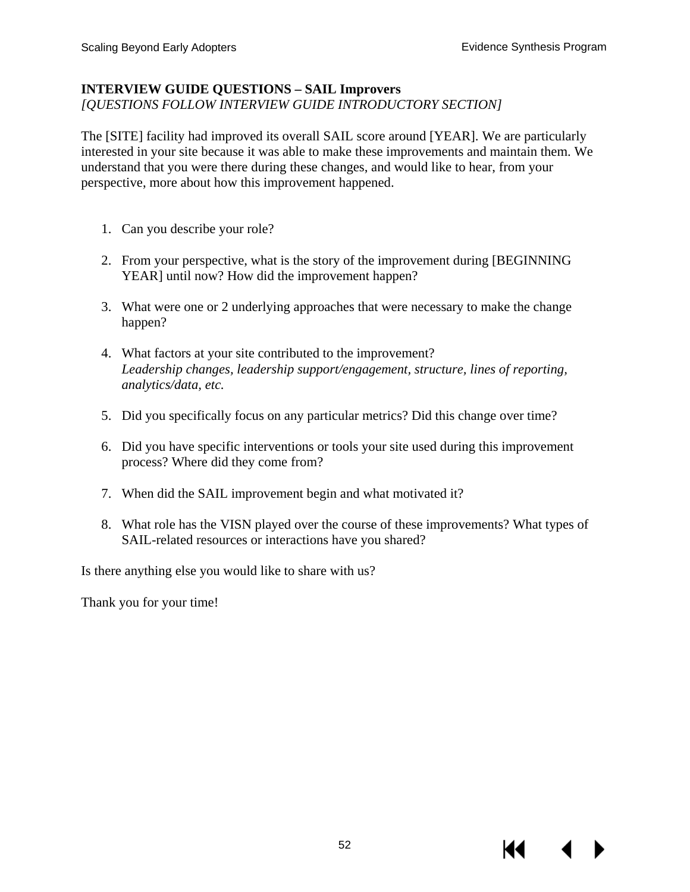## **INTERVIEW GUIDE QUESTIONS – SAIL Improvers**

*[QUESTIONS FOLLOW INTERVIEW GUIDE INTRODUCTORY SECTION]*

The [SITE] facility had improved its overall SAIL score around [YEAR]. We are particularly interested in your site because it was able to make these improvements and maintain them. We understand that you were there during these changes, and would like to hear, from your perspective, more about how this improvement happened.

- 1. Can you describe your role?
- 2. From your perspective, what is the story of the improvement during [BEGINNING YEAR] until now? How did the improvement happen?
- 3. What were one or 2 underlying approaches that were necessary to make the change happen?
- 4. What factors at your site contributed to the improvement? *Leadership changes, leadership support/engagement, structure, lines of reporting, analytics/data, etc.*
- 5. Did you specifically focus on any particular metrics? Did this change over time?
- 6. Did you have specific interventions or tools your site used during this improvement process? Where did they come from?
- 7. When did the SAIL improvement begin and what motivated it?
- 8. What role has the VISN played over the course of these improvements? What types of SAIL-related resources or interactions have you shared?

Is there anything else you would like to share with us?

Thank you for your time!

14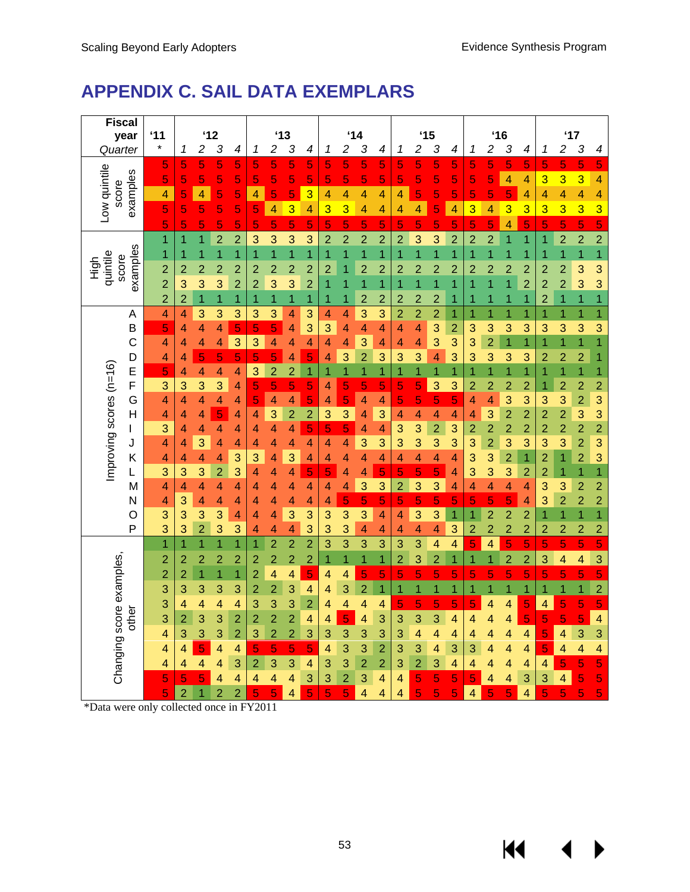$M \sim 1$ 

 $\blacktriangleright$ 

# **APPENDIX C. SAIL DATA EXEMPLARS**

| <b>Fiscal</b><br>year        | '11                      |                |                         | '12                 |                          |                |                | $^{\prime}13$  |                |                | '14            |                |                |                |                | $^{\prime}$ 15 |                |                |                         | $^{\prime}$ 16 |                     |                                  | '17                              |                                  |                                           |
|------------------------------|--------------------------|----------------|-------------------------|---------------------|--------------------------|----------------|----------------|----------------|----------------|----------------|----------------|----------------|----------------|----------------|----------------|----------------|----------------|----------------|-------------------------|----------------|---------------------|----------------------------------|----------------------------------|----------------------------------|-------------------------------------------|
| Quarter                      | $\star$                  | 1              | $\overline{c}$          | 3                   | 4                        | 1              | 2              | 3              | 4              | 1              | $\overline{c}$ | 3              | 4              | 1              | $\overline{c}$ | 3              | 4              | 1              | $\overline{c}$          | 3              | 4                   | 1                                | 2                                | 3                                | 4                                         |
|                              | 5                        | 5              | 5                       | 5                   | 5                        | 5              | 5              | 5              | 5              | 5              | 5              | 5              | 5              | 5              | 5              | 5              | 5              | 5              | 5                       | 5              | 5                   | 5                                | 5                                | 5                                | 5                                         |
| Low quintile<br>examples     | 5                        | 5              | 5                       | 5                   | 5                        | 5              | 5              | 5              | 5              | 5              | 5              | 5              | 5              | 5              | 5              | 5              | 5              | 5              | 5                       | 4              | 4                   | 3                                | 3                                | 3                                | 4                                         |
| score                        | 4                        | 5              | 4                       | 5                   | 5                        | 4              | 5              | 5              | 3              | $\overline{4}$ | 4              | 4              | 4              | 4              | 5              | 5              | 5              | 5              | 5                       | 5              | 4                   | 4                                | 4                                | 4                                | 4                                         |
|                              | 5                        | 5              | 5                       | 5                   | 5                        | 5              | $\overline{4}$ | 3              | 4              | 3              | 3              | 4              | 4              | 4              | 4              | 5              | 4              | 3              | 4                       | 3              | 3                   | 3                                | 3                                | 3                                | 3                                         |
|                              | 5                        | 5              | 5                       | 5                   | 5                        | 5              | 5              | 5              | 5              | 5              | 5              | 5              | 5              | 5              | 5              | 5              | 5              | 5              | 5                       | 4              | 5                   | 5                                | 5                                | 5                                | 5                                         |
|                              | 1                        | 1              | $\overline{1}$          | $\overline{2}$      | $\overline{2}$           | 3              | 3              | 3              | 3              | $\overline{2}$ | $\overline{2}$ | $\overline{2}$ | $\overline{2}$ | $\overline{2}$ | 3              | 3              | $\overline{2}$ | $\overline{2}$ | $\overline{c}$          | $\overline{1}$ | $\overline{1}$      | 1                                | $\overline{2}$                   | $\overline{a}$                   | $\overline{2}$                            |
| examples                     | 1                        |                | 1                       | 1                   | 1                        |                | 1              | $\overline{1}$ | $\overline{1}$ | 1              | $\overline{1}$ | 1              | 1              | 1              | 1              | $\overline{1}$ | $\overline{1}$ | 1              | $\overline{1}$          | 1              | 1                   |                                  | $\overline{1}$                   | $\overline{1}$                   | $\overline{1}$                            |
| quintile<br>score<br>high    | $\overline{c}$           | $\overline{2}$ | $\overline{2}$          | $\overline{2}$      | $\overline{a}$           | $\overline{2}$ | $\overline{2}$ | $\overline{c}$ | $\overline{c}$ | $\overline{2}$ | 1              | $\overline{2}$ | $\overline{2}$ | $\overline{c}$ | $\overline{2}$ | $\overline{2}$ | $\overline{2}$ | $\overline{2}$ | $\overline{c}$          | $\overline{2}$ | $\overline{c}$      | $\overline{2}$                   | $\overline{2}$                   | 3                                | 3                                         |
|                              | $\overline{a}$           | 3              | 3                       | 3                   | $\overline{2}$           | $\overline{2}$ | 3              | 3              | $\overline{c}$ | 1              | 1              | 1              | 1              | 1              | 1              | 1              | 1              | 1              | $\overline{1}$          | $\overline{1}$ | $\overline{2}$      | $\overline{2}$                   | $\overline{2}$                   | 3                                | 3                                         |
|                              | $\overline{c}$           | $\overline{2}$ | $\overline{1}$          | $\overline{1}$      | 1                        | 1              | $\overline{1}$ | $\overline{1}$ | 1              | 1              | 1              | $\overline{c}$ | $\overline{c}$ | $\overline{2}$ | $\overline{c}$ | $\overline{c}$ | 1              | 1              | 1                       | 1              | 1                   | $\overline{2}$                   | $\overline{1}$                   | $\overline{1}$                   | $\overline{1}$                            |
| A                            | $\overline{\mathcal{A}}$ | 4              | 3                       | 3                   | 3                        | 3              | 3              | 4              | 3              | 4              | 4              | 3              | 3              | $\overline{c}$ | $\overline{2}$ | $\overline{2}$ | 1              | 1              | 1                       | 1              | $\overline{1}$      | 1                                | $\overline{1}$                   | $\overline{1}$                   | $\overline{1}$                            |
| B                            | 5                        | 4              | $\overline{4}$          | 4                   | 5                        | 5              | 5              | 4              | 3              | 3              | 4              | 4              | 4              | 4              | $\overline{4}$ | 3              | $\overline{2}$ | 3              | 3                       | 3              | 3                   | 3                                | 3                                | 3                                | 3                                         |
| C                            | $\overline{\mathcal{A}}$ | 4              | 4                       | 4                   | 3                        | 3              | 4              | 4              | 4              | $\overline{4}$ | 4              | 3              | 4              | 4              | 4              | 3              | 3              | 3              | $\overline{2}$          | $\overline{1}$ | $\overline{1}$      |                                  | $\overline{1}$                   | $\overline{1}$                   | $\overline{\mathbf{1}}$                   |
| D                            | 4                        | 4              | 5                       | 5                   | 5                        | 5              | 5              | 4              | 5              | 4              | 3              | $\overline{2}$ | 3              | 3              | 3              | 4              | 3              | 3              | 3                       | 3              | 3                   | $\overline{2}$                   | $\overline{2}$                   | $\overline{c}$                   | $\overline{1}$                            |
| E                            | 5                        | 4              | 4                       | 4                   | $\overline{\mathcal{A}}$ | 3              | $\overline{2}$ | $\overline{2}$ | $\overline{1}$ | 1              | 1              | 1              | 1              | 1              | 1              | 1              | 1              | 1              | 1                       | 1              | $\overline{1}$      | 1                                | $\overline{1}$                   | $\overline{1}$                   | $\overline{1}$                            |
| F                            | 3                        | 3              | 3                       | 3                   | $\overline{4}$           | 5              | 5              | 5              | 5              | 4              | 5              | 5              | 5              | 5              | 5              | 3              | 3              | $\overline{2}$ | $\overline{c}$          | $\overline{2}$ | $\overline{2}$      | 1                                | $\overline{2}$                   | $\overline{2}$                   | $\overline{\mathbf{c}}$                   |
| G                            | 4                        | 4              | 4                       | 4                   | 4                        | 5              | 4              | 4              | 5              | 4              | 5              | 4              | 4              | 5              | 5              | 5              | 5              | 4              | 4                       | 3              | 3                   | 3                                | 3                                | $\overline{a}$                   | 3                                         |
| Improving scores (n=16)<br>Н | 4                        | 4              | 4                       | 5                   | 4                        | 4              | 3              | $\overline{c}$ | $\overline{c}$ | 3              | 3              | 4              | 3              | 4              | 4              | 4              | 4              | 4              | 3                       | $\overline{2}$ | $\overline{2}$      | $\overline{2}$                   | $\overline{a}$                   | 3                                | 3                                         |
| L                            | 3                        | 4              | 4                       | 4                   | 4                        | 4              | 4              | 4              | 5              | 5              | 5              | 4              | 4              | 3              | 3              | $\overline{2}$ | 3              | $\overline{2}$ | $\overline{a}$          | $\overline{2}$ | $\overline{2}$      | $\overline{2}$                   | $\overline{2}$                   | $\overline{\mathbf{c}}$          | $\overline{a}$                            |
| J                            | 4                        | 4              | 3                       | 4                   | 4                        | 4              | 4              | 4              | 4              | 4              | 4              | 3              | 3              | 3              | 3              | 3              | 3              | 3              | $\overline{2}$          | 3              | 3                   | 3                                | 3                                | $\overline{a}$                   | 3                                         |
| Κ                            | 4                        | 4              | 4<br>3                  | 4                   | 3                        | 3              | 4              | 3              | 4              | 4              | 4              | 4              | 4<br>5         | 4<br>5         | 4<br>5         | 4              | 4              | 3<br>3         | 3<br>3                  | $\overline{2}$ | $\overline{1}$      | $\overline{2}$<br>$\overline{2}$ | $\overline{1}$<br>$\overline{1}$ | $\overline{2}$<br>$\overline{1}$ | 3                                         |
| L                            | 3<br>4                   | 3<br>4         | 4                       | $\overline{2}$<br>4 | 3<br>4                   | 4<br>4         | 4<br>4         | 4              | 5<br>4         | 5<br>4         | 4<br>4         | 4<br>3         | 3              | $\overline{2}$ | 3              | 5<br>3         | 4<br>4         | 4              | 4                       | 3<br>4         | $\overline{2}$<br>4 | 3                                | 3                                | $\overline{c}$                   | $\overline{1}$                            |
| М<br>N                       | 4                        | 3              | 4                       | 4                   | 4                        | 4              | 4              | 4<br>4         | 4              | 4              | 5              | 5              | 5              | 5              | 5              | 5              | 5              | 5              | 5                       | 5              | 4                   | 3                                | $\overline{2}$                   | $\overline{2}$                   | $\overline{\mathbf{c}}$<br>$\overline{a}$ |
| O                            | 3                        | 3              | 3                       | 3                   | $\overline{\mathcal{A}}$ | 4              | 4              | 3              | 3              | 3              | 3              | 3              | 4              | 4              | 3              | 3              | $\overline{1}$ | 1              | $\overline{c}$          | $\overline{2}$ | $\overline{2}$      |                                  | $\overline{1}$                   | 1                                | $\overline{1}$                            |
| P                            | 3                        | 3              | $\overline{2}$          | 3                   | 3                        | 4              | 4              | 4              | 3              | 3              | 3              | 4              | 4              | 4              | $\overline{4}$ | 4              | 3              | $\overline{2}$ | $\overline{2}$          | $\overline{2}$ | $\overline{2}$      | $\overline{2}$                   | $\overline{2}$                   | $\overline{2}$                   | $\overline{c}$                            |
|                              | $\overline{1}$           | 1              | $\overline{1}$          | 1                   | $\overline{1}$           | 1              | $\overline{2}$ | $\overline{2}$ | $\overline{2}$ | 3              | 3              | 3              | 3              | 3              | 3              | 4              | 4              | 5              | $\overline{\mathbf{4}}$ | 5              | 5                   | 5                                | 5                                | 5                                | $\overline{5}$                            |
|                              | $\overline{c}$           | $\overline{c}$ | $\overline{2}$          | $\overline{c}$      | $\overline{2}$           | $\overline{2}$ | $\overline{2}$ | $\overline{2}$ | $\overline{2}$ | 1              | 1              | $\overline{1}$ | 1              | $\overline{2}$ | 3              | $\overline{2}$ | $\overline{1}$ | 1              | 1                       | $\overline{2}$ | $\overline{2}$      | 3                                | 4                                | $\overline{\mathbf{4}}$          | 3                                         |
|                              | $\overline{c}$           | $\overline{2}$ | $\overline{1}$          | 1                   | $\overline{1}$           | $\overline{2}$ | 4              | 4              | 5              | 4              | 4              | 5              | 5              | 5              | 5              | 5              | 5              | 5              | 5                       | 5              | 5                   | 5                                | 5                                | 5                                | $\overline{5}$                            |
|                              | 3                        | 3              | 3                       | 3                   | 3                        | $\overline{2}$ | $\overline{2}$ | 3              | 4              | 4              | 3              | $\overline{2}$ | 1              | 1              | 1              | 1              | $\overline{1}$ | $\overline{1}$ | 1                       | $\overline{1}$ | $\overline{1}$      | 1                                | $\overline{1}$                   | $\overline{1}$                   | $\overline{2}$                            |
|                              | 3                        | 4              | 4                       | 4                   | 4                        | 3              | 3              | 3              | $\overline{2}$ | 4              | 4              | 4              | 4              | 5              | 5              | 5              | 5              | 5              | 4                       | 4              | 5                   | 4                                | 5                                | 5                                | 5                                         |
| other                        | 3                        | $\overline{2}$ | 3                       | 3                   | $\overline{2}$           | $\overline{2}$ | $\overline{2}$ | $\overline{2}$ | 4              | 4              | 5              | 4              | 3              | 3              | 3              | 3              | 4              | 4              | 4                       | 4              | 5                   | 5                                | 5                                | 5                                | 4                                         |
|                              | 4                        | 3              | 3                       | 3                   | $\overline{2}$           | 3              | $\overline{2}$ | $\overline{2}$ | 3              | 3              | 3              | 3              | 3              | 3              | 4              | 4              | 4              | 4              | 4                       | 4              | 4                   | 5                                | 4                                | 3                                | 3                                         |
|                              | 4                        | 4              | 5                       | 4                   | 4                        | 5              | 5              | 5              | 5              | 4              | 3              | 3              | $\overline{2}$ | 3              | 3              | 4              | 3              | 3              | 4                       | 4              | 4                   | 5                                | 4                                | $\overline{4}$                   | 4                                         |
|                              | 4                        | 4              | $\overline{\mathbf{4}}$ | 4                   | 3                        | $\overline{2}$ | 3              | 3              | 4              | 3              | 3              | $\overline{2}$ | $\overline{2}$ | 3              | $\overline{2}$ | 3              | 4              | 4              | 4                       | 4              | 4                   | 4                                | 5                                | 5                                | 5                                         |
| Changing score examples,     | 5                        | 5              | 5                       | 4                   | 4                        | 4              | 4              | 4              | 3              | 3              | $\overline{2}$ | 3              | 4              | 4              | 5              | 5              | 5              | 5              | 4                       | 4              | 3                   | 3                                | 4                                | 5                                | 5                                         |
|                              | 5                        | $\overline{2}$ | 1                       | $\overline{2}$      | $\overline{2}$           | 5              | 5              | 4              | 5              | 5              | 5              | 4              | 4              | 4              | 5              | 5              | 5              | 4              | 5                       | 5              | 4                   | 5                                | 5                                | 5                                | $\overline{5}$                            |

\*Data were only collected once in FY2011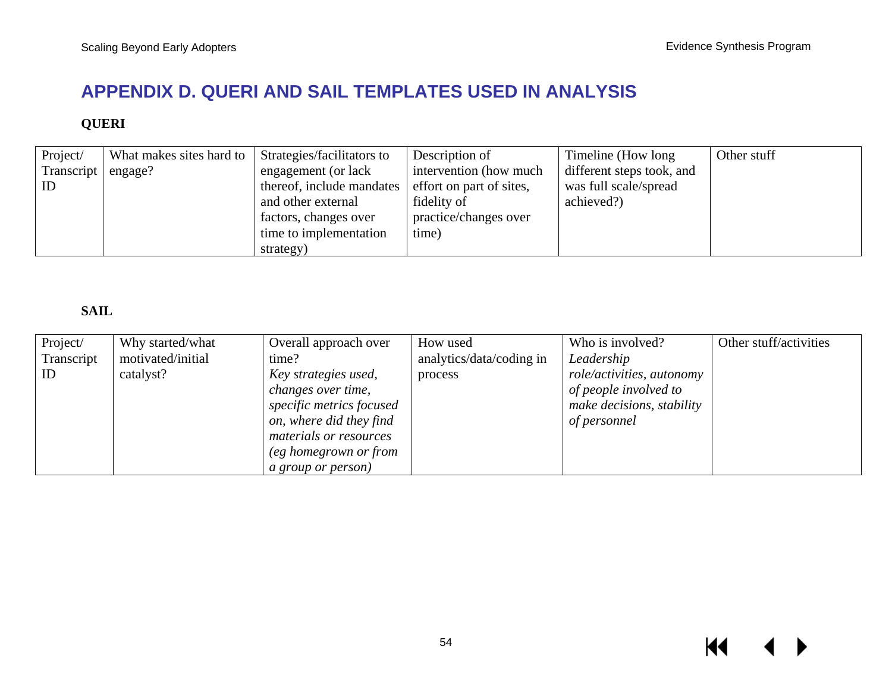# **APPENDIX D. QUERI AND SAIL TEMPLATES USED IN ANALYSIS**

# **QUERI**

| Project/   | What makes sites hard to | Strategies/facilitators to | Description of           | Timeline (How long)       | Other stuff |
|------------|--------------------------|----------------------------|--------------------------|---------------------------|-------------|
| Transcript | engage?                  | engagement (or lack        | intervention (how much)  | different steps took, and |             |
| ID         |                          | thereof, include mandates  | effort on part of sites, | was full scale/spread     |             |
|            |                          | and other external         | fidelity of              | achieved?)                |             |
|            |                          | factors, changes over      | practice/changes over    |                           |             |
|            |                          | time to implementation     | time)                    |                           |             |
|            |                          | strategy)                  |                          |                           |             |

# **SAIL**

| Project/   | Why started/what  | Overall approach over     | How used                 | Who is involved?          | Other stuff/activities |
|------------|-------------------|---------------------------|--------------------------|---------------------------|------------------------|
| Transcript | motivated/initial | time?                     | analytics/data/coding in | Leadership                |                        |
| ID         | catalyst?         | Key strategies used,      | process                  | role/activities, autonomy |                        |
|            |                   | <i>changes over time,</i> |                          | of people involved to     |                        |
|            |                   | specific metrics focused  |                          | make decisions, stability |                        |
|            |                   | on, where did they find   |                          | of personnel              |                        |
|            |                   | materials or resources    |                          |                           |                        |
|            |                   | (eg homegrown or from     |                          |                           |                        |
|            |                   | <i>a group or person)</i> |                          |                           |                        |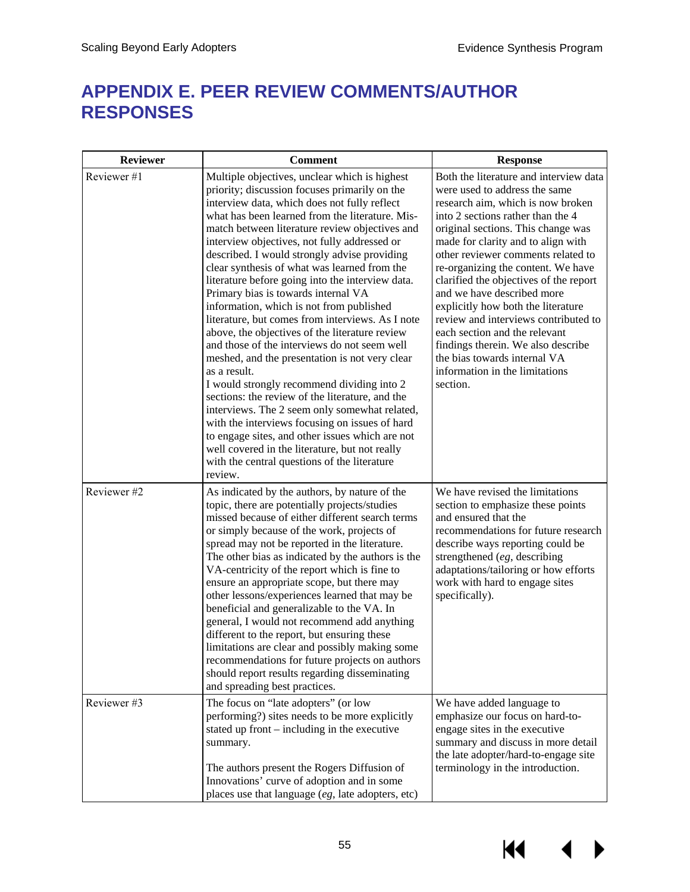# **APPENDIX E. PEER REVIEW COMMENTS/AUTHOR RESPONSES**

| <b>Reviewer</b> | <b>Comment</b>                                                                                                                                                                                                                                                                                                                                                                                                                                                                                                                                                                                                                                                                                                                                                                                                                                                                                                                                                                                                                                                                                                                         | <b>Response</b>                                                                                                                                                                                                                                                                                                                                                                                                                                                                                                                                                                                                      |
|-----------------|----------------------------------------------------------------------------------------------------------------------------------------------------------------------------------------------------------------------------------------------------------------------------------------------------------------------------------------------------------------------------------------------------------------------------------------------------------------------------------------------------------------------------------------------------------------------------------------------------------------------------------------------------------------------------------------------------------------------------------------------------------------------------------------------------------------------------------------------------------------------------------------------------------------------------------------------------------------------------------------------------------------------------------------------------------------------------------------------------------------------------------------|----------------------------------------------------------------------------------------------------------------------------------------------------------------------------------------------------------------------------------------------------------------------------------------------------------------------------------------------------------------------------------------------------------------------------------------------------------------------------------------------------------------------------------------------------------------------------------------------------------------------|
| Reviewer#1      | Multiple objectives, unclear which is highest<br>priority; discussion focuses primarily on the<br>interview data, which does not fully reflect<br>what has been learned from the literature. Mis-<br>match between literature review objectives and<br>interview objectives, not fully addressed or<br>described. I would strongly advise providing<br>clear synthesis of what was learned from the<br>literature before going into the interview data.<br>Primary bias is towards internal VA<br>information, which is not from published<br>literature, but comes from interviews. As I note<br>above, the objectives of the literature review<br>and those of the interviews do not seem well<br>meshed, and the presentation is not very clear<br>as a result.<br>I would strongly recommend dividing into 2<br>sections: the review of the literature, and the<br>interviews. The 2 seem only somewhat related,<br>with the interviews focusing on issues of hard<br>to engage sites, and other issues which are not<br>well covered in the literature, but not really<br>with the central questions of the literature<br>review. | Both the literature and interview data<br>were used to address the same<br>research aim, which is now broken<br>into 2 sections rather than the 4<br>original sections. This change was<br>made for clarity and to align with<br>other reviewer comments related to<br>re-organizing the content. We have<br>clarified the objectives of the report<br>and we have described more<br>explicitly how both the literature<br>review and interviews contributed to<br>each section and the relevant<br>findings therein. We also describe<br>the bias towards internal VA<br>information in the limitations<br>section. |
| Reviewer #2     | As indicated by the authors, by nature of the<br>topic, there are potentially projects/studies<br>missed because of either different search terms<br>or simply because of the work, projects of<br>spread may not be reported in the literature.<br>The other bias as indicated by the authors is the<br>VA-centricity of the report which is fine to<br>ensure an appropriate scope, but there may<br>other lessons/experiences learned that may be<br>beneficial and generalizable to the VA. In<br>general, I would not recommend add anything<br>different to the report, but ensuring these<br>limitations are clear and possibly making some<br>recommendations for future projects on authors<br>should report results regarding disseminating<br>and spreading best practices.                                                                                                                                                                                                                                                                                                                                                 | We have revised the limitations<br>section to emphasize these points<br>and ensured that the<br>recommendations for future research<br>describe ways reporting could be<br>strengthened (eg, describing<br>adaptations/tailoring or how efforts<br>work with hard to engage sites<br>specifically).                                                                                                                                                                                                                                                                                                                  |
| Reviewer#3      | The focus on "late adopters" (or low<br>performing?) sites needs to be more explicitly<br>stated up front – including in the executive<br>summary.<br>The authors present the Rogers Diffusion of<br>Innovations' curve of adoption and in some<br>places use that language (eg, late adopters, etc)                                                                                                                                                                                                                                                                                                                                                                                                                                                                                                                                                                                                                                                                                                                                                                                                                                   | We have added language to<br>emphasize our focus on hard-to-<br>engage sites in the executive<br>summary and discuss in more detail<br>the late adopter/hard-to-engage site<br>terminology in the introduction.                                                                                                                                                                                                                                                                                                                                                                                                      |

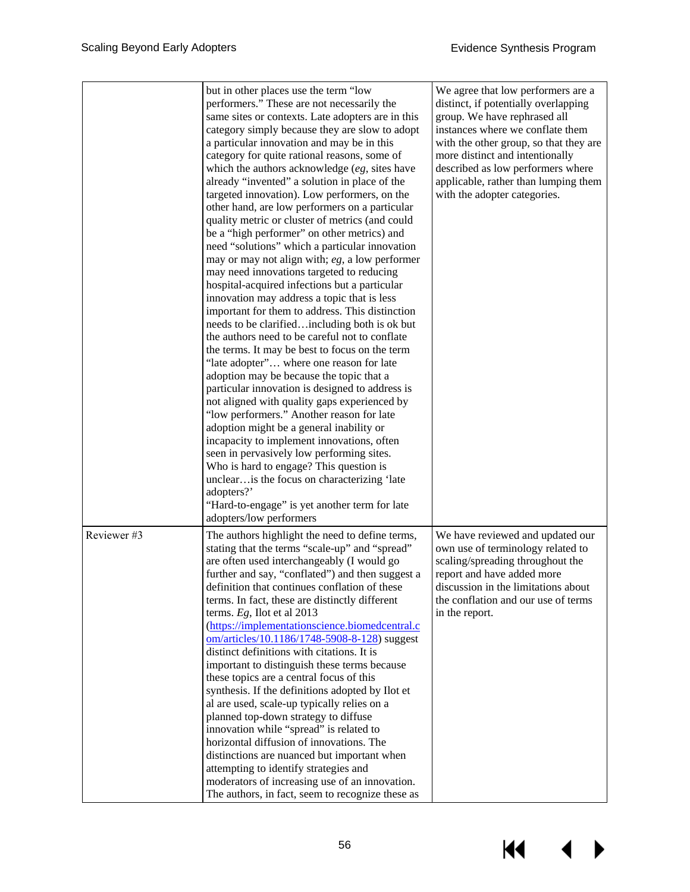|             | but in other places use the term "low<br>performers." These are not necessarily the<br>same sites or contexts. Late adopters are in this<br>category simply because they are slow to adopt<br>a particular innovation and may be in this<br>category for quite rational reasons, some of<br>which the authors acknowledge $(eg,$ sites have<br>already "invented" a solution in place of the<br>targeted innovation). Low performers, on the<br>other hand, are low performers on a particular<br>quality metric or cluster of metrics (and could<br>be a "high performer" on other metrics) and<br>need "solutions" which a particular innovation<br>may or may not align with; $eg$ , a low performer<br>may need innovations targeted to reducing<br>hospital-acquired infections but a particular<br>innovation may address a topic that is less<br>important for them to address. This distinction<br>needs to be clarifiedincluding both is ok but<br>the authors need to be careful not to conflate<br>the terms. It may be best to focus on the term<br>"late adopter" where one reason for late<br>adoption may be because the topic that a<br>particular innovation is designed to address is<br>not aligned with quality gaps experienced by<br>"low performers." Another reason for late<br>adoption might be a general inability or<br>incapacity to implement innovations, often<br>seen in pervasively low performing sites.<br>Who is hard to engage? This question is<br>unclear is the focus on characterizing 'late<br>adopters?'<br>"Hard-to-engage" is yet another term for late<br>adopters/low performers | We agree that low performers are a<br>distinct, if potentially overlapping<br>group. We have rephrased all<br>instances where we conflate them<br>with the other group, so that they are<br>more distinct and intentionally<br>described as low performers where<br>applicable, rather than lumping them<br>with the adopter categories. |
|-------------|----------------------------------------------------------------------------------------------------------------------------------------------------------------------------------------------------------------------------------------------------------------------------------------------------------------------------------------------------------------------------------------------------------------------------------------------------------------------------------------------------------------------------------------------------------------------------------------------------------------------------------------------------------------------------------------------------------------------------------------------------------------------------------------------------------------------------------------------------------------------------------------------------------------------------------------------------------------------------------------------------------------------------------------------------------------------------------------------------------------------------------------------------------------------------------------------------------------------------------------------------------------------------------------------------------------------------------------------------------------------------------------------------------------------------------------------------------------------------------------------------------------------------------------------------------------------------------------------------------------------------------|------------------------------------------------------------------------------------------------------------------------------------------------------------------------------------------------------------------------------------------------------------------------------------------------------------------------------------------|
| Reviewer #3 | The authors highlight the need to define terms,<br>stating that the terms "scale-up" and "spread"<br>are often used interchangeably (I would go<br>further and say, "conflated") and then suggest a<br>definition that continues conflation of these<br>terms. In fact, these are distinctly different<br>terms. $Eg$ , Ilot et al 2013<br>(https://implementationscience.biomedcentral.c<br>om/articles/10.1186/1748-5908-8-128) suggest<br>distinct definitions with citations. It is<br>important to distinguish these terms because<br>these topics are a central focus of this<br>synthesis. If the definitions adopted by Ilot et<br>al are used, scale-up typically relies on a<br>planned top-down strategy to diffuse<br>innovation while "spread" is related to<br>horizontal diffusion of innovations. The<br>distinctions are nuanced but important when<br>attempting to identify strategies and<br>moderators of increasing use of an innovation.<br>The authors, in fact, seem to recognize these as                                                                                                                                                                                                                                                                                                                                                                                                                                                                                                                                                                                                              | We have reviewed and updated our<br>own use of terminology related to<br>scaling/spreading throughout the<br>report and have added more<br>discussion in the limitations about<br>the conflation and our use of terms<br>in the report.                                                                                                  |

К€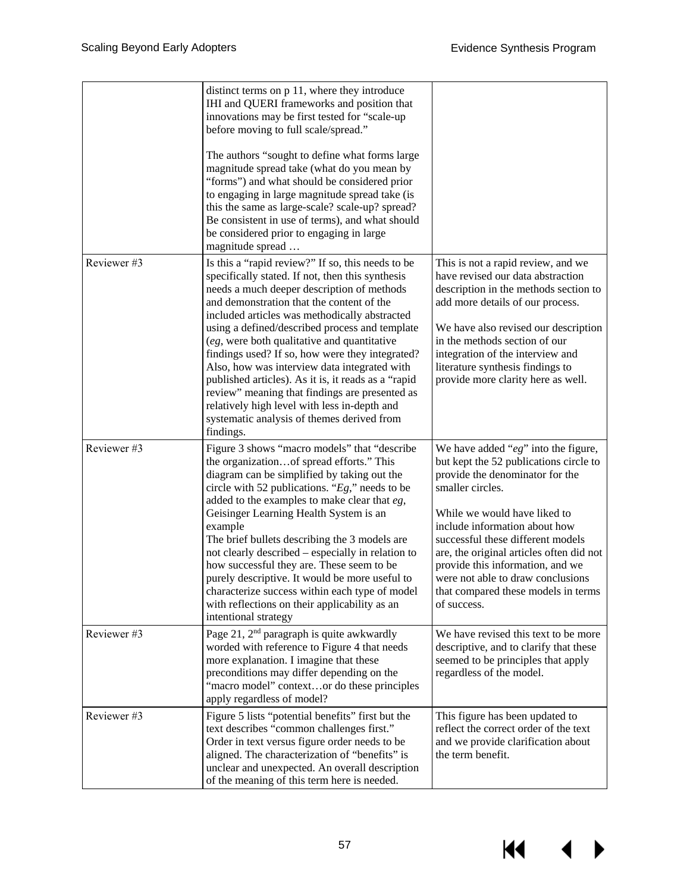$M \rightarrow$ 

|            | distinct terms on p 11, where they introduce<br>IHI and QUERI frameworks and position that<br>innovations may be first tested for "scale-up<br>before moving to full scale/spread."<br>The authors "sought to define what forms large<br>magnitude spread take (what do you mean by<br>"forms") and what should be considered prior<br>to engaging in large magnitude spread take (is<br>this the same as large-scale? scale-up? spread?<br>Be consistent in use of terms), and what should<br>be considered prior to engaging in large<br>magnitude spread                                                                                                               |                                                                                                                                                                                                                                                                                                                                                                                                                           |
|------------|---------------------------------------------------------------------------------------------------------------------------------------------------------------------------------------------------------------------------------------------------------------------------------------------------------------------------------------------------------------------------------------------------------------------------------------------------------------------------------------------------------------------------------------------------------------------------------------------------------------------------------------------------------------------------|---------------------------------------------------------------------------------------------------------------------------------------------------------------------------------------------------------------------------------------------------------------------------------------------------------------------------------------------------------------------------------------------------------------------------|
| Reviewer#3 | Is this a "rapid review?" If so, this needs to be<br>specifically stated. If not, then this synthesis<br>needs a much deeper description of methods<br>and demonstration that the content of the<br>included articles was methodically abstracted<br>using a defined/described process and template<br>(eg, were both qualitative and quantitative<br>findings used? If so, how were they integrated?<br>Also, how was interview data integrated with<br>published articles). As it is, it reads as a "rapid<br>review" meaning that findings are presented as<br>relatively high level with less in-depth and<br>systematic analysis of themes derived from<br>findings. | This is not a rapid review, and we<br>have revised our data abstraction<br>description in the methods section to<br>add more details of our process.<br>We have also revised our description<br>in the methods section of our<br>integration of the interview and<br>literature synthesis findings to<br>provide more clarity here as well.                                                                               |
| Reviewer#3 | Figure 3 shows "macro models" that "describe<br>the organizationof spread efforts." This<br>diagram can be simplified by taking out the<br>circle with 52 publications. " $Eg$ ," needs to be<br>added to the examples to make clear that $eg$ ,<br>Geisinger Learning Health System is an<br>example<br>The brief bullets describing the 3 models are<br>not clearly described - especially in relation to<br>how successful they are. These seem to be<br>purely descriptive. It would be more useful to<br>characterize success within each type of model<br>with reflections on their applicability as an<br>intentional strategy                                     | We have added " $eg$ " into the figure,<br>but kept the 52 publications circle to<br>provide the denominator for the<br>smaller circles.<br>While we would have liked to<br>include information about how<br>successful these different models<br>are, the original articles often did not<br>provide this information, and we<br>were not able to draw conclusions<br>that compared these models in terms<br>of success. |
| Reviewer#3 | Page 21, 2 <sup>nd</sup> paragraph is quite awkwardly<br>worded with reference to Figure 4 that needs<br>more explanation. I imagine that these<br>preconditions may differ depending on the<br>"macro model" contextor do these principles<br>apply regardless of model?                                                                                                                                                                                                                                                                                                                                                                                                 | We have revised this text to be more<br>descriptive, and to clarify that these<br>seemed to be principles that apply<br>regardless of the model.                                                                                                                                                                                                                                                                          |
| Reviewer#3 | Figure 5 lists "potential benefits" first but the<br>text describes "common challenges first."<br>Order in text versus figure order needs to be<br>aligned. The characterization of "benefits" is<br>unclear and unexpected. An overall description<br>of the meaning of this term here is needed.                                                                                                                                                                                                                                                                                                                                                                        | This figure has been updated to<br>reflect the correct order of the text<br>and we provide clarification about<br>the term benefit.                                                                                                                                                                                                                                                                                       |

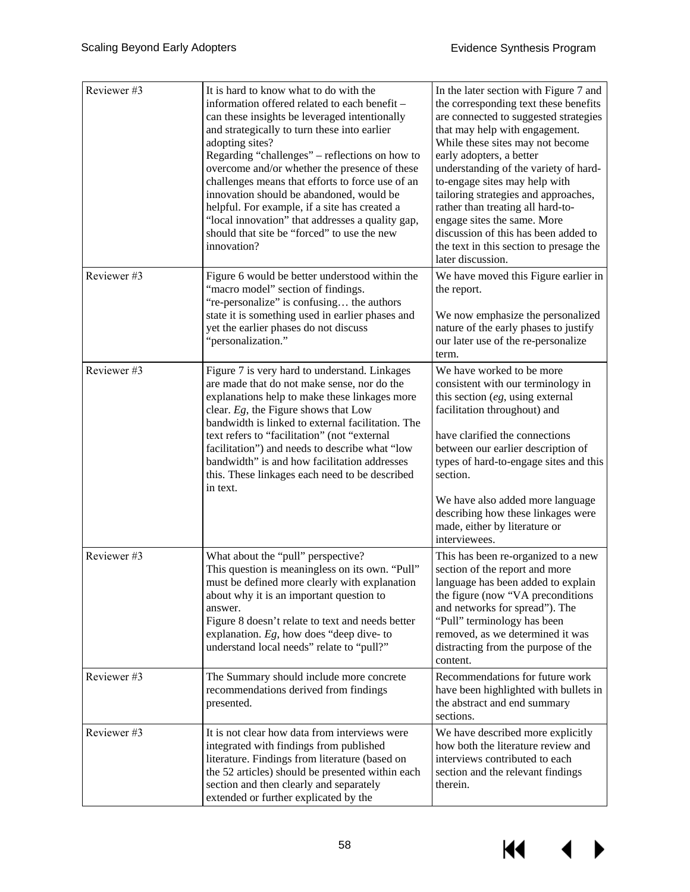| Reviewer#3 | It is hard to know what to do with the<br>information offered related to each benefit -<br>can these insights be leveraged intentionally<br>and strategically to turn these into earlier<br>adopting sites?<br>Regarding "challenges" – reflections on how to<br>overcome and/or whether the presence of these<br>challenges means that efforts to force use of an<br>innovation should be abandoned, would be<br>helpful. For example, if a site has created a<br>"local innovation" that addresses a quality gap,<br>should that site be "forced" to use the new<br>innovation? | In the later section with Figure 7 and<br>the corresponding text these benefits<br>are connected to suggested strategies<br>that may help with engagement.<br>While these sites may not become<br>early adopters, a better<br>understanding of the variety of hard-<br>to-engage sites may help with<br>tailoring strategies and approaches,<br>rather than treating all hard-to-<br>engage sites the same. More<br>discussion of this has been added to<br>the text in this section to presage the<br>later discussion. |
|------------|-----------------------------------------------------------------------------------------------------------------------------------------------------------------------------------------------------------------------------------------------------------------------------------------------------------------------------------------------------------------------------------------------------------------------------------------------------------------------------------------------------------------------------------------------------------------------------------|--------------------------------------------------------------------------------------------------------------------------------------------------------------------------------------------------------------------------------------------------------------------------------------------------------------------------------------------------------------------------------------------------------------------------------------------------------------------------------------------------------------------------|
| Reviewer#3 | Figure 6 would be better understood within the<br>"macro model" section of findings.<br>"re-personalize" is confusing the authors<br>state it is something used in earlier phases and<br>yet the earlier phases do not discuss<br>"personalization."                                                                                                                                                                                                                                                                                                                              | We have moved this Figure earlier in<br>the report.<br>We now emphasize the personalized<br>nature of the early phases to justify<br>our later use of the re-personalize<br>term.                                                                                                                                                                                                                                                                                                                                        |
| Reviewer#3 | Figure 7 is very hard to understand. Linkages<br>are made that do not make sense, nor do the<br>explanations help to make these linkages more<br>clear. Eg, the Figure shows that Low<br>bandwidth is linked to external facilitation. The<br>text refers to "facilitation" (not "external<br>facilitation") and needs to describe what "low<br>bandwidth" is and how facilitation addresses<br>this. These linkages each need to be described<br>in text.                                                                                                                        | We have worked to be more<br>consistent with our terminology in<br>this section $(eg, \text{using external})$<br>facilitation throughout) and<br>have clarified the connections<br>between our earlier description of<br>types of hard-to-engage sites and this<br>section.<br>We have also added more language<br>describing how these linkages were<br>made, either by literature or<br>interviewees.                                                                                                                  |
| Reviewer#3 | What about the "pull" perspective?<br>This question is meaningless on its own. "Pull"<br>must be defined more clearly with explanation<br>about why it is an important question to<br>answer.<br>Figure 8 doesn't relate to text and needs better<br>explanation. $Eg$ , how does "deep dive- to<br>understand local needs" relate to "pull?"                                                                                                                                                                                                                                     | This has been re-organized to a new<br>section of the report and more<br>language has been added to explain<br>the figure (now "VA preconditions<br>and networks for spread"). The<br>"Pull" terminology has been<br>removed, as we determined it was<br>distracting from the purpose of the<br>content.                                                                                                                                                                                                                 |
| Reviewer#3 | The Summary should include more concrete<br>recommendations derived from findings<br>presented.                                                                                                                                                                                                                                                                                                                                                                                                                                                                                   | Recommendations for future work<br>have been highlighted with bullets in<br>the abstract and end summary<br>sections.                                                                                                                                                                                                                                                                                                                                                                                                    |
| Reviewer#3 | It is not clear how data from interviews were<br>integrated with findings from published<br>literature. Findings from literature (based on<br>the 52 articles) should be presented within each<br>section and then clearly and separately<br>extended or further explicated by the                                                                                                                                                                                                                                                                                                | We have described more explicitly<br>how both the literature review and<br>interviews contributed to each<br>section and the relevant findings<br>therein.                                                                                                                                                                                                                                                                                                                                                               |

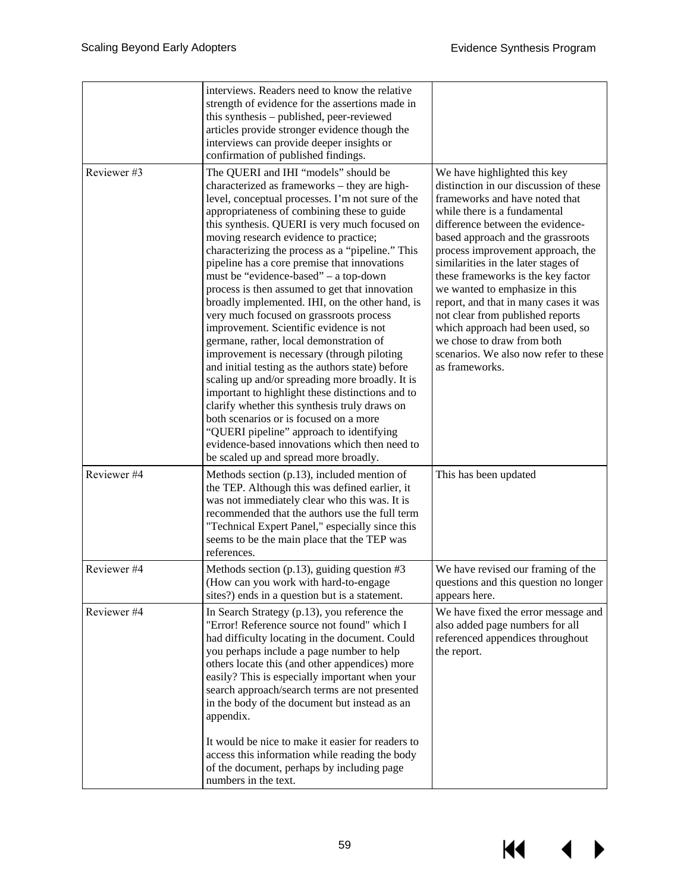$M \rightarrow$ 

|             | interviews. Readers need to know the relative<br>strength of evidence for the assertions made in<br>this synthesis – published, peer-reviewed<br>articles provide stronger evidence though the<br>interviews can provide deeper insights or<br>confirmation of published findings.                                                                                                                                                                                                                                                                                                                                                                                                                                                                                                                                                                                                                                                                                                                                                                                                                             |                                                                                                                                                                                                                                                                                                                                                                                                                                                                                                                                                                                 |
|-------------|----------------------------------------------------------------------------------------------------------------------------------------------------------------------------------------------------------------------------------------------------------------------------------------------------------------------------------------------------------------------------------------------------------------------------------------------------------------------------------------------------------------------------------------------------------------------------------------------------------------------------------------------------------------------------------------------------------------------------------------------------------------------------------------------------------------------------------------------------------------------------------------------------------------------------------------------------------------------------------------------------------------------------------------------------------------------------------------------------------------|---------------------------------------------------------------------------------------------------------------------------------------------------------------------------------------------------------------------------------------------------------------------------------------------------------------------------------------------------------------------------------------------------------------------------------------------------------------------------------------------------------------------------------------------------------------------------------|
| Reviewer#3  | The QUERI and IHI "models" should be<br>characterized as frameworks - they are high-<br>level, conceptual processes. I'm not sure of the<br>appropriateness of combining these to guide<br>this synthesis. QUERI is very much focused on<br>moving research evidence to practice;<br>characterizing the process as a "pipeline." This<br>pipeline has a core premise that innovations<br>must be "evidence-based" – a top-down<br>process is then assumed to get that innovation<br>broadly implemented. IHI, on the other hand, is<br>very much focused on grassroots process<br>improvement. Scientific evidence is not<br>germane, rather, local demonstration of<br>improvement is necessary (through piloting<br>and initial testing as the authors state) before<br>scaling up and/or spreading more broadly. It is<br>important to highlight these distinctions and to<br>clarify whether this synthesis truly draws on<br>both scenarios or is focused on a more<br>"QUERI pipeline" approach to identifying<br>evidence-based innovations which then need to<br>be scaled up and spread more broadly. | We have highlighted this key<br>distinction in our discussion of these<br>frameworks and have noted that<br>while there is a fundamental<br>difference between the evidence-<br>based approach and the grassroots<br>process improvement approach, the<br>similarities in the later stages of<br>these frameworks is the key factor<br>we wanted to emphasize in this<br>report, and that in many cases it was<br>not clear from published reports<br>which approach had been used, so<br>we chose to draw from both<br>scenarios. We also now refer to these<br>as frameworks. |
| Reviewer #4 | Methods section $(p.13)$ , included mention of<br>the TEP. Although this was defined earlier, it<br>was not immediately clear who this was. It is<br>recommended that the authors use the full term<br>"Technical Expert Panel," especially since this<br>seems to be the main place that the TEP was<br>references.                                                                                                                                                                                                                                                                                                                                                                                                                                                                                                                                                                                                                                                                                                                                                                                           | This has been updated                                                                                                                                                                                                                                                                                                                                                                                                                                                                                                                                                           |
| Reviewer #4 | Methods section (p.13), guiding question $#3$<br>(How can you work with hard-to-engage<br>sites?) ends in a question but is a statement.                                                                                                                                                                                                                                                                                                                                                                                                                                                                                                                                                                                                                                                                                                                                                                                                                                                                                                                                                                       | We have revised our framing of the<br>questions and this question no longer<br>appears here.                                                                                                                                                                                                                                                                                                                                                                                                                                                                                    |
| Reviewer #4 | In Search Strategy (p.13), you reference the<br>"Error! Reference source not found" which I<br>had difficulty locating in the document. Could<br>you perhaps include a page number to help<br>others locate this (and other appendices) more<br>easily? This is especially important when your<br>search approach/search terms are not presented<br>in the body of the document but instead as an<br>appendix.<br>It would be nice to make it easier for readers to<br>access this information while reading the body<br>of the document, perhaps by including page<br>numbers in the text.                                                                                                                                                                                                                                                                                                                                                                                                                                                                                                                    | We have fixed the error message and<br>also added page numbers for all<br>referenced appendices throughout<br>the report.                                                                                                                                                                                                                                                                                                                                                                                                                                                       |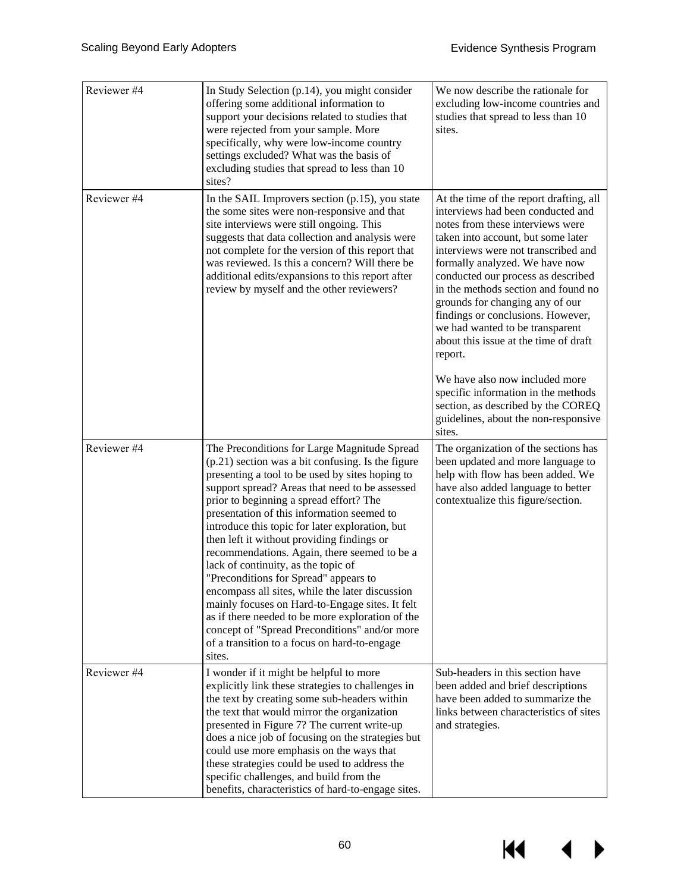$\overline{\mathbf{A}}$ 

▶

KI

| Reviewer #4 | In Study Selection (p.14), you might consider<br>offering some additional information to<br>support your decisions related to studies that<br>were rejected from your sample. More<br>specifically, why were low-income country<br>settings excluded? What was the basis of<br>excluding studies that spread to less than 10<br>sites?                                                                                                                                                                                                                                                                                                                                                                                                                                                                  | We now describe the rationale for<br>excluding low-income countries and<br>studies that spread to less than 10<br>sites.                                                                                                                                                                                                                                                                                                                                                    |
|-------------|---------------------------------------------------------------------------------------------------------------------------------------------------------------------------------------------------------------------------------------------------------------------------------------------------------------------------------------------------------------------------------------------------------------------------------------------------------------------------------------------------------------------------------------------------------------------------------------------------------------------------------------------------------------------------------------------------------------------------------------------------------------------------------------------------------|-----------------------------------------------------------------------------------------------------------------------------------------------------------------------------------------------------------------------------------------------------------------------------------------------------------------------------------------------------------------------------------------------------------------------------------------------------------------------------|
| Reviewer #4 | In the SAIL Improvers section (p.15), you state<br>the some sites were non-responsive and that<br>site interviews were still ongoing. This<br>suggests that data collection and analysis were<br>not complete for the version of this report that<br>was reviewed. Is this a concern? Will there be<br>additional edits/expansions to this report after<br>review by myself and the other reviewers?                                                                                                                                                                                                                                                                                                                                                                                                    | At the time of the report drafting, all<br>interviews had been conducted and<br>notes from these interviews were<br>taken into account, but some later<br>interviews were not transcribed and<br>formally analyzed. We have now<br>conducted our process as described<br>in the methods section and found no<br>grounds for changing any of our<br>findings or conclusions. However,<br>we had wanted to be transparent<br>about this issue at the time of draft<br>report. |
|             |                                                                                                                                                                                                                                                                                                                                                                                                                                                                                                                                                                                                                                                                                                                                                                                                         | We have also now included more<br>specific information in the methods<br>section, as described by the COREQ<br>guidelines, about the non-responsive<br>sites.                                                                                                                                                                                                                                                                                                               |
| Reviewer #4 | The Preconditions for Large Magnitude Spread<br>$(p.21)$ section was a bit confusing. Is the figure<br>presenting a tool to be used by sites hoping to<br>support spread? Areas that need to be assessed<br>prior to beginning a spread effort? The<br>presentation of this information seemed to<br>introduce this topic for later exploration, but<br>then left it without providing findings or<br>recommendations. Again, there seemed to be a<br>lack of continuity, as the topic of<br>"Preconditions for Spread" appears to<br>encompass all sites, while the later discussion<br>mainly focuses on Hard-to-Engage sites. It felt<br>as if there needed to be more exploration of the<br>concept of "Spread Preconditions" and/or more<br>of a transition to a focus on hard-to-engage<br>sites. | The organization of the sections has<br>been updated and more language to<br>help with flow has been added. We<br>have also added language to better<br>contextualize this figure/section.                                                                                                                                                                                                                                                                                  |
| Reviewer#4  | I wonder if it might be helpful to more<br>explicitly link these strategies to challenges in<br>the text by creating some sub-headers within<br>the text that would mirror the organization<br>presented in Figure 7? The current write-up<br>does a nice job of focusing on the strategies but<br>could use more emphasis on the ways that<br>these strategies could be used to address the<br>specific challenges, and build from the<br>benefits, characteristics of hard-to-engage sites.                                                                                                                                                                                                                                                                                                           | Sub-headers in this section have<br>been added and brief descriptions<br>have been added to summarize the<br>links between characteristics of sites<br>and strategies.                                                                                                                                                                                                                                                                                                      |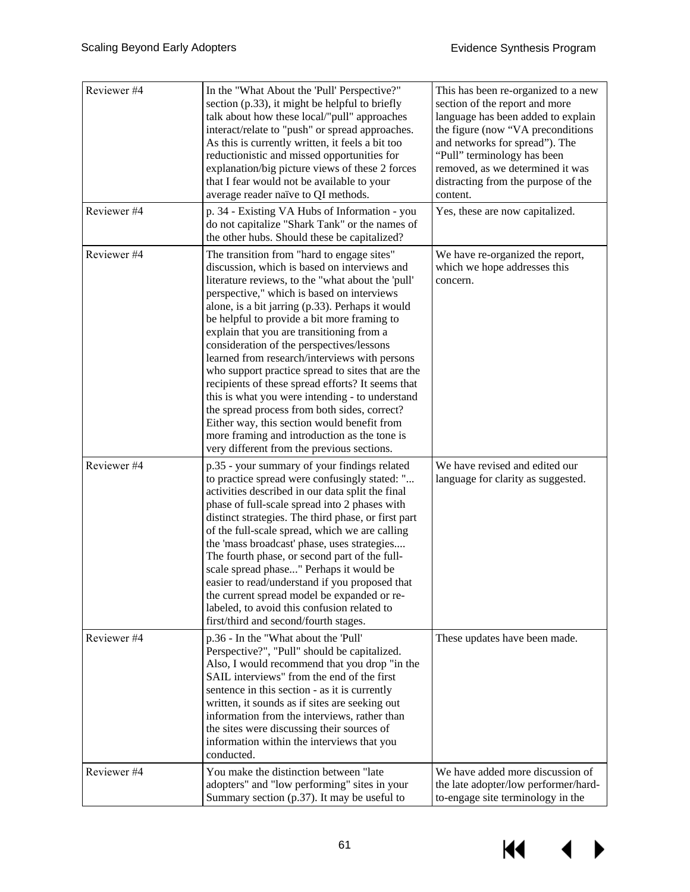| Reviewer #4<br>Reviewer #4 | In the "What About the 'Pull' Perspective?"<br>section (p.33), it might be helpful to briefly<br>talk about how these local/"pull" approaches<br>interact/relate to "push" or spread approaches.<br>As this is currently written, it feels a bit too<br>reductionistic and missed opportunities for<br>explanation/big picture views of these 2 forces<br>that I fear would not be available to your<br>average reader naïve to QI methods.<br>p. 34 - Existing VA Hubs of Information - you                                                                                                                                                                                                                                                                                                          | This has been re-organized to a new<br>section of the report and more<br>language has been added to explain<br>the figure (now "VA preconditions<br>and networks for spread"). The<br>"Pull" terminology has been<br>removed, as we determined it was<br>distracting from the purpose of the<br>content.<br>Yes, these are now capitalized. |
|----------------------------|-------------------------------------------------------------------------------------------------------------------------------------------------------------------------------------------------------------------------------------------------------------------------------------------------------------------------------------------------------------------------------------------------------------------------------------------------------------------------------------------------------------------------------------------------------------------------------------------------------------------------------------------------------------------------------------------------------------------------------------------------------------------------------------------------------|---------------------------------------------------------------------------------------------------------------------------------------------------------------------------------------------------------------------------------------------------------------------------------------------------------------------------------------------|
|                            | do not capitalize "Shark Tank" or the names of<br>the other hubs. Should these be capitalized?                                                                                                                                                                                                                                                                                                                                                                                                                                                                                                                                                                                                                                                                                                        |                                                                                                                                                                                                                                                                                                                                             |
| Reviewer #4                | The transition from "hard to engage sites"<br>discussion, which is based on interviews and<br>literature reviews, to the "what about the 'pull'<br>perspective," which is based on interviews<br>alone, is a bit jarring (p.33). Perhaps it would<br>be helpful to provide a bit more framing to<br>explain that you are transitioning from a<br>consideration of the perspectives/lessons<br>learned from research/interviews with persons<br>who support practice spread to sites that are the<br>recipients of these spread efforts? It seems that<br>this is what you were intending - to understand<br>the spread process from both sides, correct?<br>Either way, this section would benefit from<br>more framing and introduction as the tone is<br>very different from the previous sections. | We have re-organized the report,<br>which we hope addresses this<br>concern.                                                                                                                                                                                                                                                                |
| Reviewer #4                | p.35 - your summary of your findings related<br>to practice spread were confusingly stated: "<br>activities described in our data split the final<br>phase of full-scale spread into 2 phases with<br>distinct strategies. The third phase, or first part<br>of the full-scale spread, which we are calling<br>the 'mass broadcast' phase, uses strategies<br>The fourth phase, or second part of the full-<br>scale spread phase" Perhaps it would be<br>easier to read/understand if you proposed that<br>the current spread model be expanded or re-<br>labeled, to avoid this confusion related to<br>first/third and second/fourth stages.                                                                                                                                                       | We have revised and edited our<br>language for clarity as suggested.                                                                                                                                                                                                                                                                        |
| Reviewer #4                | p.36 - In the "What about the 'Pull'<br>Perspective?", "Pull" should be capitalized.<br>Also, I would recommend that you drop "in the<br>SAIL interviews" from the end of the first<br>sentence in this section - as it is currently<br>written, it sounds as if sites are seeking out<br>information from the interviews, rather than<br>the sites were discussing their sources of<br>information within the interviews that you<br>conducted.                                                                                                                                                                                                                                                                                                                                                      | These updates have been made.                                                                                                                                                                                                                                                                                                               |
| Reviewer #4                | You make the distinction between "late<br>adopters" and "low performing" sites in your<br>Summary section $(p.37)$ . It may be useful to                                                                                                                                                                                                                                                                                                                                                                                                                                                                                                                                                                                                                                                              | We have added more discussion of<br>the late adopter/low performer/hard-<br>to-engage site terminology in the                                                                                                                                                                                                                               |

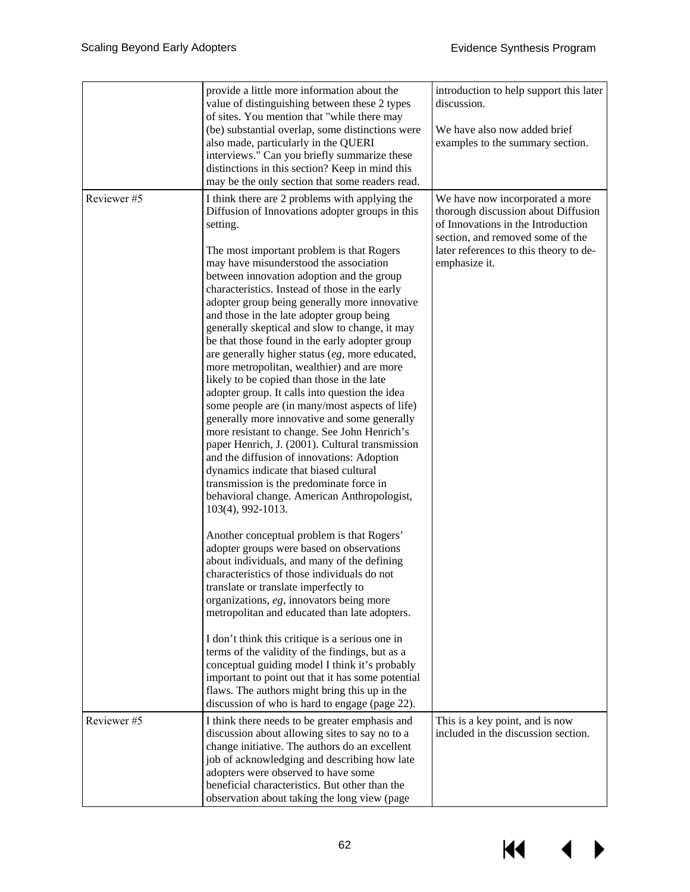14

▶

◢

|            | provide a little more information about the<br>value of distinguishing between these 2 types<br>of sites. You mention that "while there may<br>(be) substantial overlap, some distinctions were<br>also made, particularly in the QUERI<br>interviews." Can you briefly summarize these<br>distinctions in this section? Keep in mind this<br>may be the only section that some readers read.                                                                                                                                                                                                                                                                                                                                                                                                                                                                                                                                                                                                                                                                                                                                                                                                                                                                                                                                                                                                                                                                                                                                                                                                                                                                     | introduction to help support this later<br>discussion.<br>We have also now added brief<br>examples to the summary section.                                                                                  |
|------------|-------------------------------------------------------------------------------------------------------------------------------------------------------------------------------------------------------------------------------------------------------------------------------------------------------------------------------------------------------------------------------------------------------------------------------------------------------------------------------------------------------------------------------------------------------------------------------------------------------------------------------------------------------------------------------------------------------------------------------------------------------------------------------------------------------------------------------------------------------------------------------------------------------------------------------------------------------------------------------------------------------------------------------------------------------------------------------------------------------------------------------------------------------------------------------------------------------------------------------------------------------------------------------------------------------------------------------------------------------------------------------------------------------------------------------------------------------------------------------------------------------------------------------------------------------------------------------------------------------------------------------------------------------------------|-------------------------------------------------------------------------------------------------------------------------------------------------------------------------------------------------------------|
| Reviewer#5 | I think there are 2 problems with applying the<br>Diffusion of Innovations adopter groups in this<br>setting.<br>The most important problem is that Rogers<br>may have misunderstood the association<br>between innovation adoption and the group<br>characteristics. Instead of those in the early<br>adopter group being generally more innovative<br>and those in the late adopter group being<br>generally skeptical and slow to change, it may<br>be that those found in the early adopter group<br>are generally higher status $(eg,$ more educated,<br>more metropolitan, wealthier) and are more<br>likely to be copied than those in the late<br>adopter group. It calls into question the idea<br>some people are (in many/most aspects of life)<br>generally more innovative and some generally<br>more resistant to change. See John Henrich's<br>paper Henrich, J. (2001). Cultural transmission<br>and the diffusion of innovations: Adoption<br>dynamics indicate that biased cultural<br>transmission is the predominate force in<br>behavioral change. American Anthropologist,<br>103(4), 992-1013.<br>Another conceptual problem is that Rogers'<br>adopter groups were based on observations<br>about individuals, and many of the defining<br>characteristics of those individuals do not<br>translate or translate imperfectly to<br>organizations, eg, innovators being more<br>metropolitan and educated than late adopters.<br>I don't think this critique is a serious one in<br>terms of the validity of the findings, but as a<br>conceptual guiding model I think it's probably<br>important to point out that it has some potential | We have now incorporated a more<br>thorough discussion about Diffusion<br>of Innovations in the Introduction<br>section, and removed some of the<br>later references to this theory to de-<br>emphasize it. |
| Reviewer#5 | flaws. The authors might bring this up in the<br>discussion of who is hard to engage (page 22).                                                                                                                                                                                                                                                                                                                                                                                                                                                                                                                                                                                                                                                                                                                                                                                                                                                                                                                                                                                                                                                                                                                                                                                                                                                                                                                                                                                                                                                                                                                                                                   | This is a key point, and is now                                                                                                                                                                             |
|            | I think there needs to be greater emphasis and<br>discussion about allowing sites to say no to a<br>change initiative. The authors do an excellent<br>job of acknowledging and describing how late<br>adopters were observed to have some<br>beneficial characteristics. But other than the<br>observation about taking the long view (page                                                                                                                                                                                                                                                                                                                                                                                                                                                                                                                                                                                                                                                                                                                                                                                                                                                                                                                                                                                                                                                                                                                                                                                                                                                                                                                       | included in the discussion section.                                                                                                                                                                         |

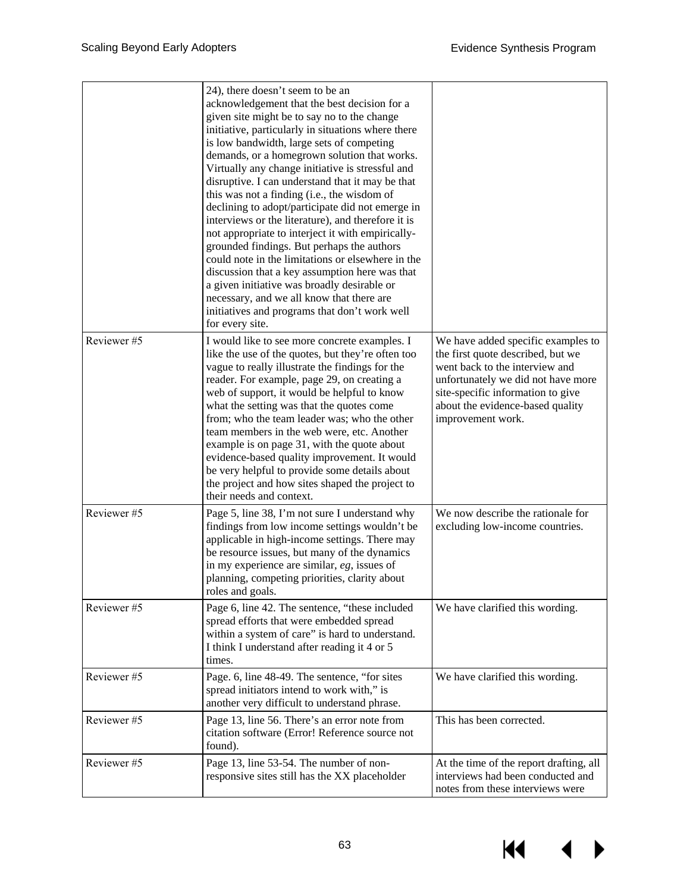|            | 24), there doesn't seem to be an<br>acknowledgement that the best decision for a<br>given site might be to say no to the change<br>initiative, particularly in situations where there<br>is low bandwidth, large sets of competing<br>demands, or a homegrown solution that works.<br>Virtually any change initiative is stressful and<br>disruptive. I can understand that it may be that<br>this was not a finding (i.e., the wisdom of<br>declining to adopt/participate did not emerge in<br>interviews or the literature), and therefore it is<br>not appropriate to interject it with empirically-<br>grounded findings. But perhaps the authors<br>could note in the limitations or elsewhere in the<br>discussion that a key assumption here was that<br>a given initiative was broadly desirable or<br>necessary, and we all know that there are<br>initiatives and programs that don't work well<br>for every site. |                                                                                                                                                                                                                                               |
|------------|-------------------------------------------------------------------------------------------------------------------------------------------------------------------------------------------------------------------------------------------------------------------------------------------------------------------------------------------------------------------------------------------------------------------------------------------------------------------------------------------------------------------------------------------------------------------------------------------------------------------------------------------------------------------------------------------------------------------------------------------------------------------------------------------------------------------------------------------------------------------------------------------------------------------------------|-----------------------------------------------------------------------------------------------------------------------------------------------------------------------------------------------------------------------------------------------|
| Reviewer#5 | I would like to see more concrete examples. I<br>like the use of the quotes, but they're often too<br>vague to really illustrate the findings for the<br>reader. For example, page 29, on creating a<br>web of support, it would be helpful to know<br>what the setting was that the quotes come<br>from; who the team leader was; who the other<br>team members in the web were, etc. Another<br>example is on page 31, with the quote about<br>evidence-based quality improvement. It would<br>be very helpful to provide some details about<br>the project and how sites shaped the project to<br>their needs and context.                                                                                                                                                                                                                                                                                                 | We have added specific examples to<br>the first quote described, but we<br>went back to the interview and<br>unfortunately we did not have more<br>site-specific information to give<br>about the evidence-based quality<br>improvement work. |
| Reviewer#5 | Page 5, line 38, I'm not sure I understand why<br>findings from low income settings wouldn't be<br>applicable in high-income settings. There may<br>be resource issues, but many of the dynamics<br>in my experience are similar, $eg$ , issues of<br>planning, competing priorities, clarity about<br>roles and goals.                                                                                                                                                                                                                                                                                                                                                                                                                                                                                                                                                                                                       | We now describe the rationale for<br>excluding low-income countries.                                                                                                                                                                          |
| Reviewer#5 | Page 6, line 42. The sentence, "these included<br>spread efforts that were embedded spread<br>within a system of care" is hard to understand.<br>I think I understand after reading it 4 or 5<br>times.                                                                                                                                                                                                                                                                                                                                                                                                                                                                                                                                                                                                                                                                                                                       | We have clarified this wording.                                                                                                                                                                                                               |
| Reviewer#5 | Page. 6, line 48-49. The sentence, "for sites<br>spread initiators intend to work with," is<br>another very difficult to understand phrase.                                                                                                                                                                                                                                                                                                                                                                                                                                                                                                                                                                                                                                                                                                                                                                                   | We have clarified this wording.                                                                                                                                                                                                               |
| Reviewer#5 | Page 13, line 56. There's an error note from<br>citation software (Error! Reference source not<br>found).                                                                                                                                                                                                                                                                                                                                                                                                                                                                                                                                                                                                                                                                                                                                                                                                                     | This has been corrected.                                                                                                                                                                                                                      |
| Reviewer#5 | Page 13, line 53-54. The number of non-<br>responsive sites still has the XX placeholder                                                                                                                                                                                                                                                                                                                                                                                                                                                                                                                                                                                                                                                                                                                                                                                                                                      | At the time of the report drafting, all<br>interviews had been conducted and<br>notes from these interviews were                                                                                                                              |

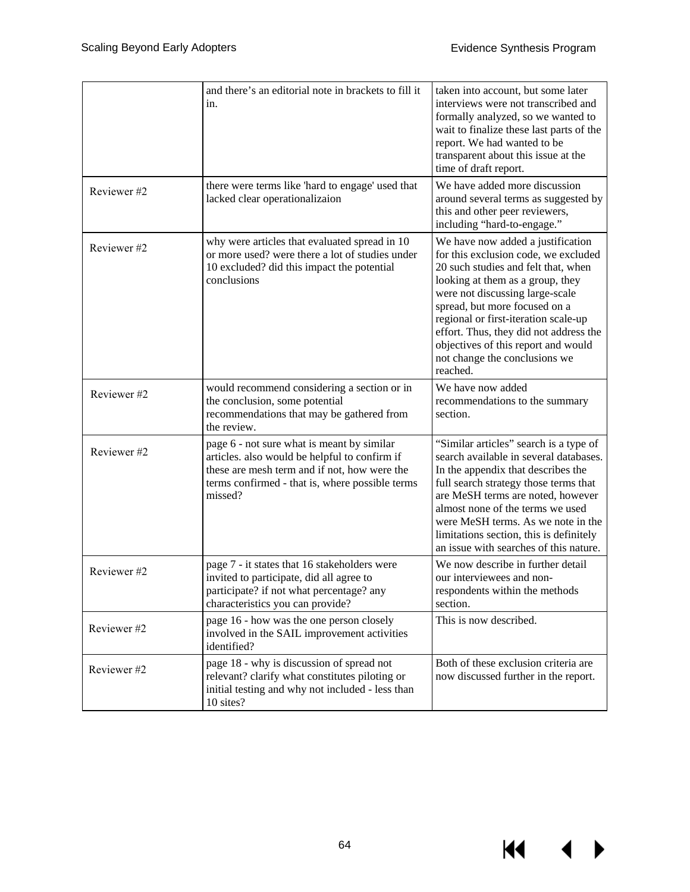$M \rightarrow$ 

|             | and there's an editorial note in brackets to fill it<br>in.                                                                                                                                               | taken into account, but some later<br>interviews were not transcribed and<br>formally analyzed, so we wanted to<br>wait to finalize these last parts of the<br>report. We had wanted to be<br>transparent about this issue at the<br>time of draft report.                                                                                                                                     |
|-------------|-----------------------------------------------------------------------------------------------------------------------------------------------------------------------------------------------------------|------------------------------------------------------------------------------------------------------------------------------------------------------------------------------------------------------------------------------------------------------------------------------------------------------------------------------------------------------------------------------------------------|
| Reviewer#2  | there were terms like 'hard to engage' used that<br>lacked clear operationalizaion                                                                                                                        | We have added more discussion<br>around several terms as suggested by<br>this and other peer reviewers,<br>including "hard-to-engage."                                                                                                                                                                                                                                                         |
| Reviewer #2 | why were articles that evaluated spread in 10<br>or more used? were there a lot of studies under<br>10 excluded? did this impact the potential<br>conclusions                                             | We have now added a justification<br>for this exclusion code, we excluded<br>20 such studies and felt that, when<br>looking at them as a group, they<br>were not discussing large-scale<br>spread, but more focused on a<br>regional or first-iteration scale-up<br>effort. Thus, they did not address the<br>objectives of this report and would<br>not change the conclusions we<br>reached. |
| Reviewer #2 | would recommend considering a section or in<br>the conclusion, some potential<br>recommendations that may be gathered from<br>the review.                                                                 | We have now added<br>recommendations to the summary<br>section.                                                                                                                                                                                                                                                                                                                                |
| Reviewer #2 | page 6 - not sure what is meant by similar<br>articles. also would be helpful to confirm if<br>these are mesh term and if not, how were the<br>terms confirmed - that is, where possible terms<br>missed? | "Similar articles" search is a type of<br>search available in several databases.<br>In the appendix that describes the<br>full search strategy those terms that<br>are MeSH terms are noted, however<br>almost none of the terms we used<br>were MeSH terms. As we note in the<br>limitations section, this is definitely<br>an issue with searches of this nature.                            |
| Reviewer#2  | page 7 - it states that 16 stakeholders were<br>invited to participate, did all agree to<br>participate? if not what percentage? any<br>characteristics you can provide?                                  | We now describe in further detail<br>our interviewees and non-<br>respondents within the methods<br>section.                                                                                                                                                                                                                                                                                   |
| Reviewer #2 | page 16 - how was the one person closely<br>involved in the SAIL improvement activities<br>identified?                                                                                                    | This is now described.                                                                                                                                                                                                                                                                                                                                                                         |
| Reviewer #2 | page 18 - why is discussion of spread not<br>relevant? clarify what constitutes piloting or<br>initial testing and why not included - less than<br>10 sites?                                              | Both of these exclusion criteria are<br>now discussed further in the report.                                                                                                                                                                                                                                                                                                                   |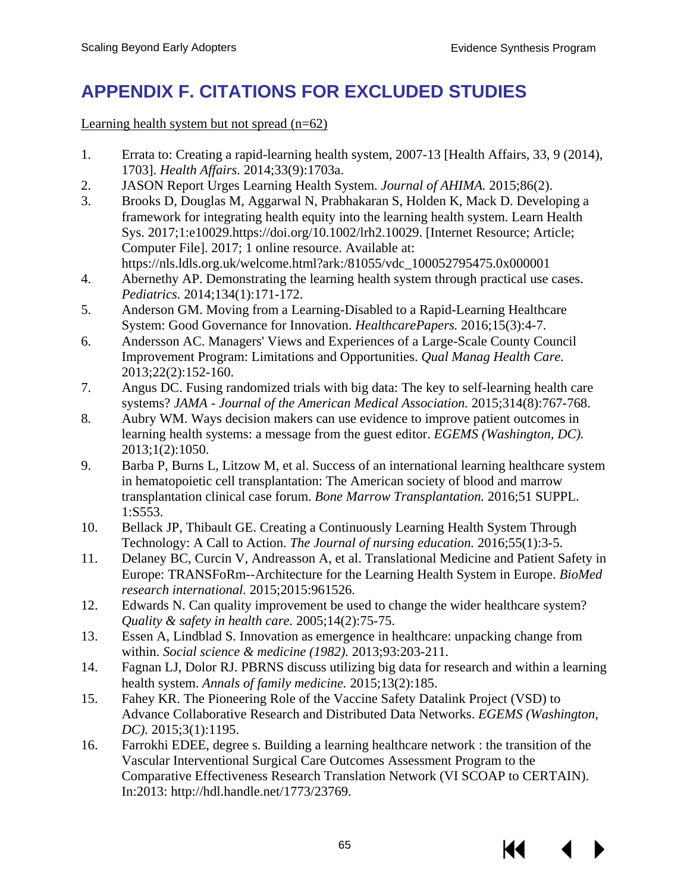# **APPENDIX F. CITATIONS FOR EXCLUDED STUDIES**

Learning health system but not spread  $(n=62)$ 

- 1. Errata to: Creating a rapid-learning health system, 2007-13 [Health Affairs, 33, 9 (2014), 1703]. *Health Affairs.* 2014;33(9):1703a.
- 2. JASON Report Urges Learning Health System. *Journal of AHIMA.* 2015;86(2).
- 3. Brooks D, Douglas M, Aggarwal N, Prabhakaran S, Holden K, Mack D. Developing a framework for integrating health equity into the learning health system. Learn Health Sys. 2017;1:e10029.https://doi.org/10.1002/lrh2.10029. [Internet Resource; Article; Computer File]. 2017; 1 online resource. Available at: https://nls.ldls.org.uk/welcome.html?ark:/81055/vdc\_100052795475.0x000001
- 4. Abernethy AP. Demonstrating the learning health system through practical use cases. *Pediatrics.* 2014;134(1):171-172.
- 5. Anderson GM. Moving from a Learning-Disabled to a Rapid-Learning Healthcare System: Good Governance for Innovation. *HealthcarePapers.* 2016;15(3):4-7.
- 6. Andersson AC. Managers' Views and Experiences of a Large-Scale County Council Improvement Program: Limitations and Opportunities. *Qual Manag Health Care.* 2013;22(2):152-160.
- 7. Angus DC. Fusing randomized trials with big data: The key to self-learning health care systems? *JAMA - Journal of the American Medical Association.* 2015;314(8):767-768.
- 8. Aubry WM. Ways decision makers can use evidence to improve patient outcomes in learning health systems: a message from the guest editor. *EGEMS (Washington, DC).* 2013;1(2):1050.
- 9. Barba P, Burns L, Litzow M, et al. Success of an international learning healthcare system in hematopoietic cell transplantation: The American society of blood and marrow transplantation clinical case forum. *Bone Marrow Transplantation.* 2016;51 SUPPL. 1:S553.
- 10. Bellack JP, Thibault GE. Creating a Continuously Learning Health System Through Technology: A Call to Action. *The Journal of nursing education.* 2016;55(1):3-5.
- 11. Delaney BC, Curcin V, Andreasson A, et al. Translational Medicine and Patient Safety in Europe: TRANSFoRm--Architecture for the Learning Health System in Europe. *BioMed research international.* 2015;2015:961526.
- 12. Edwards N. Can quality improvement be used to change the wider healthcare system? *Quality & safety in health care.* 2005;14(2):75-75.
- 13. Essen A, Lindblad S. Innovation as emergence in healthcare: unpacking change from within. *Social science & medicine (1982).* 2013;93:203-211.
- 14. Fagnan LJ, Dolor RJ. PBRNS discuss utilizing big data for research and within a learning health system. *Annals of family medicine.* 2015;13(2):185.
- 15. Fahey KR. The Pioneering Role of the Vaccine Safety Datalink Project (VSD) to Advance Collaborative Research and Distributed Data Networks. *EGEMS (Washington, DC).* 2015;3(1):1195.
- 16. Farrokhi EDEE, degree s. Building a learning healthcare network : the transition of the Vascular Interventional Surgical Care Outcomes Assessment Program to the Comparative Effectiveness Research Translation Network (VI SCOAP to CERTAIN). In:2013: http://hdl.handle.net/1773/23769.

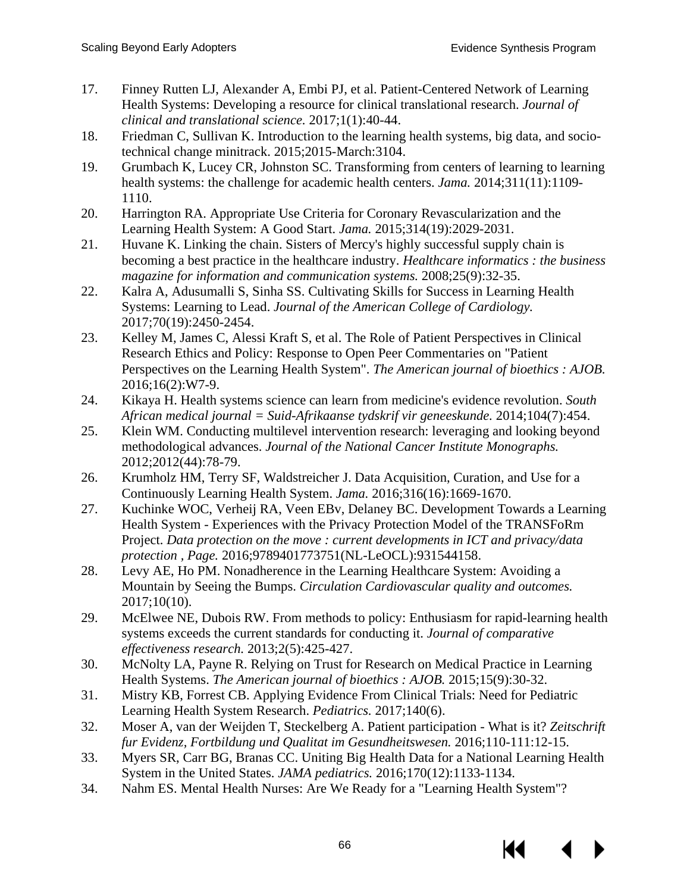- 17. Finney Rutten LJ, Alexander A, Embi PJ, et al. Patient-Centered Network of Learning Health Systems: Developing a resource for clinical translational research. *Journal of clinical and translational science.* 2017;1(1):40-44.
- 18. Friedman C, Sullivan K. Introduction to the learning health systems, big data, and sociotechnical change minitrack. 2015;2015-March:3104.
- 19. Grumbach K, Lucey CR, Johnston SC. Transforming from centers of learning to learning health systems: the challenge for academic health centers. *Jama.* 2014;311(11):1109- 1110.
- 20. Harrington RA. Appropriate Use Criteria for Coronary Revascularization and the Learning Health System: A Good Start. *Jama.* 2015;314(19):2029-2031.
- 21. Huvane K. Linking the chain. Sisters of Mercy's highly successful supply chain is becoming a best practice in the healthcare industry. *Healthcare informatics : the business magazine for information and communication systems.* 2008;25(9):32-35.
- 22. Kalra A, Adusumalli S, Sinha SS. Cultivating Skills for Success in Learning Health Systems: Learning to Lead. *Journal of the American College of Cardiology.* 2017;70(19):2450-2454.
- 23. Kelley M, James C, Alessi Kraft S, et al. The Role of Patient Perspectives in Clinical Research Ethics and Policy: Response to Open Peer Commentaries on "Patient Perspectives on the Learning Health System". *The American journal of bioethics : AJOB.* 2016;16(2):W7-9.
- 24. Kikaya H. Health systems science can learn from medicine's evidence revolution. *South African medical journal = Suid-Afrikaanse tydskrif vir geneeskunde.* 2014;104(7):454.
- 25. Klein WM. Conducting multilevel intervention research: leveraging and looking beyond methodological advances. *Journal of the National Cancer Institute Monographs.* 2012;2012(44):78-79.
- 26. Krumholz HM, Terry SF, Waldstreicher J. Data Acquisition, Curation, and Use for a Continuously Learning Health System. *Jama.* 2016;316(16):1669-1670.
- 27. Kuchinke WOC, Verheij RA, Veen EBv, Delaney BC. Development Towards a Learning Health System - Experiences with the Privacy Protection Model of the TRANSFoRm Project. *Data protection on the move : current developments in ICT and privacy/data protection , Page.* 2016;9789401773751(NL-LeOCL):931544158.
- 28. Levy AE, Ho PM. Nonadherence in the Learning Healthcare System: Avoiding a Mountain by Seeing the Bumps. *Circulation Cardiovascular quality and outcomes.* 2017;10(10).
- 29. McElwee NE, Dubois RW. From methods to policy: Enthusiasm for rapid-learning health systems exceeds the current standards for conducting it. *Journal of comparative effectiveness research.* 2013;2(5):425-427.
- 30. McNolty LA, Payne R. Relying on Trust for Research on Medical Practice in Learning Health Systems. *The American journal of bioethics : AJOB.* 2015;15(9):30-32.
- 31. Mistry KB, Forrest CB. Applying Evidence From Clinical Trials: Need for Pediatric Learning Health System Research. *Pediatrics.* 2017;140(6).
- 32. Moser A, van der Weijden T, Steckelberg A. Patient participation What is it? *Zeitschrift fur Evidenz, Fortbildung und Qualitat im Gesundheitswesen.* 2016;110-111:12-15.
- 33. Myers SR, Carr BG, Branas CC. Uniting Big Health Data for a National Learning Health System in the United States. *JAMA pediatrics.* 2016;170(12):1133-1134.
- 34. Nahm ES. Mental Health Nurses: Are We Ready for a "Learning Health System"?

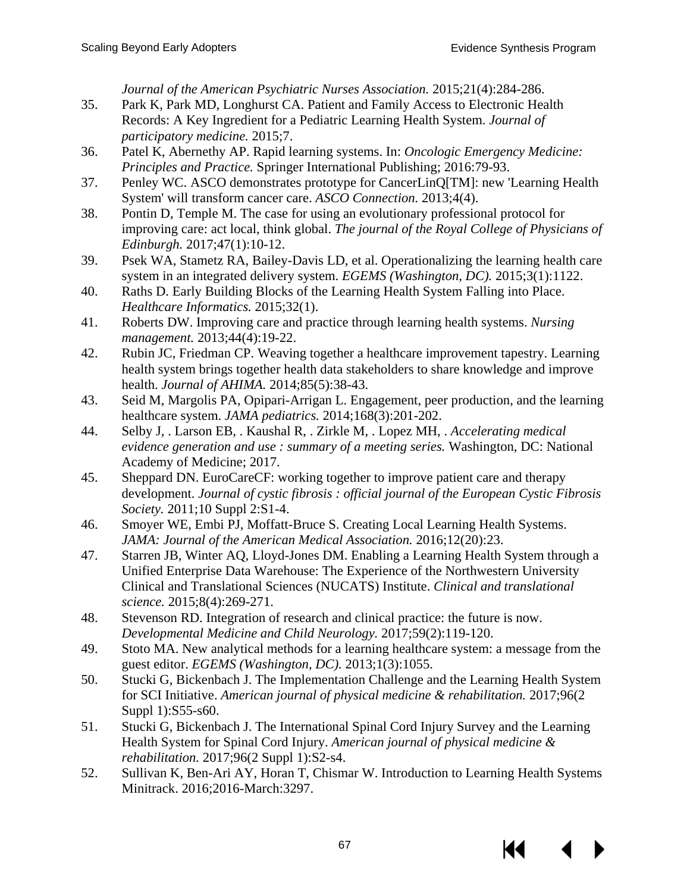*Journal of the American Psychiatric Nurses Association.* 2015;21(4):284-286.

- 35. Park K, Park MD, Longhurst CA. Patient and Family Access to Electronic Health Records: A Key Ingredient for a Pediatric Learning Health System. *Journal of participatory medicine.* 2015;7.
- 36. Patel K, Abernethy AP. Rapid learning systems. In: *Oncologic Emergency Medicine: Principles and Practice.* Springer International Publishing; 2016:79-93.
- 37. Penley WC. ASCO demonstrates prototype for CancerLinQ[TM]: new 'Learning Health System' will transform cancer care. *ASCO Connection.* 2013;4(4).
- 38. Pontin D, Temple M. The case for using an evolutionary professional protocol for improving care: act local, think global. *The journal of the Royal College of Physicians of Edinburgh.* 2017;47(1):10-12.
- 39. Psek WA, Stametz RA, Bailey-Davis LD, et al. Operationalizing the learning health care system in an integrated delivery system. *EGEMS (Washington, DC).* 2015;3(1):1122.
- 40. Raths D. Early Building Blocks of the Learning Health System Falling into Place. *Healthcare Informatics.* 2015;32(1).
- 41. Roberts DW. Improving care and practice through learning health systems. *Nursing management.* 2013;44(4):19-22.
- 42. Rubin JC, Friedman CP. Weaving together a healthcare improvement tapestry. Learning health system brings together health data stakeholders to share knowledge and improve health. *Journal of AHIMA.* 2014;85(5):38-43.
- 43. Seid M, Margolis PA, Opipari-Arrigan L. Engagement, peer production, and the learning healthcare system. *JAMA pediatrics.* 2014;168(3):201-202.
- 44. Selby J, . Larson EB, . Kaushal R, . Zirkle M, . Lopez MH, . *Accelerating medical evidence generation and use : summary of a meeting series.* Washington, DC: National Academy of Medicine; 2017.
- 45. Sheppard DN. EuroCareCF: working together to improve patient care and therapy development. *Journal of cystic fibrosis : official journal of the European Cystic Fibrosis Society.* 2011;10 Suppl 2:S1-4.
- 46. Smoyer WE, Embi PJ, Moffatt-Bruce S. Creating Local Learning Health Systems. *JAMA: Journal of the American Medical Association.* 2016;12(20):23.
- 47. Starren JB, Winter AQ, Lloyd-Jones DM. Enabling a Learning Health System through a Unified Enterprise Data Warehouse: The Experience of the Northwestern University Clinical and Translational Sciences (NUCATS) Institute. *Clinical and translational science.* 2015;8(4):269-271.
- 48. Stevenson RD. Integration of research and clinical practice: the future is now. *Developmental Medicine and Child Neurology.* 2017;59(2):119-120.
- 49. Stoto MA. New analytical methods for a learning healthcare system: a message from the guest editor. *EGEMS (Washington, DC).* 2013;1(3):1055.
- 50. Stucki G, Bickenbach J. The Implementation Challenge and the Learning Health System for SCI Initiative. *American journal of physical medicine & rehabilitation.* 2017;96(2 Suppl 1):S55-s60.
- 51. Stucki G, Bickenbach J. The International Spinal Cord Injury Survey and the Learning Health System for Spinal Cord Injury. *American journal of physical medicine & rehabilitation.* 2017;96(2 Suppl 1):S2-s4.
- 52. Sullivan K, Ben-Ari AY, Horan T, Chismar W. Introduction to Learning Health Systems Minitrack. 2016;2016-March:3297.

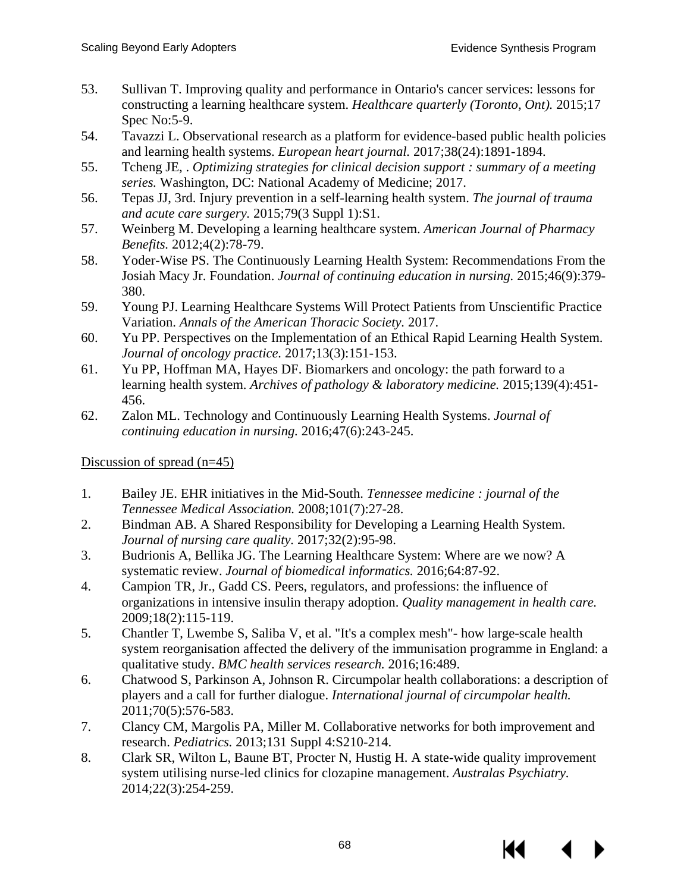- 53. Sullivan T. Improving quality and performance in Ontario's cancer services: lessons for constructing a learning healthcare system. *Healthcare quarterly (Toronto, Ont).* 2015;17 Spec No:5-9.
- 54. Tavazzi L. Observational research as a platform for evidence-based public health policies and learning health systems. *European heart journal.* 2017;38(24):1891-1894.
- 55. Tcheng JE, . *Optimizing strategies for clinical decision support : summary of a meeting series.* Washington, DC: National Academy of Medicine; 2017.
- 56. Tepas JJ, 3rd. Injury prevention in a self-learning health system. *The journal of trauma and acute care surgery.* 2015;79(3 Suppl 1):S1.
- 57. Weinberg M. Developing a learning healthcare system. *American Journal of Pharmacy Benefits.* 2012;4(2):78-79.
- 58. Yoder-Wise PS. The Continuously Learning Health System: Recommendations From the Josiah Macy Jr. Foundation. *Journal of continuing education in nursing.* 2015;46(9):379- 380.
- 59. Young PJ. Learning Healthcare Systems Will Protect Patients from Unscientific Practice Variation. *Annals of the American Thoracic Society.* 2017.
- 60. Yu PP. Perspectives on the Implementation of an Ethical Rapid Learning Health System. *Journal of oncology practice.* 2017;13(3):151-153.
- 61. Yu PP, Hoffman MA, Hayes DF. Biomarkers and oncology: the path forward to a learning health system. *Archives of pathology & laboratory medicine.* 2015;139(4):451- 456.
- 62. Zalon ML. Technology and Continuously Learning Health Systems. *Journal of continuing education in nursing.* 2016;47(6):243-245.

Discussion of spread (n=45)

- 1. Bailey JE. EHR initiatives in the Mid-South. *Tennessee medicine : journal of the Tennessee Medical Association.* 2008;101(7):27-28.
- 2. Bindman AB. A Shared Responsibility for Developing a Learning Health System. *Journal of nursing care quality.* 2017;32(2):95-98.
- 3. Budrionis A, Bellika JG. The Learning Healthcare System: Where are we now? A systematic review. *Journal of biomedical informatics.* 2016;64:87-92.
- 4. Campion TR, Jr., Gadd CS. Peers, regulators, and professions: the influence of organizations in intensive insulin therapy adoption. *Quality management in health care.* 2009;18(2):115-119.
- 5. Chantler T, Lwembe S, Saliba V, et al. "It's a complex mesh"- how large-scale health system reorganisation affected the delivery of the immunisation programme in England: a qualitative study. *BMC health services research.* 2016;16:489.
- 6. Chatwood S, Parkinson A, Johnson R. Circumpolar health collaborations: a description of players and a call for further dialogue. *International journal of circumpolar health.* 2011;70(5):576-583.
- 7. Clancy CM, Margolis PA, Miller M. Collaborative networks for both improvement and research. *Pediatrics.* 2013;131 Suppl 4:S210-214.
- 8. Clark SR, Wilton L, Baune BT, Procter N, Hustig H. A state-wide quality improvement system utilising nurse-led clinics for clozapine management. *Australas Psychiatry.* 2014;22(3):254-259.

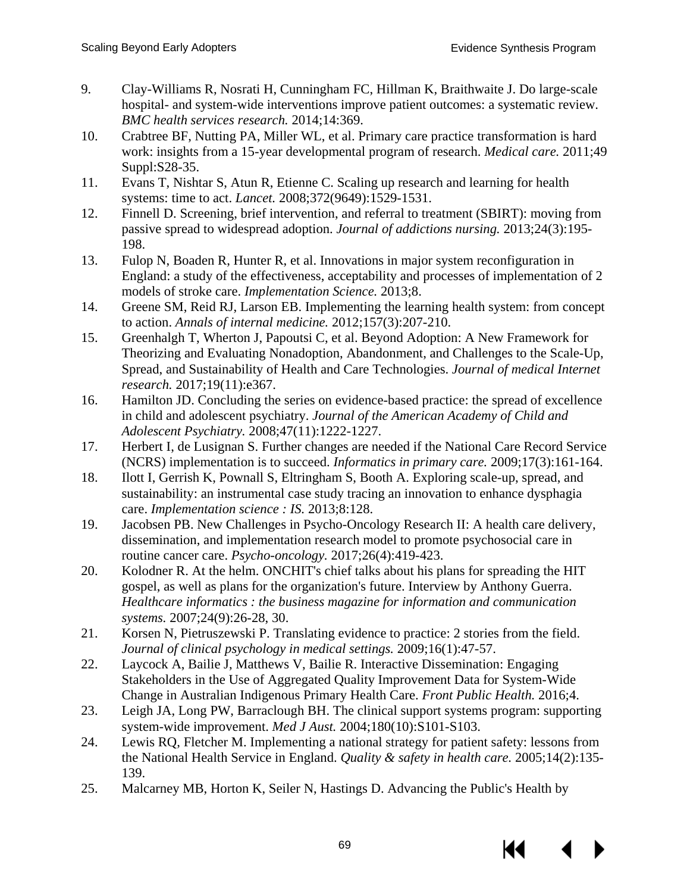- 9. Clay-Williams R, Nosrati H, Cunningham FC, Hillman K, Braithwaite J. Do large-scale hospital- and system-wide interventions improve patient outcomes: a systematic review. *BMC health services research.* 2014;14:369.
- 10. Crabtree BF, Nutting PA, Miller WL, et al. Primary care practice transformation is hard work: insights from a 15-year developmental program of research. *Medical care.* 2011;49 Suppl:S28-35.
- 11. Evans T, Nishtar S, Atun R, Etienne C. Scaling up research and learning for health systems: time to act. *Lancet.* 2008;372(9649):1529-1531.
- 12. Finnell D. Screening, brief intervention, and referral to treatment (SBIRT): moving from passive spread to widespread adoption. *Journal of addictions nursing.* 2013;24(3):195- 198.
- 13. Fulop N, Boaden R, Hunter R, et al. Innovations in major system reconfiguration in England: a study of the effectiveness, acceptability and processes of implementation of 2 models of stroke care. *Implementation Science.* 2013;8.
- 14. Greene SM, Reid RJ, Larson EB. Implementing the learning health system: from concept to action. *Annals of internal medicine.* 2012;157(3):207-210.
- 15. Greenhalgh T, Wherton J, Papoutsi C, et al. Beyond Adoption: A New Framework for Theorizing and Evaluating Nonadoption, Abandonment, and Challenges to the Scale-Up, Spread, and Sustainability of Health and Care Technologies. *Journal of medical Internet research.* 2017;19(11):e367.
- 16. Hamilton JD. Concluding the series on evidence-based practice: the spread of excellence in child and adolescent psychiatry. *Journal of the American Academy of Child and Adolescent Psychiatry.* 2008;47(11):1222-1227.
- 17. Herbert I, de Lusignan S. Further changes are needed if the National Care Record Service (NCRS) implementation is to succeed. *Informatics in primary care.* 2009;17(3):161-164.
- 18. Ilott I, Gerrish K, Pownall S, Eltringham S, Booth A. Exploring scale-up, spread, and sustainability: an instrumental case study tracing an innovation to enhance dysphagia care. *Implementation science : IS.* 2013;8:128.
- 19. Jacobsen PB. New Challenges in Psycho-Oncology Research II: A health care delivery, dissemination, and implementation research model to promote psychosocial care in routine cancer care. *Psycho-oncology.* 2017;26(4):419-423.
- 20. Kolodner R. At the helm. ONCHIT's chief talks about his plans for spreading the HIT gospel, as well as plans for the organization's future. Interview by Anthony Guerra. *Healthcare informatics : the business magazine for information and communication systems.* 2007;24(9):26-28, 30.
- 21. Korsen N, Pietruszewski P. Translating evidence to practice: 2 stories from the field. *Journal of clinical psychology in medical settings.* 2009;16(1):47-57.
- 22. Laycock A, Bailie J, Matthews V, Bailie R. Interactive Dissemination: Engaging Stakeholders in the Use of Aggregated Quality Improvement Data for System-Wide Change in Australian Indigenous Primary Health Care. *Front Public Health.* 2016;4.
- 23. Leigh JA, Long PW, Barraclough BH. The clinical support systems program: supporting system-wide improvement. *Med J Aust.* 2004;180(10):S101-S103.
- 24. Lewis RQ, Fletcher M. Implementing a national strategy for patient safety: lessons from the National Health Service in England. *Quality & safety in health care.* 2005;14(2):135- 139.
- 25. Malcarney MB, Horton K, Seiler N, Hastings D. Advancing the Public's Health by

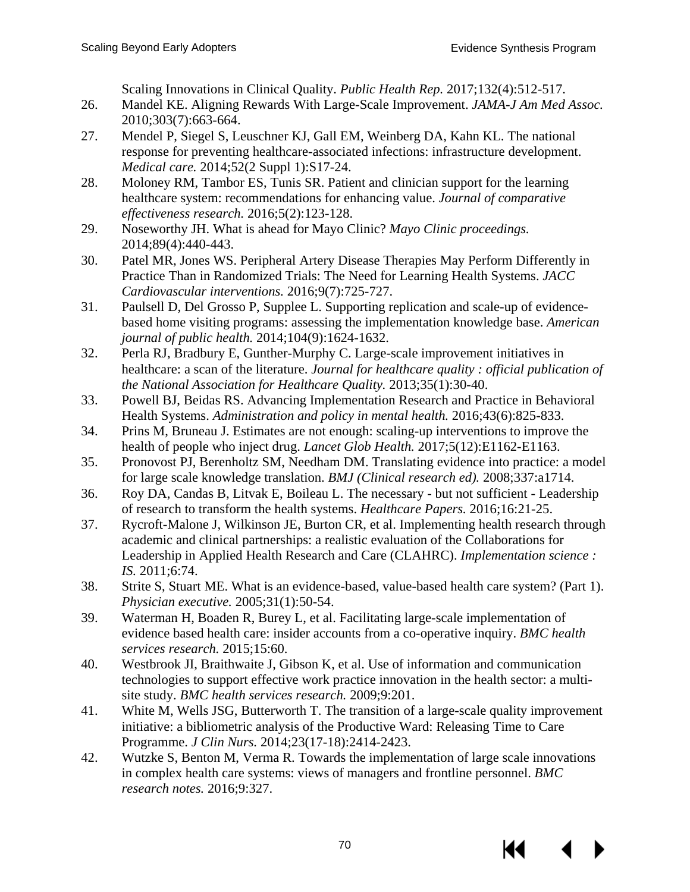Scaling Innovations in Clinical Quality. *Public Health Rep.* 2017;132(4):512-517.

- 26. Mandel KE. Aligning Rewards With Large-Scale Improvement. *JAMA-J Am Med Assoc.* 2010;303(7):663-664.
- 27. Mendel P, Siegel S, Leuschner KJ, Gall EM, Weinberg DA, Kahn KL. The national response for preventing healthcare-associated infections: infrastructure development. *Medical care.* 2014;52(2 Suppl 1):S17-24.
- 28. Moloney RM, Tambor ES, Tunis SR. Patient and clinician support for the learning healthcare system: recommendations for enhancing value. *Journal of comparative effectiveness research.* 2016;5(2):123-128.
- 29. Noseworthy JH. What is ahead for Mayo Clinic? *Mayo Clinic proceedings.* 2014;89(4):440-443.
- 30. Patel MR, Jones WS. Peripheral Artery Disease Therapies May Perform Differently in Practice Than in Randomized Trials: The Need for Learning Health Systems. *JACC Cardiovascular interventions.* 2016;9(7):725-727.
- 31. Paulsell D, Del Grosso P, Supplee L. Supporting replication and scale-up of evidencebased home visiting programs: assessing the implementation knowledge base. *American journal of public health.* 2014;104(9):1624-1632.
- 32. Perla RJ, Bradbury E, Gunther-Murphy C. Large-scale improvement initiatives in healthcare: a scan of the literature. *Journal for healthcare quality : official publication of the National Association for Healthcare Quality.* 2013;35(1):30-40.
- 33. Powell BJ, Beidas RS. Advancing Implementation Research and Practice in Behavioral Health Systems. *Administration and policy in mental health.* 2016;43(6):825-833.
- 34. Prins M, Bruneau J. Estimates are not enough: scaling-up interventions to improve the health of people who inject drug. *Lancet Glob Health.* 2017;5(12):E1162-E1163.
- 35. Pronovost PJ, Berenholtz SM, Needham DM. Translating evidence into practice: a model for large scale knowledge translation. *BMJ (Clinical research ed).* 2008;337:a1714.
- 36. Roy DA, Candas B, Litvak E, Boileau L. The necessary but not sufficient Leadership of research to transform the health systems. *Healthcare Papers.* 2016;16:21-25.
- 37. Rycroft-Malone J, Wilkinson JE, Burton CR, et al. Implementing health research through academic and clinical partnerships: a realistic evaluation of the Collaborations for Leadership in Applied Health Research and Care (CLAHRC). *Implementation science : IS.* 2011;6:74.
- 38. Strite S, Stuart ME. What is an evidence-based, value-based health care system? (Part 1). *Physician executive.* 2005;31(1):50-54.
- 39. Waterman H, Boaden R, Burey L, et al. Facilitating large-scale implementation of evidence based health care: insider accounts from a co-operative inquiry. *BMC health services research.* 2015;15:60.
- 40. Westbrook JI, Braithwaite J, Gibson K, et al. Use of information and communication technologies to support effective work practice innovation in the health sector: a multisite study. *BMC health services research.* 2009;9:201.
- 41. White M, Wells JSG, Butterworth T. The transition of a large-scale quality improvement initiative: a bibliometric analysis of the Productive Ward: Releasing Time to Care Programme. *J Clin Nurs.* 2014;23(17-18):2414-2423.
- 42. Wutzke S, Benton M, Verma R. Towards the implementation of large scale innovations in complex health care systems: views of managers and frontline personnel. *BMC research notes.* 2016;9:327.

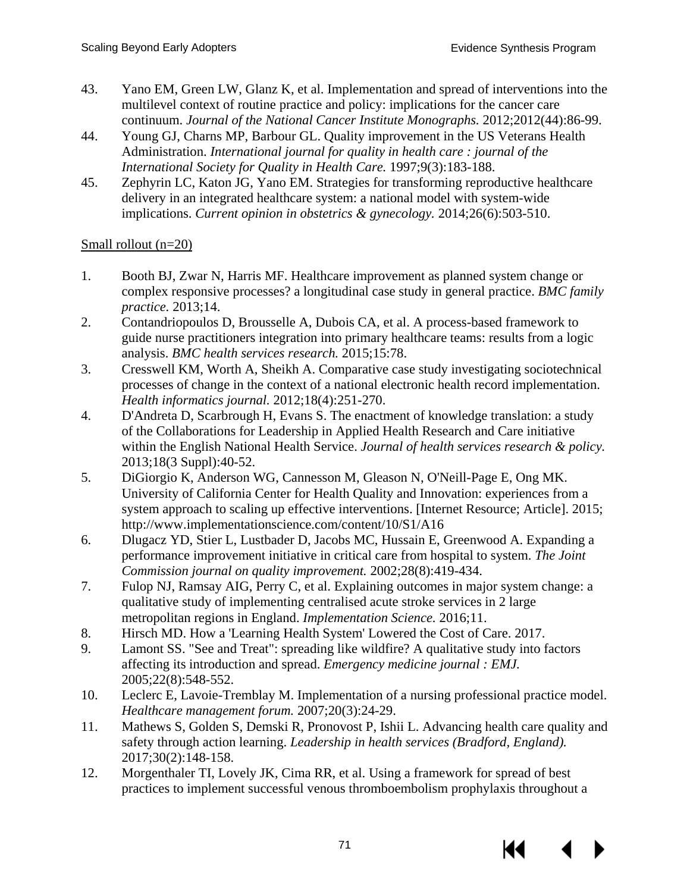- 43. Yano EM, Green LW, Glanz K, et al. Implementation and spread of interventions into the multilevel context of routine practice and policy: implications for the cancer care continuum. *Journal of the National Cancer Institute Monographs.* 2012;2012(44):86-99.
- 44. Young GJ, Charns MP, Barbour GL. Quality improvement in the US Veterans Health Administration. *International journal for quality in health care : journal of the International Society for Quality in Health Care.* 1997;9(3):183-188.
- 45. Zephyrin LC, Katon JG, Yano EM. Strategies for transforming reproductive healthcare delivery in an integrated healthcare system: a national model with system-wide implications. *Current opinion in obstetrics & gynecology.* 2014;26(6):503-510.

# Small rollout (n=20)

- 1. Booth BJ, Zwar N, Harris MF. Healthcare improvement as planned system change or complex responsive processes? a longitudinal case study in general practice. *BMC family practice.* 2013;14.
- 2. Contandriopoulos D, Brousselle A, Dubois CA, et al. A process-based framework to guide nurse practitioners integration into primary healthcare teams: results from a logic analysis. *BMC health services research.* 2015;15:78.
- 3. Cresswell KM, Worth A, Sheikh A. Comparative case study investigating sociotechnical processes of change in the context of a national electronic health record implementation. *Health informatics journal.* 2012;18(4):251-270.
- 4. D'Andreta D, Scarbrough H, Evans S. The enactment of knowledge translation: a study of the Collaborations for Leadership in Applied Health Research and Care initiative within the English National Health Service. *Journal of health services research & policy.* 2013;18(3 Suppl):40-52.
- 5. DiGiorgio K, Anderson WG, Cannesson M, Gleason N, O'Neill-Page E, Ong MK. University of California Center for Health Quality and Innovation: experiences from a system approach to scaling up effective interventions. [Internet Resource; Article]. 2015; http://www.implementationscience.com/content/10/S1/A16
- 6. Dlugacz YD, Stier L, Lustbader D, Jacobs MC, Hussain E, Greenwood A. Expanding a performance improvement initiative in critical care from hospital to system. *The Joint Commission journal on quality improvement.* 2002;28(8):419-434.
- 7. Fulop NJ, Ramsay AIG, Perry C, et al. Explaining outcomes in major system change: a qualitative study of implementing centralised acute stroke services in 2 large metropolitan regions in England. *Implementation Science.* 2016;11.
- 8. Hirsch MD. How a 'Learning Health System' Lowered the Cost of Care. 2017.
- 9. Lamont SS. "See and Treat": spreading like wildfire? A qualitative study into factors affecting its introduction and spread. *Emergency medicine journal : EMJ.* 2005;22(8):548-552.
- 10. Leclerc E, Lavoie-Tremblay M. Implementation of a nursing professional practice model. *Healthcare management forum.* 2007;20(3):24-29.
- 11. Mathews S, Golden S, Demski R, Pronovost P, Ishii L. Advancing health care quality and safety through action learning. *Leadership in health services (Bradford, England).* 2017;30(2):148-158.
- 12. Morgenthaler TI, Lovely JK, Cima RR, et al. Using a framework for spread of best practices to implement successful venous thromboembolism prophylaxis throughout a

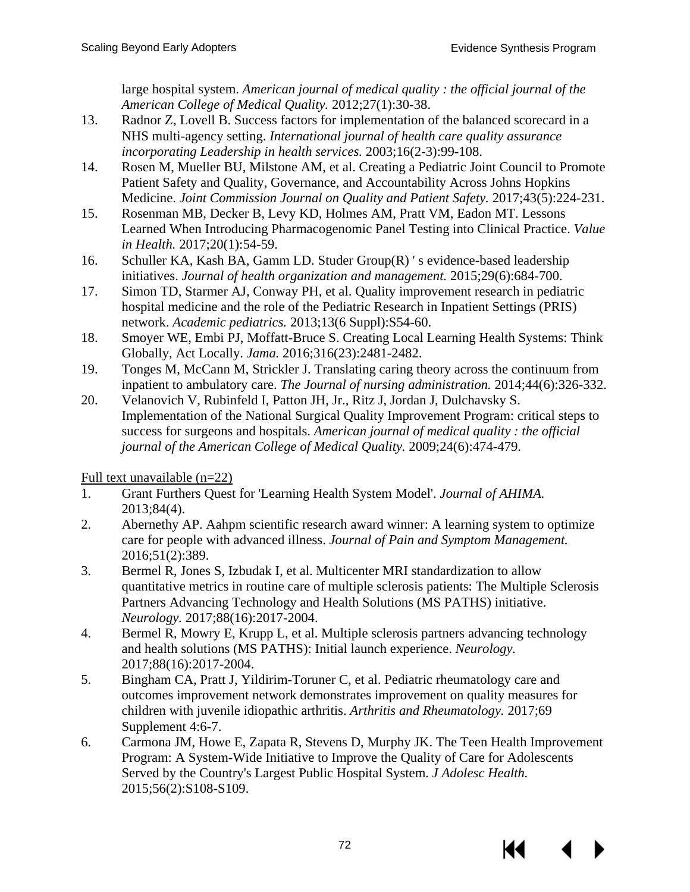large hospital system. *American journal of medical quality : the official journal of the American College of Medical Quality.* 2012;27(1):30-38.

- 13. Radnor Z, Lovell B. Success factors for implementation of the balanced scorecard in a NHS multi-agency setting. *International journal of health care quality assurance incorporating Leadership in health services.* 2003;16(2-3):99-108.
- 14. Rosen M, Mueller BU, Milstone AM, et al. Creating a Pediatric Joint Council to Promote Patient Safety and Quality, Governance, and Accountability Across Johns Hopkins Medicine. *Joint Commission Journal on Quality and Patient Safety.* 2017;43(5):224-231.
- 15. Rosenman MB, Decker B, Levy KD, Holmes AM, Pratt VM, Eadon MT. Lessons Learned When Introducing Pharmacogenomic Panel Testing into Clinical Practice. *Value in Health.* 2017;20(1):54-59.
- 16. Schuller KA, Kash BA, Gamm LD. Studer Group(R) ' s evidence-based leadership initiatives. *Journal of health organization and management.* 2015;29(6):684-700.
- 17. Simon TD, Starmer AJ, Conway PH, et al. Quality improvement research in pediatric hospital medicine and the role of the Pediatric Research in Inpatient Settings (PRIS) network. *Academic pediatrics.* 2013;13(6 Suppl):S54-60.
- 18. Smoyer WE, Embi PJ, Moffatt-Bruce S. Creating Local Learning Health Systems: Think Globally, Act Locally. *Jama.* 2016;316(23):2481-2482.
- 19. Tonges M, McCann M, Strickler J. Translating caring theory across the continuum from inpatient to ambulatory care. *The Journal of nursing administration.* 2014;44(6):326-332.
- 20. Velanovich V, Rubinfeld I, Patton JH, Jr., Ritz J, Jordan J, Dulchavsky S. Implementation of the National Surgical Quality Improvement Program: critical steps to success for surgeons and hospitals. *American journal of medical quality : the official journal of the American College of Medical Quality.* 2009;24(6):474-479.

Full text unavailable (n=22)

- 1. Grant Furthers Quest for 'Learning Health System Model'. *Journal of AHIMA.* 2013;84(4).
- 2. Abernethy AP. Aahpm scientific research award winner: A learning system to optimize care for people with advanced illness. *Journal of Pain and Symptom Management.* 2016;51(2):389.
- 3. Bermel R, Jones S, Izbudak I, et al. Multicenter MRI standardization to allow quantitative metrics in routine care of multiple sclerosis patients: The Multiple Sclerosis Partners Advancing Technology and Health Solutions (MS PATHS) initiative. *Neurology.* 2017;88(16):2017-2004.
- 4. Bermel R, Mowry E, Krupp L, et al. Multiple sclerosis partners advancing technology and health solutions (MS PATHS): Initial launch experience. *Neurology.* 2017;88(16):2017-2004.
- 5. Bingham CA, Pratt J, Yildirim-Toruner C, et al. Pediatric rheumatology care and outcomes improvement network demonstrates improvement on quality measures for children with juvenile idiopathic arthritis. *Arthritis and Rheumatology.* 2017;69 Supplement 4:6-7.
- 6. Carmona JM, Howe E, Zapata R, Stevens D, Murphy JK. The Teen Health Improvement Program: A System-Wide Initiative to Improve the Quality of Care for Adolescents Served by the Country's Largest Public Hospital System. *J Adolesc Health.* 2015;56(2):S108-S109.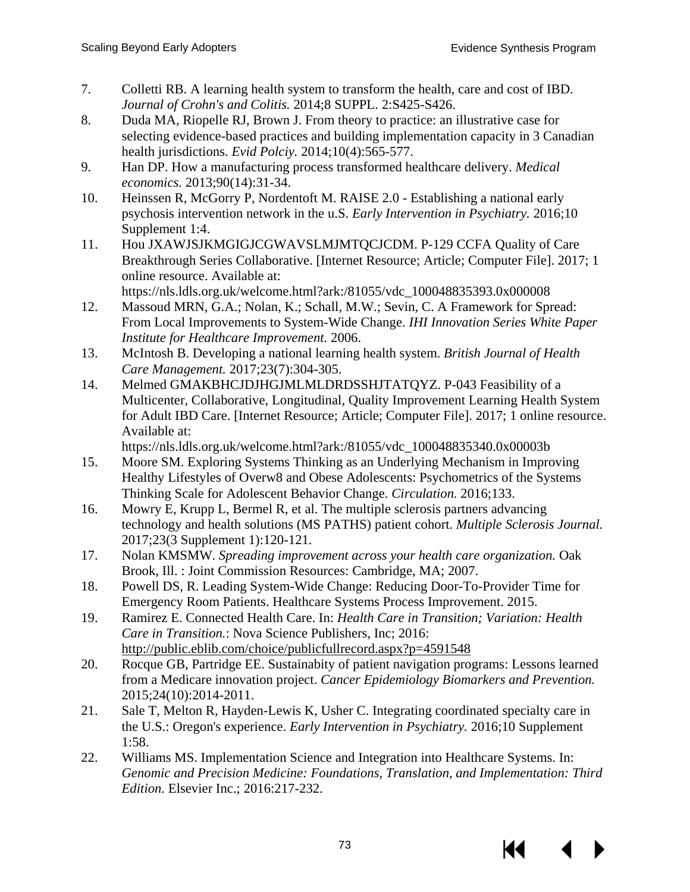- 7. Colletti RB. A learning health system to transform the health, care and cost of IBD. *Journal of Crohn's and Colitis.* 2014;8 SUPPL. 2:S425-S426.
- 8. Duda MA, Riopelle RJ, Brown J. From theory to practice: an illustrative case for selecting evidence-based practices and building implementation capacity in 3 Canadian health jurisdictions. *Evid Polciy.* 2014;10(4):565-577.
- 9. Han DP. How a manufacturing process transformed healthcare delivery. *Medical economics.* 2013;90(14):31-34.
- 10. Heinssen R, McGorry P, Nordentoft M. RAISE 2.0 Establishing a national early psychosis intervention network in the u.S. *Early Intervention in Psychiatry.* 2016;10 Supplement 1:4.
- 11. Hou JXAWJSJKMGIGJCGWAVSLMJMTQCJCDM. P-129 CCFA Quality of Care Breakthrough Series Collaborative. [Internet Resource; Article; Computer File]. 2017; 1 online resource. Available at:

https://nls.ldls.org.uk/welcome.html?ark:/81055/vdc\_100048835393.0x000008

- 12. Massoud MRN, G.A.; Nolan, K.; Schall, M.W.; Sevin, C. A Framework for Spread: From Local Improvements to System-Wide Change. *IHI Innovation Series White Paper Institute for Healthcare Improvement.* 2006.
- 13. McIntosh B. Developing a national learning health system. *British Journal of Health Care Management.* 2017;23(7):304-305.
- 14. Melmed GMAKBHCJDJHGJMLMLDRDSSHJTATQYZ. P-043 Feasibility of a Multicenter, Collaborative, Longitudinal, Quality Improvement Learning Health System for Adult IBD Care. [Internet Resource; Article; Computer File]. 2017; 1 online resource. Available at:

https://nls.ldls.org.uk/welcome.html?ark:/81055/vdc\_100048835340.0x00003b

- 15. Moore SM. Exploring Systems Thinking as an Underlying Mechanism in Improving Healthy Lifestyles of Overw8 and Obese Adolescents: Psychometrics of the Systems Thinking Scale for Adolescent Behavior Change. *Circulation.* 2016;133.
- 16. Mowry E, Krupp L, Bermel R, et al. The multiple sclerosis partners advancing technology and health solutions (MS PATHS) patient cohort. *Multiple Sclerosis Journal.* 2017;23(3 Supplement 1):120-121.
- 17. Nolan KMSMW. *Spreading improvement across your health care organization.* Oak Brook, Ill. : Joint Commission Resources: Cambridge, MA; 2007.
- 18. Powell DS, R. Leading System-Wide Change: Reducing Door-To-Provider Time for Emergency Room Patients. Healthcare Systems Process Improvement. 2015.
- 19. Ramirez E. Connected Health Care. In: *Health Care in Transition; Variation: Health Care in Transition.*: Nova Science Publishers, Inc; 2016: http://public.eblib.com/choice/publicfullrecord.aspx?p=4591548
- 20. Rocque GB, Partridge EE. Sustainabity of patient navigation programs: Lessons learned from a Medicare innovation project. *Cancer Epidemiology Biomarkers and Prevention.* 2015;24(10):2014-2011.
- 21. Sale T, Melton R, Hayden-Lewis K, Usher C. Integrating coordinated specialty care in the U.S.: Oregon's experience. *Early Intervention in Psychiatry.* 2016;10 Supplement 1:58.
- 22. Williams MS. Implementation Science and Integration into Healthcare Systems. In: *Genomic and Precision Medicine: Foundations, Translation, and Implementation: Third Edition.* Elsevier Inc.; 2016:217-232.

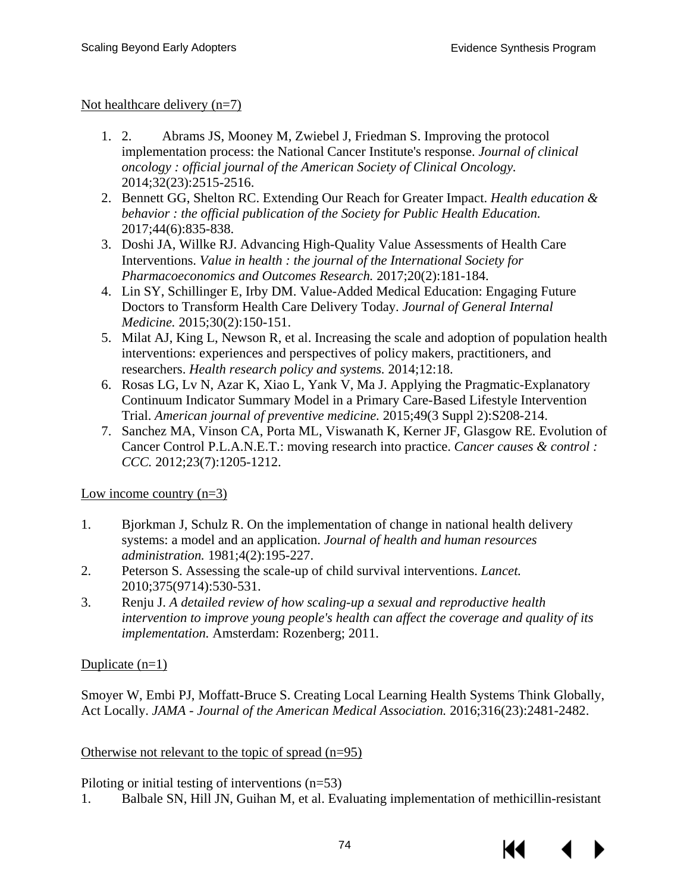Not healthcare delivery (n=7)

- 1. 2. Abrams JS, Mooney M, Zwiebel J, Friedman S. Improving the protocol implementation process: the National Cancer Institute's response. *Journal of clinical oncology : official journal of the American Society of Clinical Oncology.* 2014;32(23):2515-2516.
- 2. Bennett GG, Shelton RC. Extending Our Reach for Greater Impact. *Health education & behavior : the official publication of the Society for Public Health Education.* 2017;44(6):835-838.
- 3. Doshi JA, Willke RJ. Advancing High-Quality Value Assessments of Health Care Interventions. *Value in health : the journal of the International Society for Pharmacoeconomics and Outcomes Research.* 2017;20(2):181-184.
- 4. Lin SY, Schillinger E, Irby DM. Value-Added Medical Education: Engaging Future Doctors to Transform Health Care Delivery Today. *Journal of General Internal Medicine.* 2015;30(2):150-151.
- 5. Milat AJ, King L, Newson R, et al. Increasing the scale and adoption of population health interventions: experiences and perspectives of policy makers, practitioners, and researchers. *Health research policy and systems.* 2014;12:18.
- 6. Rosas LG, Lv N, Azar K, Xiao L, Yank V, Ma J. Applying the Pragmatic-Explanatory Continuum Indicator Summary Model in a Primary Care-Based Lifestyle Intervention Trial. *American journal of preventive medicine.* 2015;49(3 Suppl 2):S208-214.
- 7. Sanchez MA, Vinson CA, Porta ML, Viswanath K, Kerner JF, Glasgow RE. Evolution of Cancer Control P.L.A.N.E.T.: moving research into practice. *Cancer causes & control : CCC.* 2012;23(7):1205-1212.

Low income country  $(n=3)$ 

- 1. Bjorkman J, Schulz R. On the implementation of change in national health delivery systems: a model and an application. *Journal of health and human resources administration.* 1981;4(2):195-227.
- 2. Peterson S. Assessing the scale-up of child survival interventions. *Lancet.* 2010;375(9714):530-531.
- 3. Renju J. *A detailed review of how scaling-up a sexual and reproductive health intervention to improve young people's health can affect the coverage and quality of its implementation.* Amsterdam: Rozenberg; 2011.

# Duplicate  $(n=1)$

Smoyer W, Embi PJ, Moffatt-Bruce S. Creating Local Learning Health Systems Think Globally, Act Locally. *JAMA - Journal of the American Medical Association.* 2016;316(23):2481-2482.

# Otherwise not relevant to the topic of spread  $(n=95)$

Piloting or initial testing of interventions (n=53)

1. Balbale SN, Hill JN, Guihan M, et al. Evaluating implementation of methicillin-resistant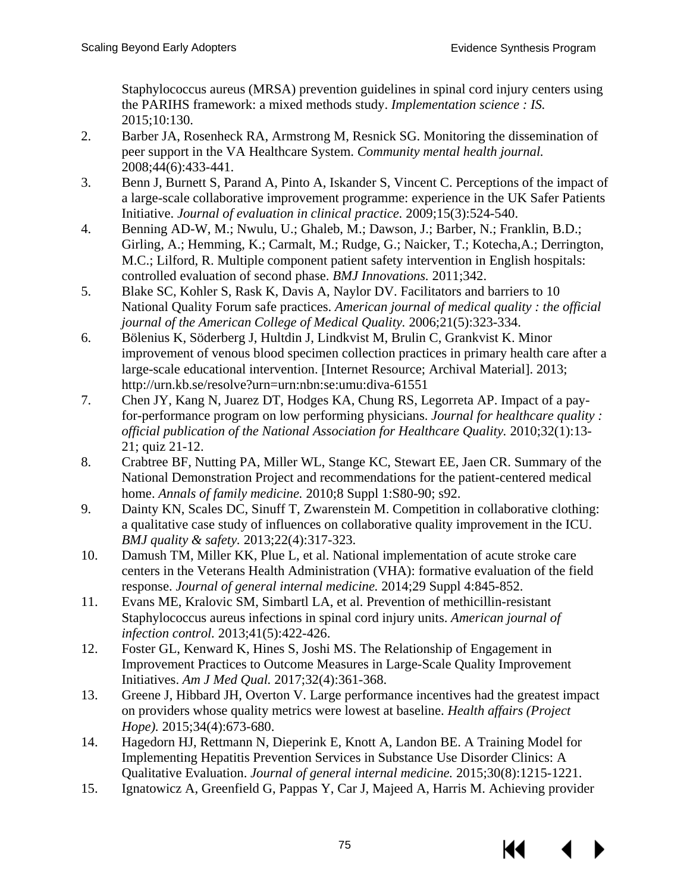Staphylococcus aureus (MRSA) prevention guidelines in spinal cord injury centers using the PARIHS framework: a mixed methods study. *Implementation science : IS.*  2015;10:130.

- 2. Barber JA, Rosenheck RA, Armstrong M, Resnick SG. Monitoring the dissemination of peer support in the VA Healthcare System. *Community mental health journal.* 2008;44(6):433-441.
- 3. Benn J, Burnett S, Parand A, Pinto A, Iskander S, Vincent C. Perceptions of the impact of a large-scale collaborative improvement programme: experience in the UK Safer Patients Initiative. *Journal of evaluation in clinical practice.* 2009;15(3):524-540.
- 4. Benning AD-W, M.; Nwulu, U.; Ghaleb, M.; Dawson, J.; Barber, N.; Franklin, B.D.; Girling, A.; Hemming, K.; Carmalt, M.; Rudge, G.; Naicker, T.; Kotecha,A.; Derrington, M.C.; Lilford, R. Multiple component patient safety intervention in English hospitals: controlled evaluation of second phase. *BMJ Innovations.* 2011;342.
- 5. Blake SC, Kohler S, Rask K, Davis A, Naylor DV. Facilitators and barriers to 10 National Quality Forum safe practices. *American journal of medical quality : the official journal of the American College of Medical Quality.* 2006;21(5):323-334.
- 6. Bölenius K, Söderberg J, Hultdin J, Lindkvist M, Brulin C, Grankvist K. Minor improvement of venous blood specimen collection practices in primary health care after a large-scale educational intervention. [Internet Resource; Archival Material]. 2013; http://urn.kb.se/resolve?urn=urn:nbn:se:umu:diva-61551
- 7. Chen JY, Kang N, Juarez DT, Hodges KA, Chung RS, Legorreta AP. Impact of a payfor-performance program on low performing physicians. *Journal for healthcare quality : official publication of the National Association for Healthcare Quality.* 2010;32(1):13- 21; quiz 21-12.
- 8. Crabtree BF, Nutting PA, Miller WL, Stange KC, Stewart EE, Jaen CR. Summary of the National Demonstration Project and recommendations for the patient-centered medical home. *Annals of family medicine.* 2010;8 Suppl 1:S80-90; s92.
- 9. Dainty KN, Scales DC, Sinuff T, Zwarenstein M. Competition in collaborative clothing: a qualitative case study of influences on collaborative quality improvement in the ICU. *BMJ quality & safety.* 2013;22(4):317-323.
- 10. Damush TM, Miller KK, Plue L, et al. National implementation of acute stroke care centers in the Veterans Health Administration (VHA): formative evaluation of the field response. *Journal of general internal medicine.* 2014;29 Suppl 4:845-852.
- 11. Evans ME, Kralovic SM, Simbartl LA, et al. Prevention of methicillin-resistant Staphylococcus aureus infections in spinal cord injury units. *American journal of infection control.* 2013;41(5):422-426.
- 12. Foster GL, Kenward K, Hines S, Joshi MS. The Relationship of Engagement in Improvement Practices to Outcome Measures in Large-Scale Quality Improvement Initiatives. *Am J Med Qual.* 2017;32(4):361-368.
- 13. Greene J, Hibbard JH, Overton V. Large performance incentives had the greatest impact on providers whose quality metrics were lowest at baseline. *Health affairs (Project Hope).* 2015;34(4):673-680.
- 14. Hagedorn HJ, Rettmann N, Dieperink E, Knott A, Landon BE. A Training Model for Implementing Hepatitis Prevention Services in Substance Use Disorder Clinics: A Qualitative Evaluation. *Journal of general internal medicine.* 2015;30(8):1215-1221.
- 15. Ignatowicz A, Greenfield G, Pappas Y, Car J, Majeed A, Harris M. Achieving provider

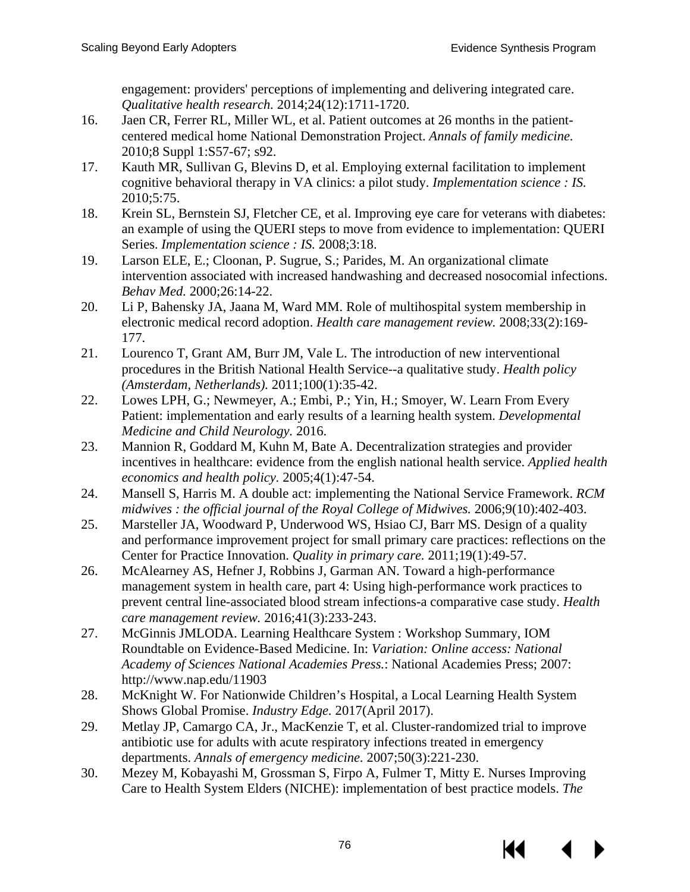engagement: providers' perceptions of implementing and delivering integrated care. *Qualitative health research.* 2014;24(12):1711-1720.

- 16. Jaen CR, Ferrer RL, Miller WL, et al. Patient outcomes at 26 months in the patientcentered medical home National Demonstration Project. *Annals of family medicine.* 2010;8 Suppl 1:S57-67; s92.
- 17. Kauth MR, Sullivan G, Blevins D, et al. Employing external facilitation to implement cognitive behavioral therapy in VA clinics: a pilot study. *Implementation science : IS.* 2010;5:75.
- 18. Krein SL, Bernstein SJ, Fletcher CE, et al. Improving eye care for veterans with diabetes: an example of using the QUERI steps to move from evidence to implementation: QUERI Series. *Implementation science : IS.* 2008;3:18.
- 19. Larson ELE, E.; Cloonan, P. Sugrue, S.; Parides, M. An organizational climate intervention associated with increased handwashing and decreased nosocomial infections. *Behav Med.* 2000;26:14-22.
- 20. Li P, Bahensky JA, Jaana M, Ward MM. Role of multihospital system membership in electronic medical record adoption. *Health care management review.* 2008;33(2):169- 177.
- 21. Lourenco T, Grant AM, Burr JM, Vale L. The introduction of new interventional procedures in the British National Health Service--a qualitative study. *Health policy (Amsterdam, Netherlands).* 2011;100(1):35-42.
- 22. Lowes LPH, G.; Newmeyer, A.; Embi, P.; Yin, H.; Smoyer, W. Learn From Every Patient: implementation and early results of a learning health system. *Developmental Medicine and Child Neurology.* 2016.
- 23. Mannion R, Goddard M, Kuhn M, Bate A. Decentralization strategies and provider incentives in healthcare: evidence from the english national health service. *Applied health economics and health policy.* 2005;4(1):47-54.
- 24. Mansell S, Harris M. A double act: implementing the National Service Framework. *RCM midwives : the official journal of the Royal College of Midwives.* 2006;9(10):402-403.
- 25. Marsteller JA, Woodward P, Underwood WS, Hsiao CJ, Barr MS. Design of a quality and performance improvement project for small primary care practices: reflections on the Center for Practice Innovation. *Quality in primary care.* 2011;19(1):49-57.
- 26. McAlearney AS, Hefner J, Robbins J, Garman AN. Toward a high-performance management system in health care, part 4: Using high-performance work practices to prevent central line-associated blood stream infections-a comparative case study. *Health care management review.* 2016;41(3):233-243.
- 27. McGinnis JMLODA. Learning Healthcare System : Workshop Summary, IOM Roundtable on Evidence-Based Medicine. In: *Variation: Online access: National Academy of Sciences National Academies Press.*: National Academies Press; 2007: http://www.nap.edu/11903
- 28. McKnight W. For Nationwide Children's Hospital, a Local Learning Health System Shows Global Promise. *Industry Edge.* 2017(April 2017).
- 29. Metlay JP, Camargo CA, Jr., MacKenzie T, et al. Cluster-randomized trial to improve antibiotic use for adults with acute respiratory infections treated in emergency departments. *Annals of emergency medicine.* 2007;50(3):221-230.
- 30. Mezey M, Kobayashi M, Grossman S, Firpo A, Fulmer T, Mitty E. Nurses Improving Care to Health System Elders (NICHE): implementation of best practice models. *The*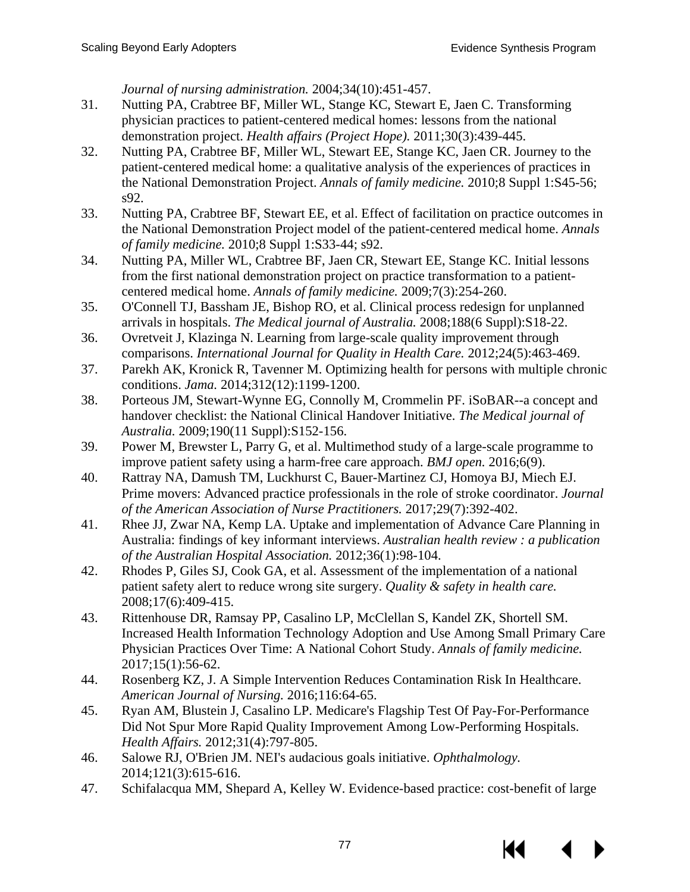*Journal of nursing administration.* 2004;34(10):451-457.

- 31. Nutting PA, Crabtree BF, Miller WL, Stange KC, Stewart E, Jaen C. Transforming physician practices to patient-centered medical homes: lessons from the national demonstration project. *Health affairs (Project Hope).* 2011;30(3):439-445.
- 32. Nutting PA, Crabtree BF, Miller WL, Stewart EE, Stange KC, Jaen CR. Journey to the patient-centered medical home: a qualitative analysis of the experiences of practices in the National Demonstration Project. *Annals of family medicine.* 2010;8 Suppl 1:S45-56; s92.
- 33. Nutting PA, Crabtree BF, Stewart EE, et al. Effect of facilitation on practice outcomes in the National Demonstration Project model of the patient-centered medical home. *Annals of family medicine.* 2010;8 Suppl 1:S33-44; s92.
- 34. Nutting PA, Miller WL, Crabtree BF, Jaen CR, Stewart EE, Stange KC. Initial lessons from the first national demonstration project on practice transformation to a patientcentered medical home. *Annals of family medicine.* 2009;7(3):254-260.
- 35. O'Connell TJ, Bassham JE, Bishop RO, et al. Clinical process redesign for unplanned arrivals in hospitals. *The Medical journal of Australia.* 2008;188(6 Suppl):S18-22.
- 36. Ovretveit J, Klazinga N. Learning from large-scale quality improvement through comparisons. *International Journal for Quality in Health Care.* 2012;24(5):463-469.
- 37. Parekh AK, Kronick R, Tavenner M. Optimizing health for persons with multiple chronic conditions. *Jama.* 2014;312(12):1199-1200.
- 38. Porteous JM, Stewart-Wynne EG, Connolly M, Crommelin PF. iSoBAR--a concept and handover checklist: the National Clinical Handover Initiative. *The Medical journal of Australia.* 2009;190(11 Suppl):S152-156.
- 39. Power M, Brewster L, Parry G, et al. Multimethod study of a large-scale programme to improve patient safety using a harm-free care approach. *BMJ open.* 2016;6(9).
- 40. Rattray NA, Damush TM, Luckhurst C, Bauer-Martinez CJ, Homoya BJ, Miech EJ. Prime movers: Advanced practice professionals in the role of stroke coordinator. *Journal of the American Association of Nurse Practitioners.* 2017;29(7):392-402.
- 41. Rhee JJ, Zwar NA, Kemp LA. Uptake and implementation of Advance Care Planning in Australia: findings of key informant interviews. *Australian health review : a publication of the Australian Hospital Association.* 2012;36(1):98-104.
- 42. Rhodes P, Giles SJ, Cook GA, et al. Assessment of the implementation of a national patient safety alert to reduce wrong site surgery. *Quality & safety in health care.* 2008;17(6):409-415.
- 43. Rittenhouse DR, Ramsay PP, Casalino LP, McClellan S, Kandel ZK, Shortell SM. Increased Health Information Technology Adoption and Use Among Small Primary Care Physician Practices Over Time: A National Cohort Study. *Annals of family medicine.* 2017;15(1):56-62.
- 44. Rosenberg KZ, J. A Simple Intervention Reduces Contamination Risk In Healthcare. *American Journal of Nursing.* 2016;116:64-65.
- 45. Ryan AM, Blustein J, Casalino LP. Medicare's Flagship Test Of Pay-For-Performance Did Not Spur More Rapid Quality Improvement Among Low-Performing Hospitals. *Health Affairs.* 2012;31(4):797-805.
- 46. Salowe RJ, O'Brien JM. NEI's audacious goals initiative. *Ophthalmology.* 2014;121(3):615-616.
- 47. Schifalacqua MM, Shepard A, Kelley W. Evidence-based practice: cost-benefit of large

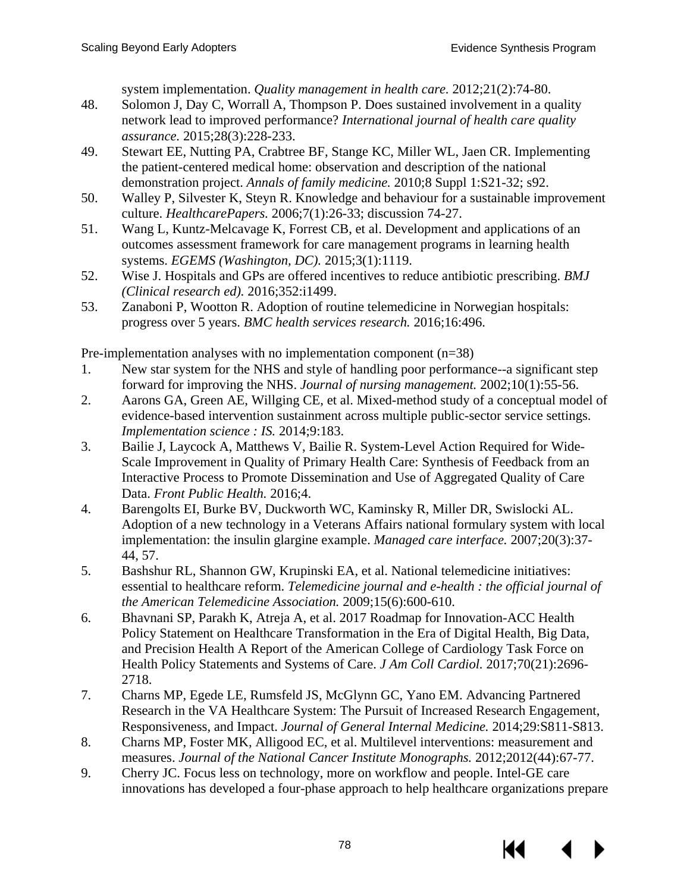system implementation. *Quality management in health care.* 2012;21(2):74-80.

- 48. Solomon J, Day C, Worrall A, Thompson P. Does sustained involvement in a quality network lead to improved performance? *International journal of health care quality assurance.* 2015;28(3):228-233.
- 49. Stewart EE, Nutting PA, Crabtree BF, Stange KC, Miller WL, Jaen CR. Implementing the patient-centered medical home: observation and description of the national demonstration project. *Annals of family medicine.* 2010;8 Suppl 1:S21-32; s92.
- 50. Walley P, Silvester K, Steyn R. Knowledge and behaviour for a sustainable improvement culture. *HealthcarePapers.* 2006;7(1):26-33; discussion 74-27.
- 51. Wang L, Kuntz-Melcavage K, Forrest CB, et al. Development and applications of an outcomes assessment framework for care management programs in learning health systems. *EGEMS (Washington, DC).* 2015;3(1):1119.
- 52. Wise J. Hospitals and GPs are offered incentives to reduce antibiotic prescribing. *BMJ (Clinical research ed).* 2016;352:i1499.
- 53. Zanaboni P, Wootton R. Adoption of routine telemedicine in Norwegian hospitals: progress over 5 years. *BMC health services research.* 2016;16:496.

Pre-implementation analyses with no implementation component (n=38)

- 1. New star system for the NHS and style of handling poor performance--a significant step forward for improving the NHS. *Journal of nursing management.* 2002;10(1):55-56.
- 2. Aarons GA, Green AE, Willging CE, et al. Mixed-method study of a conceptual model of evidence-based intervention sustainment across multiple public-sector service settings. *Implementation science : IS.* 2014;9:183.
- 3. Bailie J, Laycock A, Matthews V, Bailie R. System-Level Action Required for Wide-Scale Improvement in Quality of Primary Health Care: Synthesis of Feedback from an Interactive Process to Promote Dissemination and Use of Aggregated Quality of Care Data. *Front Public Health.* 2016;4.
- 4. Barengolts EI, Burke BV, Duckworth WC, Kaminsky R, Miller DR, Swislocki AL. Adoption of a new technology in a Veterans Affairs national formulary system with local implementation: the insulin glargine example. *Managed care interface.* 2007;20(3):37- 44, 57.
- 5. Bashshur RL, Shannon GW, Krupinski EA, et al. National telemedicine initiatives: essential to healthcare reform. *Telemedicine journal and e-health : the official journal of the American Telemedicine Association.* 2009;15(6):600-610.
- 6. Bhavnani SP, Parakh K, Atreja A, et al. 2017 Roadmap for Innovation-ACC Health Policy Statement on Healthcare Transformation in the Era of Digital Health, Big Data, and Precision Health A Report of the American College of Cardiology Task Force on Health Policy Statements and Systems of Care. *J Am Coll Cardiol.* 2017;70(21):2696- 2718.
- 7. Charns MP, Egede LE, Rumsfeld JS, McGlynn GC, Yano EM. Advancing Partnered Research in the VA Healthcare System: The Pursuit of Increased Research Engagement, Responsiveness, and Impact. *Journal of General Internal Medicine.* 2014;29:S811-S813.
- 8. Charns MP, Foster MK, Alligood EC, et al. Multilevel interventions: measurement and measures. *Journal of the National Cancer Institute Monographs.* 2012;2012(44):67-77.
- 9. Cherry JC. Focus less on technology, more on workflow and people. Intel-GE care innovations has developed a four-phase approach to help healthcare organizations prepare

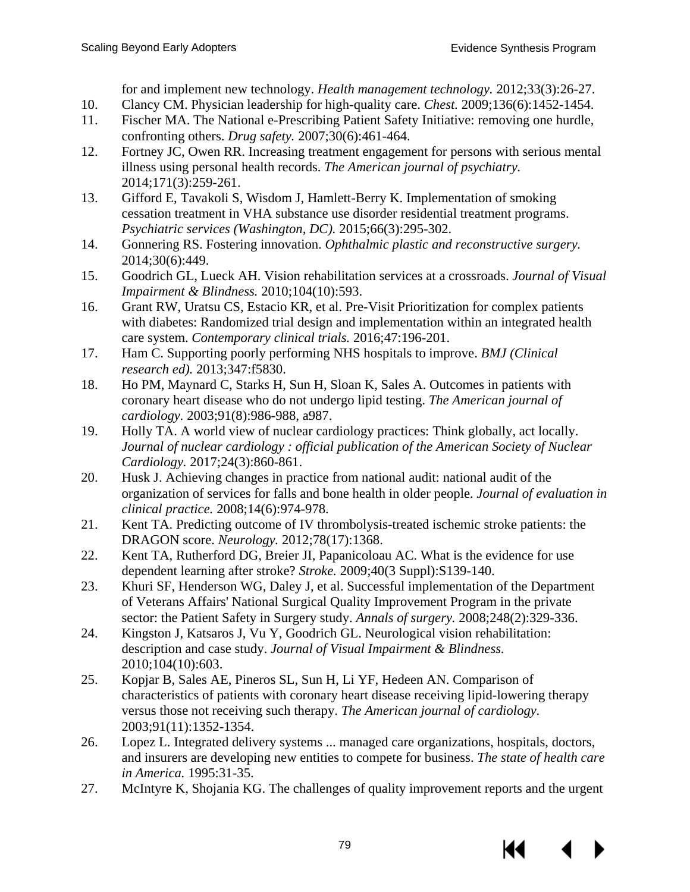for and implement new technology. *Health management technology.* 2012;33(3):26-27.

- 10. Clancy CM. Physician leadership for high-quality care. *Chest.* 2009;136(6):1452-1454.
- 11. Fischer MA. The National e-Prescribing Patient Safety Initiative: removing one hurdle, confronting others. *Drug safety.* 2007;30(6):461-464.
- 12. Fortney JC, Owen RR. Increasing treatment engagement for persons with serious mental illness using personal health records. *The American journal of psychiatry.* 2014;171(3):259-261.
- 13. Gifford E, Tavakoli S, Wisdom J, Hamlett-Berry K. Implementation of smoking cessation treatment in VHA substance use disorder residential treatment programs. *Psychiatric services (Washington, DC).* 2015;66(3):295-302.
- 14. Gonnering RS. Fostering innovation. *Ophthalmic plastic and reconstructive surgery.* 2014;30(6):449.
- 15. Goodrich GL, Lueck AH. Vision rehabilitation services at a crossroads. *Journal of Visual Impairment & Blindness.* 2010;104(10):593.
- 16. Grant RW, Uratsu CS, Estacio KR, et al. Pre-Visit Prioritization for complex patients with diabetes: Randomized trial design and implementation within an integrated health care system. *Contemporary clinical trials.* 2016;47:196-201.
- 17. Ham C. Supporting poorly performing NHS hospitals to improve. *BMJ (Clinical research ed).* 2013;347:f5830.
- 18. Ho PM, Maynard C, Starks H, Sun H, Sloan K, Sales A. Outcomes in patients with coronary heart disease who do not undergo lipid testing. *The American journal of cardiology.* 2003;91(8):986-988, a987.
- 19. Holly TA. A world view of nuclear cardiology practices: Think globally, act locally. *Journal of nuclear cardiology : official publication of the American Society of Nuclear Cardiology.* 2017;24(3):860-861.
- 20. Husk J. Achieving changes in practice from national audit: national audit of the organization of services for falls and bone health in older people. *Journal of evaluation in clinical practice.* 2008;14(6):974-978.
- 21. Kent TA. Predicting outcome of IV thrombolysis-treated ischemic stroke patients: the DRAGON score. *Neurology.* 2012;78(17):1368.
- 22. Kent TA, Rutherford DG, Breier JI, Papanicoloau AC. What is the evidence for use dependent learning after stroke? *Stroke.* 2009;40(3 Suppl):S139-140.
- 23. Khuri SF, Henderson WG, Daley J, et al. Successful implementation of the Department of Veterans Affairs' National Surgical Quality Improvement Program in the private sector: the Patient Safety in Surgery study. *Annals of surgery.* 2008;248(2):329-336.
- 24. Kingston J, Katsaros J, Vu Y, Goodrich GL. Neurological vision rehabilitation: description and case study. *Journal of Visual Impairment & Blindness.* 2010;104(10):603.
- 25. Kopjar B, Sales AE, Pineros SL, Sun H, Li YF, Hedeen AN. Comparison of characteristics of patients with coronary heart disease receiving lipid-lowering therapy versus those not receiving such therapy. *The American journal of cardiology.* 2003;91(11):1352-1354.
- 26. Lopez L. Integrated delivery systems ... managed care organizations, hospitals, doctors, and insurers are developing new entities to compete for business. *The state of health care in America.* 1995:31-35.
- 27. McIntyre K, Shojania KG. The challenges of quality improvement reports and the urgent

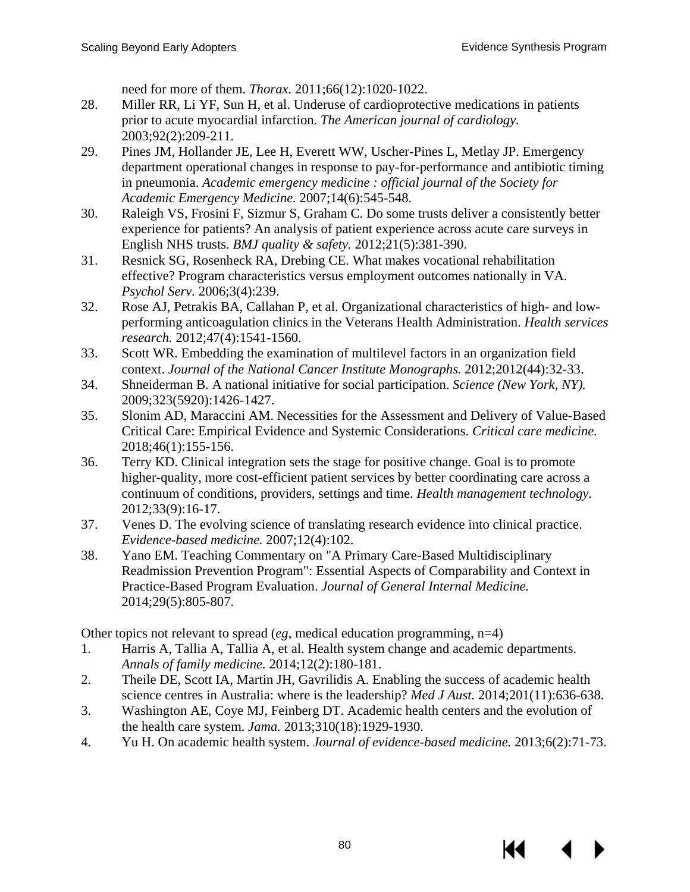need for more of them. *Thorax.* 2011;66(12):1020-1022.

- 28. Miller RR, Li YF, Sun H, et al. Underuse of cardioprotective medications in patients prior to acute myocardial infarction. *The American journal of cardiology.* 2003;92(2):209-211.
- 29. Pines JM, Hollander JE, Lee H, Everett WW, Uscher-Pines L, Metlay JP. Emergency department operational changes in response to pay-for-performance and antibiotic timing in pneumonia. *Academic emergency medicine : official journal of the Society for Academic Emergency Medicine.* 2007;14(6):545-548.
- 30. Raleigh VS, Frosini F, Sizmur S, Graham C. Do some trusts deliver a consistently better experience for patients? An analysis of patient experience across acute care surveys in English NHS trusts. *BMJ quality & safety.* 2012;21(5):381-390.
- 31. Resnick SG, Rosenheck RA, Drebing CE. What makes vocational rehabilitation effective? Program characteristics versus employment outcomes nationally in VA. *Psychol Serv.* 2006;3(4):239.
- 32. Rose AJ, Petrakis BA, Callahan P, et al. Organizational characteristics of high- and lowperforming anticoagulation clinics in the Veterans Health Administration. *Health services research.* 2012;47(4):1541-1560.
- 33. Scott WR. Embedding the examination of multilevel factors in an organization field context. *Journal of the National Cancer Institute Monographs.* 2012;2012(44):32-33.
- 34. Shneiderman B. A national initiative for social participation. *Science (New York, NY).* 2009;323(5920):1426-1427.
- 35. Slonim AD, Maraccini AM. Necessities for the Assessment and Delivery of Value-Based Critical Care: Empirical Evidence and Systemic Considerations. *Critical care medicine.* 2018;46(1):155-156.
- 36. Terry KD. Clinical integration sets the stage for positive change. Goal is to promote higher-quality, more cost-efficient patient services by better coordinating care across a continuum of conditions, providers, settings and time. *Health management technology.* 2012;33(9):16-17.
- 37. Venes D. The evolving science of translating research evidence into clinical practice. *Evidence-based medicine.* 2007;12(4):102.
- 38. Yano EM. Teaching Commentary on "A Primary Care-Based Multidisciplinary Readmission Prevention Program": Essential Aspects of Comparability and Context in Practice-Based Program Evaluation. *Journal of General Internal Medicine.* 2014;29(5):805-807.

Other topics not relevant to spread (*eg*, medical education programming, n=4)

- 1. Harris A, Tallia A, Tallia A, et al. Health system change and academic departments. *Annals of family medicine.* 2014;12(2):180-181.
- 2. Theile DE, Scott IA, Martin JH, Gavrilidis A. Enabling the success of academic health science centres in Australia: where is the leadership? *Med J Aust.* 2014;201(11):636-638.
- 3. Washington AE, Coye MJ, Feinberg DT. Academic health centers and the evolution of the health care system. *Jama.* 2013;310(18):1929-1930.
- 4. Yu H. On academic health system. *Journal of evidence-based medicine.* 2013;6(2):71-73.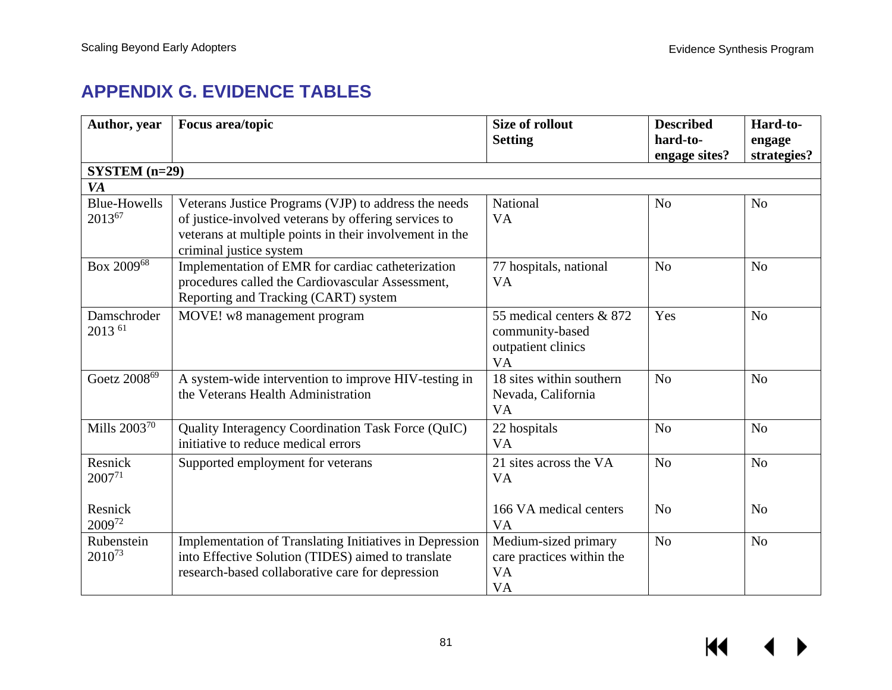# **APPENDIX G. EVIDENCE TABLES**

| Author, year                     | <b>Focus area/topic</b>                                                                                                                                                                            | <b>Size of rollout</b><br><b>Setting</b>                                       | <b>Described</b><br>hard-to-<br>engage sites? | Hard-to-<br>engage<br>strategies? |
|----------------------------------|----------------------------------------------------------------------------------------------------------------------------------------------------------------------------------------------------|--------------------------------------------------------------------------------|-----------------------------------------------|-----------------------------------|
| $SYSTEM$ (n=29)                  |                                                                                                                                                                                                    |                                                                                |                                               |                                   |
| <b>VA</b>                        |                                                                                                                                                                                                    |                                                                                |                                               |                                   |
| <b>Blue-Howells</b><br>201367    | Veterans Justice Programs (VJP) to address the needs<br>of justice-involved veterans by offering services to<br>veterans at multiple points in their involvement in the<br>criminal justice system | National<br><b>VA</b>                                                          | N <sub>0</sub>                                | N <sub>0</sub>                    |
| Box 200968                       | Implementation of EMR for cardiac catheterization<br>procedures called the Cardiovascular Assessment,<br>Reporting and Tracking (CART) system                                                      | 77 hospitals, national<br><b>VA</b>                                            | N <sub>o</sub>                                | N <sub>o</sub>                    |
| Damschroder<br>2013 61           | MOVE! w8 management program                                                                                                                                                                        | 55 medical centers & 872<br>community-based<br>outpatient clinics<br><b>VA</b> | Yes                                           | N <sub>o</sub>                    |
| Goetz 2008 <sup>69</sup>         | A system-wide intervention to improve HIV-testing in<br>the Veterans Health Administration                                                                                                         | 18 sites within southern<br>Nevada, California<br><b>VA</b>                    | N <sub>o</sub>                                | N <sub>o</sub>                    |
| Mills 2003 <sup>70</sup>         | Quality Interagency Coordination Task Force (QuIC)<br>initiative to reduce medical errors                                                                                                          | 22 hospitals<br><b>VA</b>                                                      | N <sub>o</sub>                                | N <sub>o</sub>                    |
| Resnick<br>200771                | Supported employment for veterans                                                                                                                                                                  | 21 sites across the VA<br><b>VA</b>                                            | N <sub>o</sub>                                | N <sub>o</sub>                    |
| Resnick<br>200972                |                                                                                                                                                                                                    | 166 VA medical centers<br><b>VA</b>                                            | N <sub>0</sub>                                | N <sub>o</sub>                    |
| Rubenstein<br>2010 <sup>73</sup> | Implementation of Translating Initiatives in Depression<br>into Effective Solution (TIDES) aimed to translate<br>research-based collaborative care for depression                                  | Medium-sized primary<br>care practices within the<br><b>VA</b><br><b>VA</b>    | N <sub>o</sub>                                | N <sub>o</sub>                    |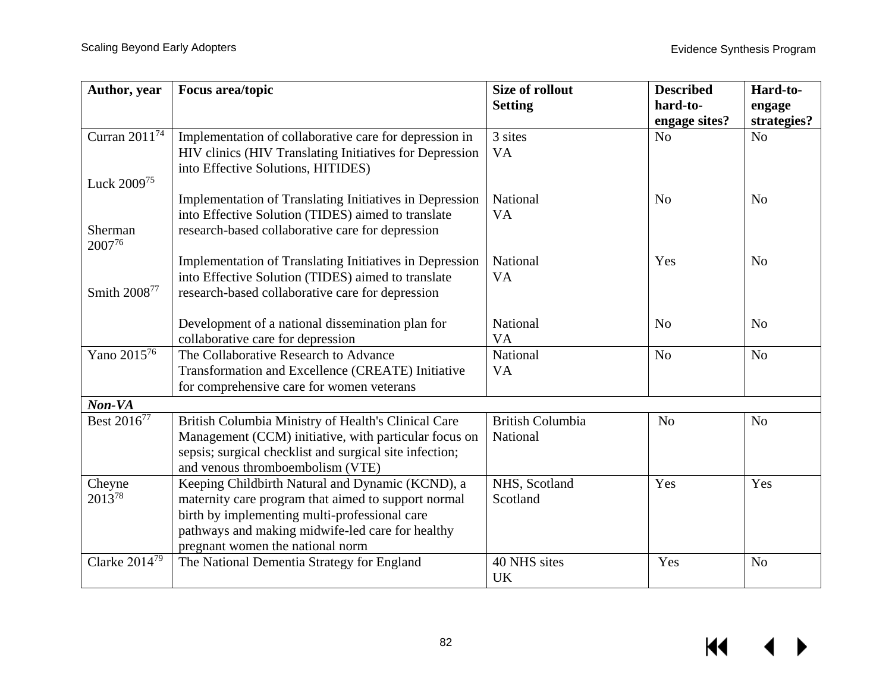| Author, year              | Focus area/topic                                               | Size of rollout         | <b>Described</b> | Hard-to-       |
|---------------------------|----------------------------------------------------------------|-------------------------|------------------|----------------|
|                           |                                                                | <b>Setting</b>          | hard-to-         | engage         |
|                           |                                                                |                         | engage sites?    | strategies?    |
| Curran 2011 <sup>74</sup> | Implementation of collaborative care for depression in         | 3 sites                 | N <sub>o</sub>   | N <sub>o</sub> |
|                           | HIV clinics (HIV Translating Initiatives for Depression        | <b>VA</b>               |                  |                |
|                           | into Effective Solutions, HITIDES)                             |                         |                  |                |
| Luck 2009 <sup>75</sup>   |                                                                |                         |                  |                |
|                           | <b>Implementation of Translating Initiatives in Depression</b> | National                | N <sub>o</sub>   | N <sub>o</sub> |
|                           | into Effective Solution (TIDES) aimed to translate             | <b>VA</b>               |                  |                |
| Sherman                   | research-based collaborative care for depression               |                         |                  |                |
| 200776                    |                                                                |                         |                  |                |
|                           | Implementation of Translating Initiatives in Depression        | National                | Yes              | N <sub>0</sub> |
|                           | into Effective Solution (TIDES) aimed to translate             | VA                      |                  |                |
| Smith 2008 <sup>77</sup>  | research-based collaborative care for depression               |                         |                  |                |
|                           | Development of a national dissemination plan for               | National                | N <sub>o</sub>   | N <sub>o</sub> |
|                           | collaborative care for depression                              | <b>VA</b>               |                  |                |
| Yano 201576               | The Collaborative Research to Advance                          | National                | N <sub>o</sub>   | N <sub>o</sub> |
|                           | Transformation and Excellence (CREATE) Initiative              | <b>VA</b>               |                  |                |
|                           | for comprehensive care for women veterans                      |                         |                  |                |
| Non-VA                    |                                                                |                         |                  |                |
| Best 2016 <sup>77</sup>   | British Columbia Ministry of Health's Clinical Care            | <b>British Columbia</b> | N <sub>o</sub>   | N <sub>o</sub> |
|                           | Management (CCM) initiative, with particular focus on          | National                |                  |                |
|                           | sepsis; surgical checklist and surgical site infection;        |                         |                  |                |
|                           | and venous thromboembolism (VTE)                               |                         |                  |                |
| Cheyne                    | Keeping Childbirth Natural and Dynamic (KCND), a               | NHS, Scotland           | Yes              | Yes            |
| 201378                    | maternity care program that aimed to support normal            | Scotland                |                  |                |
|                           | birth by implementing multi-professional care                  |                         |                  |                |
|                           | pathways and making midwife-led care for healthy               |                         |                  |                |
|                           | pregnant women the national norm                               |                         |                  |                |
| Clarke $2014^{79}$        | The National Dementia Strategy for England                     | 40 NHS sites            | Yes              | N <sub>o</sub> |
|                           |                                                                | UK                      |                  |                |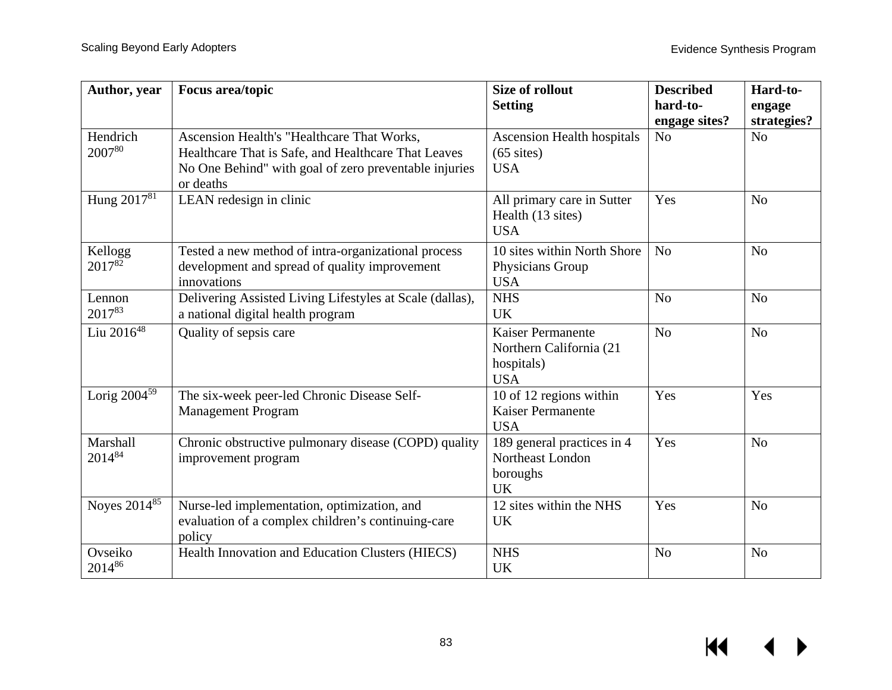| Author, year            | Focus area/topic                                                                                                                                                        | <b>Size of rollout</b><br><b>Setting</b>                                        | <b>Described</b><br>hard-to-    | Hard-to-<br>engage            |
|-------------------------|-------------------------------------------------------------------------------------------------------------------------------------------------------------------------|---------------------------------------------------------------------------------|---------------------------------|-------------------------------|
| Hendrich<br>200780      | Ascension Health's "Healthcare That Works,<br>Healthcare That is Safe, and Healthcare That Leaves<br>No One Behind" with goal of zero preventable injuries<br>or deaths | <b>Ascension Health hospitals</b><br>$(65$ sites)<br><b>USA</b>                 | engage sites?<br>N <sub>o</sub> | strategies?<br>N <sub>o</sub> |
| Hung 2017 <sup>81</sup> | LEAN redesign in clinic                                                                                                                                                 | All primary care in Sutter<br>Health (13 sites)<br><b>USA</b>                   | Yes                             | N <sub>o</sub>                |
| Kellogg<br>201782       | Tested a new method of intra-organizational process<br>development and spread of quality improvement<br>innovations                                                     | 10 sites within North Shore<br>Physicians Group<br><b>USA</b>                   | N <sub>o</sub>                  | N <sub>o</sub>                |
| Lennon<br>201783        | Delivering Assisted Living Lifestyles at Scale (dallas),<br>a national digital health program                                                                           | <b>NHS</b><br><b>UK</b>                                                         | N <sub>o</sub>                  | N <sub>o</sub>                |
| Liu 2016 <sup>48</sup>  | Quality of sepsis care                                                                                                                                                  | <b>Kaiser Permanente</b><br>Northern California (21<br>hospitals)<br><b>USA</b> | N <sub>o</sub>                  | N <sub>o</sub>                |
| Lorig $2004^{59}$       | The six-week peer-led Chronic Disease Self-<br><b>Management Program</b>                                                                                                | 10 of 12 regions within<br><b>Kaiser Permanente</b><br><b>USA</b>               | Yes                             | Yes                           |
| Marshall<br>201484      | Chronic obstructive pulmonary disease (COPD) quality<br>improvement program                                                                                             | 189 general practices in 4<br>Northeast London<br>boroughs<br><b>UK</b>         | Yes                             | N <sub>o</sub>                |
| Noyes 201485            | Nurse-led implementation, optimization, and<br>evaluation of a complex children's continuing-care<br>policy                                                             | 12 sites within the NHS<br><b>UK</b>                                            | Yes                             | N <sub>o</sub>                |
| Ovseiko<br>201486       | Health Innovation and Education Clusters (HIECS)                                                                                                                        | <b>NHS</b><br><b>UK</b>                                                         | N <sub>o</sub>                  | N <sub>o</sub>                |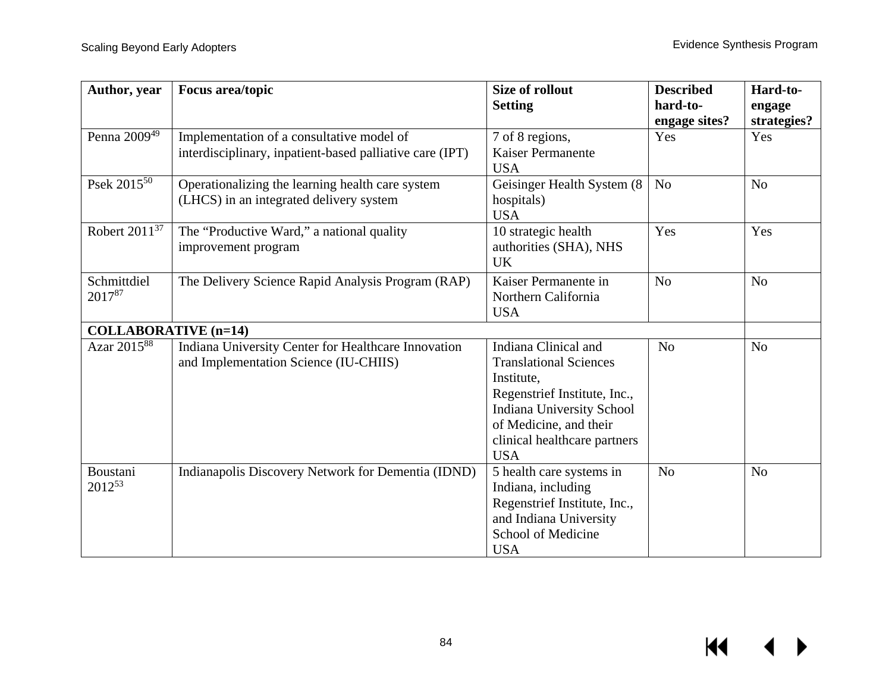| Author, year                | <b>Focus area/topic</b>                                  | <b>Size of rollout</b>                                 | <b>Described</b> | Hard-to-       |
|-----------------------------|----------------------------------------------------------|--------------------------------------------------------|------------------|----------------|
|                             |                                                          | <b>Setting</b>                                         | hard-to-         | engage         |
|                             |                                                          |                                                        | engage sites?    | strategies?    |
| Penna 2009 <sup>49</sup>    | Implementation of a consultative model of                | 7 of 8 regions,                                        | Yes              | Yes            |
|                             | interdisciplinary, inpatient-based palliative care (IPT) | <b>Kaiser Permanente</b><br><b>USA</b>                 |                  |                |
| Psek 2015 <sup>50</sup>     | Operationalizing the learning health care system         | Geisinger Health System (8)                            | N <sub>o</sub>   | N <sub>o</sub> |
|                             | (LHCS) in an integrated delivery system                  | hospitals)<br><b>USA</b>                               |                  |                |
| Robert $2011^{37}$          | The "Productive Ward," a national quality                | 10 strategic health                                    | Yes              | Yes            |
|                             | improvement program                                      | authorities (SHA), NHS<br><b>UK</b>                    |                  |                |
| Schmittdiel                 | The Delivery Science Rapid Analysis Program (RAP)        | Kaiser Permanente in                                   | N <sub>o</sub>   | N <sub>o</sub> |
| 201787                      |                                                          | Northern California                                    |                  |                |
|                             |                                                          | <b>USA</b>                                             |                  |                |
| <b>COLLABORATIVE</b> (n=14) |                                                          |                                                        |                  |                |
| Azar 2015 <sup>88</sup>     | Indiana University Center for Healthcare Innovation      | Indiana Clinical and                                   | N <sub>o</sub>   | N <sub>o</sub> |
|                             | and Implementation Science (IU-CHIIS)                    | <b>Translational Sciences</b>                          |                  |                |
|                             |                                                          | Institute,                                             |                  |                |
|                             |                                                          | Regenstrief Institute, Inc.,                           |                  |                |
|                             |                                                          | <b>Indiana University School</b>                       |                  |                |
|                             |                                                          | of Medicine, and their<br>clinical healthcare partners |                  |                |
|                             |                                                          | <b>USA</b>                                             |                  |                |
| Boustani                    | Indianapolis Discovery Network for Dementia (IDND)       | 5 health care systems in                               | N <sub>o</sub>   | N <sub>o</sub> |
| 201253                      |                                                          | Indiana, including                                     |                  |                |
|                             |                                                          | Regenstrief Institute, Inc.,                           |                  |                |
|                             |                                                          | and Indiana University                                 |                  |                |
|                             |                                                          | School of Medicine                                     |                  |                |
|                             |                                                          | <b>USA</b>                                             |                  |                |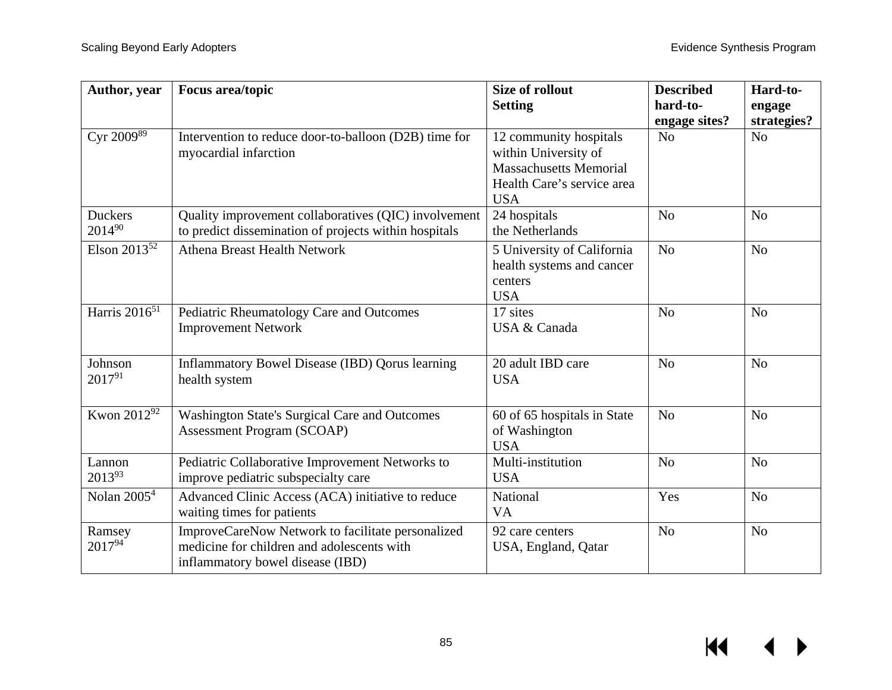| Author, year                 | <b>Focus area/topic</b>                                                                                                             | <b>Size of rollout</b><br><b>Setting</b>                                                                                    | <b>Described</b><br>hard-to- | Hard-to-<br>engage |
|------------------------------|-------------------------------------------------------------------------------------------------------------------------------------|-----------------------------------------------------------------------------------------------------------------------------|------------------------------|--------------------|
|                              |                                                                                                                                     |                                                                                                                             | engage sites?                | strategies?        |
| Cyr $200\overline{9^{89}}$   | Intervention to reduce door-to-balloon (D2B) time for<br>myocardial infarction                                                      | 12 community hospitals<br>within University of<br><b>Massachusetts Memorial</b><br>Health Care's service area<br><b>USA</b> | N <sub>o</sub>               | N <sub>o</sub>     |
| <b>Duckers</b><br>201490     | Quality improvement collaboratives (QIC) involvement<br>to predict dissemination of projects within hospitals                       | 24 hospitals<br>the Netherlands                                                                                             | N <sub>o</sub>               | No                 |
| Elson $201\overline{3^{52}}$ | <b>Athena Breast Health Network</b>                                                                                                 | 5 University of California<br>health systems and cancer<br>centers<br><b>USA</b>                                            | N <sub>o</sub>               | N <sub>o</sub>     |
| Harris $2016^{51}$           | Pediatric Rheumatology Care and Outcomes<br><b>Improvement Network</b>                                                              | 17 sites<br>USA & Canada                                                                                                    | N <sub>o</sub>               | N <sub>o</sub>     |
| Johnson<br>201791            | Inflammatory Bowel Disease (IBD) Qorus learning<br>health system                                                                    | 20 adult IBD care<br><b>USA</b>                                                                                             | N <sub>o</sub>               | N <sub>o</sub>     |
| Kwon 2012 <sup>92</sup>      | <b>Washington State's Surgical Care and Outcomes</b><br><b>Assessment Program (SCOAP)</b>                                           | 60 of 65 hospitals in State<br>of Washington<br><b>USA</b>                                                                  | N <sub>o</sub>               | N <sub>o</sub>     |
| Lannon<br>201393             | Pediatric Collaborative Improvement Networks to<br>improve pediatric subspecialty care                                              | Multi-institution<br><b>USA</b>                                                                                             | N <sub>o</sub>               | N <sub>o</sub>     |
| Nolan $20054$                | Advanced Clinic Access (ACA) initiative to reduce<br>waiting times for patients                                                     | National<br><b>VA</b>                                                                                                       | Yes                          | N <sub>o</sub>     |
| Ramsey<br>201794             | ImproveCareNow Network to facilitate personalized<br>medicine for children and adolescents with<br>inflammatory bowel disease (IBD) | 92 care centers<br>USA, England, Qatar                                                                                      | N <sub>o</sub>               | N <sub>o</sub>     |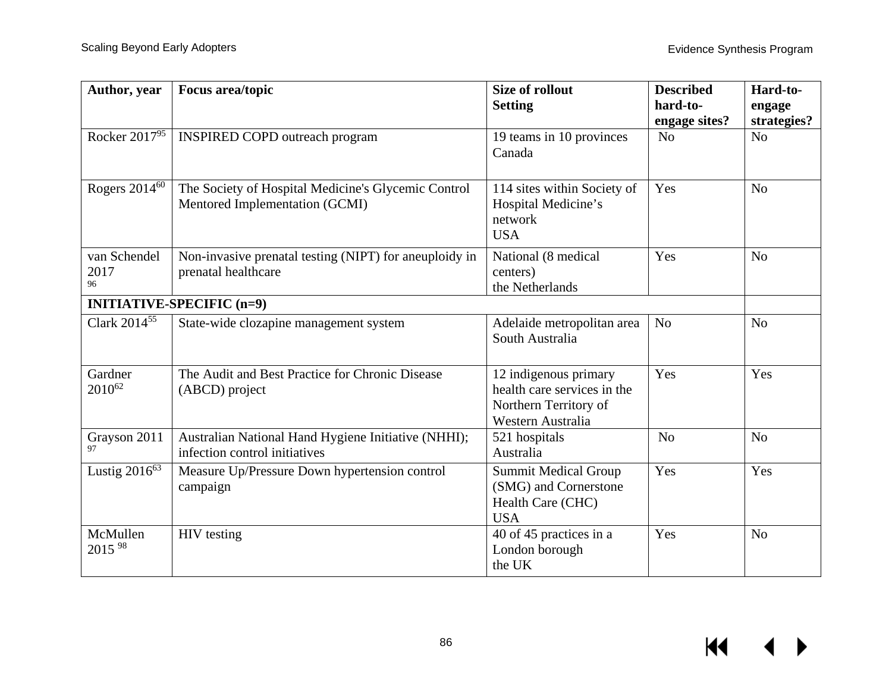| Author, year                  | Focus area/topic                                                                      | <b>Size of rollout</b><br><b>Setting</b>                                                           | <b>Described</b><br>hard-to-<br>engage sites? | Hard-to-<br>engage<br>strategies? |
|-------------------------------|---------------------------------------------------------------------------------------|----------------------------------------------------------------------------------------------------|-----------------------------------------------|-----------------------------------|
| Rocker 2017 <sup>95</sup>     | <b>INSPIRED COPD outreach program</b>                                                 | 19 teams in 10 provinces<br>Canada                                                                 | N <sub>o</sub>                                | N <sub>o</sub>                    |
| Rogers 2014 <sup>60</sup>     | The Society of Hospital Medicine's Glycemic Control<br>Mentored Implementation (GCMI) | 114 sites within Society of<br>Hospital Medicine's<br>network<br><b>USA</b>                        | Yes                                           | N <sub>o</sub>                    |
| van Schendel<br>2017<br>96    | Non-invasive prenatal testing (NIPT) for aneuploidy in<br>prenatal healthcare         | National (8 medical<br>centers)<br>the Netherlands                                                 | Yes                                           | N <sub>o</sub>                    |
|                               | <b>INITIATIVE-SPECIFIC (n=9)</b>                                                      |                                                                                                    |                                               |                                   |
| Clark 2014 <sup>55</sup>      | State-wide clozapine management system                                                | Adelaide metropolitan area<br>South Australia                                                      | N <sub>o</sub>                                | N <sub>o</sub>                    |
| Gardner<br>2010 <sup>62</sup> | The Audit and Best Practice for Chronic Disease<br>(ABCD) project                     | 12 indigenous primary<br>health care services in the<br>Northern Territory of<br>Western Australia | Yes                                           | Yes                               |
| Grayson 2011<br>97            | Australian National Hand Hygiene Initiative (NHHI);<br>infection control initiatives  | 521 hospitals<br>Australia                                                                         | N <sub>o</sub>                                | N <sub>o</sub>                    |
| Lustig $2016^{63}$            | Measure Up/Pressure Down hypertension control<br>campaign                             | <b>Summit Medical Group</b><br>(SMG) and Cornerstone<br>Health Care (CHC)<br><b>USA</b>            | Yes                                           | Yes                               |
| McMullen<br>2015 98           | <b>HIV</b> testing                                                                    | 40 of 45 practices in a<br>London borough<br>the UK                                                | Yes                                           | N <sub>o</sub>                    |